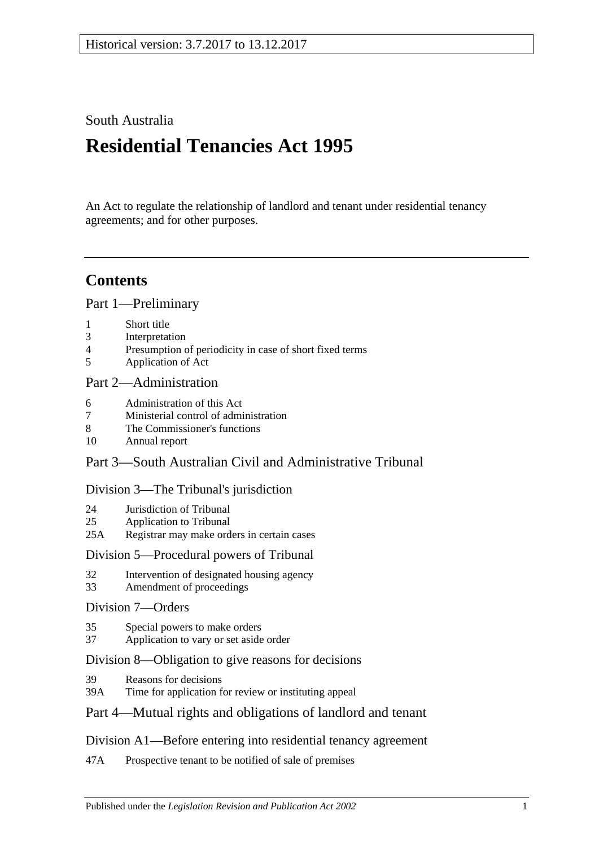## South Australia

# **Residential Tenancies Act 1995**

An Act to regulate the relationship of landlord and tenant under residential tenancy agreements; and for other purposes.

## **Contents**

[Part 1—Preliminary](#page-5-0)

- 1 [Short title](#page-5-1)
- 3 [Interpretation](#page-5-2)
- 4 [Presumption of periodicity in case of short fixed terms](#page-9-0)
- 5 [Application of Act](#page-10-0)

## [Part 2—Administration](#page-11-0)

- 6 [Administration of this Act](#page-11-1)
- 7 [Ministerial control of administration](#page-11-2)
- 8 [The Commissioner's functions](#page-11-3)
- 10 [Annual report](#page-12-0)

## Part [3—South Australian Civil and Administrative Tribunal](#page-12-1)

## [Division 3—The Tribunal's jurisdiction](#page-12-2)

- 24 [Jurisdiction of Tribunal](#page-12-3)
- 25 [Application to Tribunal](#page-13-0)
- 25A [Registrar may make orders in certain cases](#page-13-1)

## [Division 5—Procedural powers of Tribunal](#page-13-2)

- 32 [Intervention of designated housing agency](#page-13-3)
- 33 [Amendment of proceedings](#page-13-4)

## [Division 7—Orders](#page-13-5)

- 35 [Special powers to make orders](#page-13-6)
- 37 [Application to vary or set aside order](#page-14-0)

## [Division 8—Obligation to give reasons for decisions](#page-14-1)

- 39 [Reasons for decisions](#page-14-2)
- 39A [Time for application for review or instituting appeal](#page-14-3)

## [Part 4—Mutual rights and obligations of landlord and tenant](#page-14-4)

## [Division A1—Before entering into residential tenancy agreement](#page-14-5)

47A [Prospective tenant to be notified of sale of premises](#page-14-6)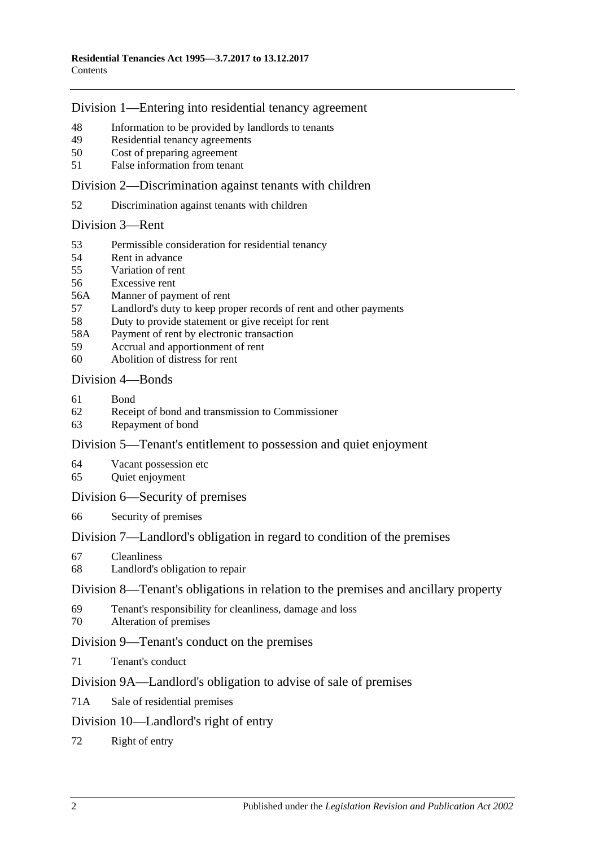## [Division 1—Entering into residential tenancy agreement](#page-15-0)

- [Information to be provided by landlords to tenants](#page-15-1)
- [Residential tenancy agreements](#page-16-0)
- [Cost of preparing agreement](#page-17-0)
- False [information from tenant](#page-17-1)

[Division 2—Discrimination against tenants with children](#page-18-0)

[Discrimination against tenants with children](#page-18-1)

#### [Division 3—Rent](#page-18-2)

- [Permissible consideration for residential tenancy](#page-18-3)
- [Rent in advance](#page-19-0)
- [Variation of rent](#page-19-1)
- [Excessive rent](#page-20-0)
- 56A [Manner of payment of rent](#page-21-0)
- [Landlord's duty to keep proper records of rent and other payments](#page-21-1)
- [Duty to provide statement or give receipt for rent](#page-22-0)
- 58A [Payment of rent by electronic transaction](#page-22-1)
- [Accrual and apportionment of rent](#page-22-2)
- [Abolition of distress for rent](#page-22-3)

## [Division 4—Bonds](#page-22-4)

- [Bond](#page-22-5)
- [Receipt of bond and transmission to Commissioner](#page-23-0)
- [Repayment of bond](#page-23-1)

## [Division 5—Tenant's entitlement to possession and quiet enjoyment](#page-26-0)

- [Vacant possession etc](#page-26-1)
- [Quiet enjoyment](#page-26-2)

#### [Division 6—Security of premises](#page-26-3)

[Security of premises](#page-26-4)

## [Division 7—Landlord's obligation in regard to condition of the premises](#page-27-0)

- [Cleanliness](#page-27-1)
- [Landlord's obligation to repair](#page-27-2)

#### [Division 8—Tenant's obligations in relation to the premises and ancillary property](#page-28-0)

- [Tenant's responsibility for cleanliness, damage and loss](#page-28-1)
- [Alteration of premises](#page-29-0)

## [Division 9—Tenant's conduct on the premises](#page-29-1)

[Tenant's conduct](#page-29-2)

## [Division 9A—Landlord's obligation to advise of sale of premises](#page-29-3)

71A [Sale of residential premises](#page-29-4)

## [Division 10—Landlord's right of entry](#page-30-0)

[Right of entry](#page-30-1)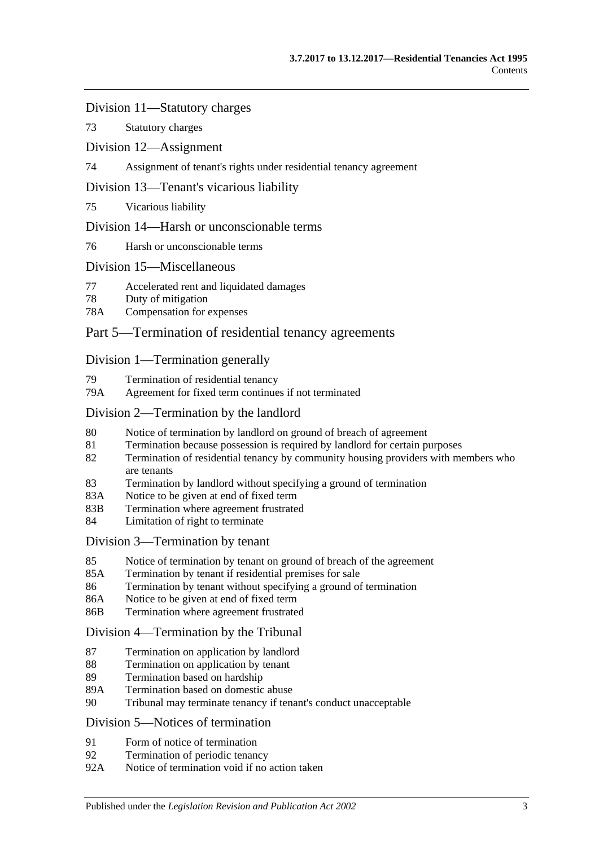[Division 11—Statutory charges](#page-32-0)

73 [Statutory charges](#page-32-1)

[Division 12—Assignment](#page-33-0)

74 [Assignment of tenant's rights under residential tenancy agreement](#page-33-1)

#### [Division 13—Tenant's vicarious liability](#page-34-0)

75 [Vicarious liability](#page-34-1)

#### [Division 14—Harsh or unconscionable terms](#page-34-2)

76 [Harsh or unconscionable terms](#page-34-3)

#### [Division 15—Miscellaneous](#page-34-4)

- 77 [Accelerated rent and liquidated damages](#page-34-5)
- 78 [Duty of mitigation](#page-35-0)
- 78A [Compensation for expenses](#page-35-1)

## [Part 5—Termination of residential tenancy agreements](#page-35-2)

#### [Division 1—Termination generally](#page-35-3)

- 79 [Termination of residential tenancy](#page-35-4)
- 79A [Agreement for fixed term continues if not terminated](#page-36-0)

#### [Division 2—Termination by the landlord](#page-36-1)

- 80 [Notice of termination by landlord on ground of breach of agreement](#page-36-2)
- 81 [Termination because possession is required by landlord for certain purposes](#page-37-0)
- 82 [Termination of residential tenancy by community housing providers with members who](#page-38-0)  [are tenants](#page-38-0)
- 83 [Termination by landlord without specifying a ground of termination](#page-38-1)
- 83A [Notice to be given at end of fixed term](#page-39-0)
- 83B [Termination where agreement frustrated](#page-39-1)
- 84 [Limitation of right to terminate](#page-39-2)

#### [Division 3—Termination by tenant](#page-40-0)

- 85 [Notice of termination by tenant on ground of breach of the agreement](#page-40-1)
- 85A [Termination by tenant if residential premises for sale](#page-40-2)
- 86 [Termination by tenant without specifying a ground of termination](#page-41-0)
- 86A [Notice to be given at end of fixed term](#page-41-1)
- 86B [Termination where agreement frustrated](#page-41-2)

#### [Division 4—Termination by the Tribunal](#page-41-3)

- 87 [Termination on application by landlord](#page-41-4)
- 88 [Termination on application by tenant](#page-42-0)
- 89 [Termination based on hardship](#page-42-1)
- 89A [Termination based on domestic abuse](#page-42-2)
- 90 [Tribunal may terminate tenancy if tenant's conduct unacceptable](#page-45-0)

#### [Division 5—Notices of termination](#page-46-0)

- 91 [Form of notice of termination](#page-46-1)
- 92 [Termination of periodic tenancy](#page-47-0)
- 92A [Notice of termination void if no action taken](#page-47-1)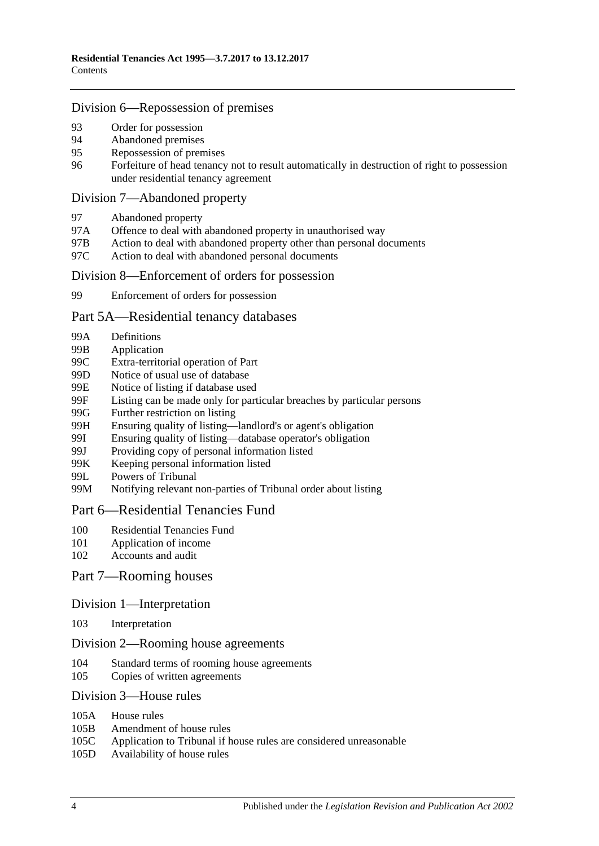#### [Division 6—Repossession of premises](#page-47-2)

- 93 [Order for possession](#page-47-3)<br>94 Abandoned premises
- [Abandoned premises](#page-48-0)
- 95 [Repossession of premises](#page-48-1)
- 96 [Forfeiture of head tenancy not to result automatically in destruction of right to possession](#page-49-0)  [under residential tenancy agreement](#page-49-0)

#### [Division 7—Abandoned property](#page-49-1)

- 97 [Abandoned property](#page-49-2)
- 97A [Offence to deal with abandoned property in unauthorised way](#page-49-3)
- 97B [Action to deal with abandoned property other than personal documents](#page-49-4)
- 97C [Action to deal with abandoned personal documents](#page-50-0)

#### [Division 8—Enforcement of orders for possession](#page-51-0)

99 [Enforcement of orders for possession](#page-51-1)

#### [Part 5A—Residential tenancy databases](#page-52-0)

- 99A [Definitions](#page-52-1)
- 99B [Application](#page-53-0)
- 99C [Extra-territorial operation of Part](#page-53-1)
- 99D [Notice of usual use of database](#page-53-2)
- 99E [Notice of listing if database used](#page-54-0)
- 99F [Listing can be made only for particular breaches by particular persons](#page-54-1)
- 99G [Further restriction on listing](#page-55-0)<br>99H Ensuring quality of listing—
- [Ensuring quality of listing—landlord's or agent's obligation](#page-56-0)
- 99I [Ensuring quality of listing—database operator's obligation](#page-56-1)
- 99J [Providing copy of personal information listed](#page-57-0)
- 99K [Keeping personal information listed](#page-57-1)
- 99L [Powers of Tribunal](#page-58-0)
- 99M [Notifying relevant non-parties of Tribunal order about listing](#page-58-1)

#### [Part 6—Residential Tenancies Fund](#page-58-2)

- 100 [Residential Tenancies Fund](#page-58-3)
- 101 [Application of income](#page-58-4)
- 102 [Accounts and audit](#page-59-0)

#### [Part 7—Rooming houses](#page-59-1)

#### Division [1—Interpretation](#page-59-2)

103 [Interpretation](#page-59-3)

#### Division [2—Rooming house agreements](#page-60-0)

- 104 [Standard terms of rooming house agreements](#page-60-1)
- 105 [Copies of written agreements](#page-60-2)

#### Division [3—House rules](#page-60-3)

- 105A [House rules](#page-60-4)
- 105B [Amendment of house rules](#page-60-5)
- 105C [Application to Tribunal if house rules are considered unreasonable](#page-61-0)
- 105D [Availability of house rules](#page-61-1)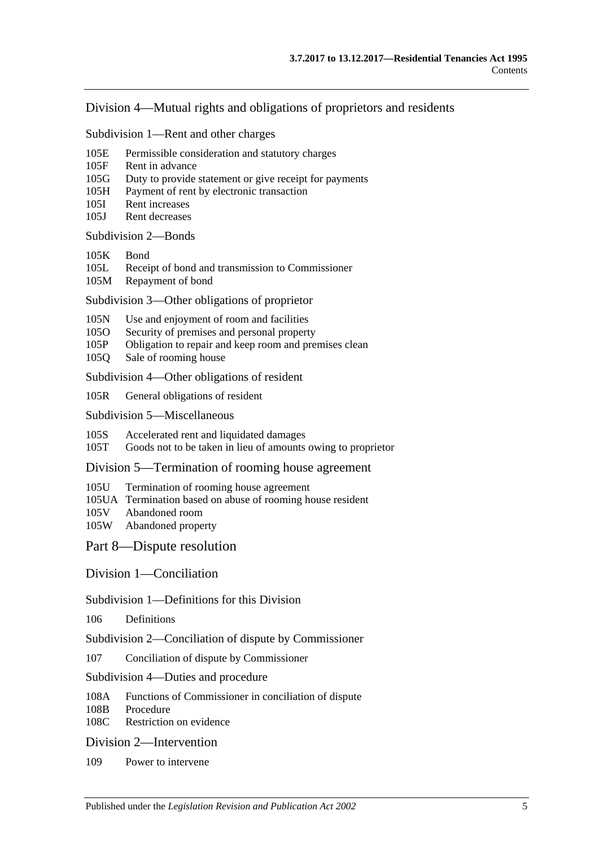#### Division [4—Mutual rights and obligations of proprietors and residents](#page-61-2)

Subdivision [1—Rent and other charges](#page-61-3)

- 105E [Permissible consideration and statutory charges](#page-61-4)
- 105F [Rent in advance](#page-62-0)
- 105G [Duty to provide statement or give receipt for payments](#page-62-1)
- 105H [Payment of rent by electronic transaction](#page-63-0)
- 105I [Rent increases](#page-63-1)
- 105J [Rent decreases](#page-64-0)

#### [Subdivision](#page-64-1) 2—Bonds

- [105K](#page-64-2) Bond
- 105L [Receipt of bond and transmission to Commissioner](#page-64-3)
- 105M [Repayment of bond](#page-65-0)

Subdivision [3—Other obligations of proprietor](#page-67-0)

- 105N [Use and enjoyment of room and facilities](#page-67-1)
- 105O [Security of premises and personal property](#page-67-2)
- 105P [Obligation to repair and keep room and premises clean](#page-68-0)
- 105Q [Sale of rooming house](#page-68-1)

Subdivision [4—Other obligations of resident](#page-69-0)

105R [General obligations of resident](#page-69-1)

Subdivision [5—Miscellaneous](#page-69-2)

105S [Accelerated rent and liquidated damages](#page-69-3)

105T [Goods not to be taken in lieu of amounts owing to proprietor](#page-69-4)

Division [5—Termination of rooming house agreement](#page-70-0)

- 105U [Termination of rooming house agreement](#page-70-1)
- 105UA [Termination based on abuse of rooming house resident](#page-71-0)
- 105V [Abandoned room](#page-73-0)<br>105W Abandoned prope
- [Abandoned property](#page-73-1)

[Part 8—Dispute resolution](#page-74-0)

[Division 1—Conciliation](#page-74-1)

#### Subdivision [1—Definitions for this Division](#page-74-2)

106 [Definitions](#page-74-3)

Subdivision [2—Conciliation of dispute by Commissioner](#page-74-4)

- 107 [Conciliation of dispute by Commissioner](#page-74-5)
- Subdivision [4—Duties and procedure](#page-75-0)
- 108A [Functions of Commissioner in conciliation of dispute](#page-75-1)<br>108B Procedure
- [Procedure](#page-75-2)
- 108C [Restriction on evidence](#page-75-3)

#### [Division 2—Intervention](#page-75-4)

109 [Power to intervene](#page-75-5)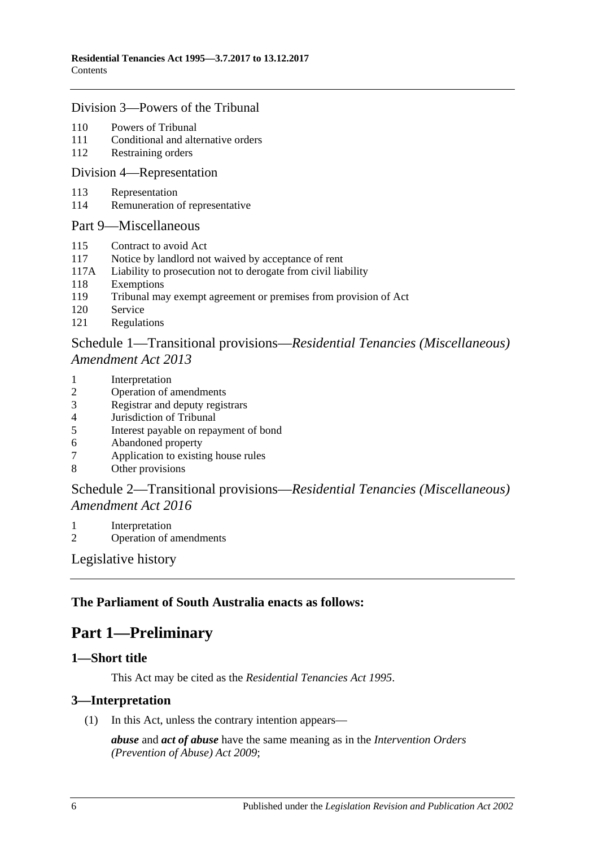#### [Division 3—Powers of the Tribunal](#page-76-0)

- 110 [Powers of Tribunal](#page-76-1)
- 111 [Conditional and alternative orders](#page-76-2)
- 112 [Restraining orders](#page-77-0)

#### [Division 4—Representation](#page-77-1)

- 113 [Representation](#page-77-2)
- 114 [Remuneration of representative](#page-78-0)

#### [Part 9—Miscellaneous](#page-79-0)

- 115 [Contract to avoid Act](#page-79-1)
- 117 [Notice by landlord not waived by acceptance of rent](#page-79-2)
- 117A [Liability to prosecution not to derogate from civil liability](#page-79-3)
- 118 [Exemptions](#page-79-4)
- 119 [Tribunal may exempt agreement or premises from provision of Act](#page-79-5)
- 120 [Service](#page-79-6)
- 121 [Regulations](#page-80-0)

## Schedule 1—Transitional provisions—*[Residential Tenancies \(Miscellaneous\)](#page-80-1)  [Amendment Act](#page-80-1) 2013*

- 1 [Interpretation](#page-80-2)
- 2 [Operation of amendments](#page-80-3)
- 3 [Registrar and deputy registrars](#page-81-0)
- 4 [Jurisdiction of Tribunal](#page-81-1)
- 5 [Interest payable on repayment of bond](#page-81-2)
- 6 [Abandoned property](#page-81-3)<br>7 Application to existin
- [Application to existing house rules](#page-81-4)
- 8 [Other provisions](#page-82-0)

## Schedule 2—Transitional provisions—*[Residential Tenancies \(Miscellaneous\)](#page-82-1)  [Amendment Act](#page-82-1) 2016*

- 1 [Interpretation](#page-82-2)
- 2 [Operation of amendments](#page-82-3)

[Legislative history](#page-83-0)

## <span id="page-5-0"></span>**The Parliament of South Australia enacts as follows:**

## **Part 1—Preliminary**

#### <span id="page-5-1"></span>**1—Short title**

This Act may be cited as the *Residential Tenancies Act 1995*.

#### <span id="page-5-2"></span>**3—Interpretation**

(1) In this Act, unless the contrary intention appears—

*abuse* and *act of abuse* have the same meaning as in the *[Intervention Orders](http://www.legislation.sa.gov.au/index.aspx?action=legref&type=act&legtitle=Intervention%20Orders%20(Prevention%20of%20Abuse)%20Act%202009)  [\(Prevention of Abuse\) Act](http://www.legislation.sa.gov.au/index.aspx?action=legref&type=act&legtitle=Intervention%20Orders%20(Prevention%20of%20Abuse)%20Act%202009) 2009*;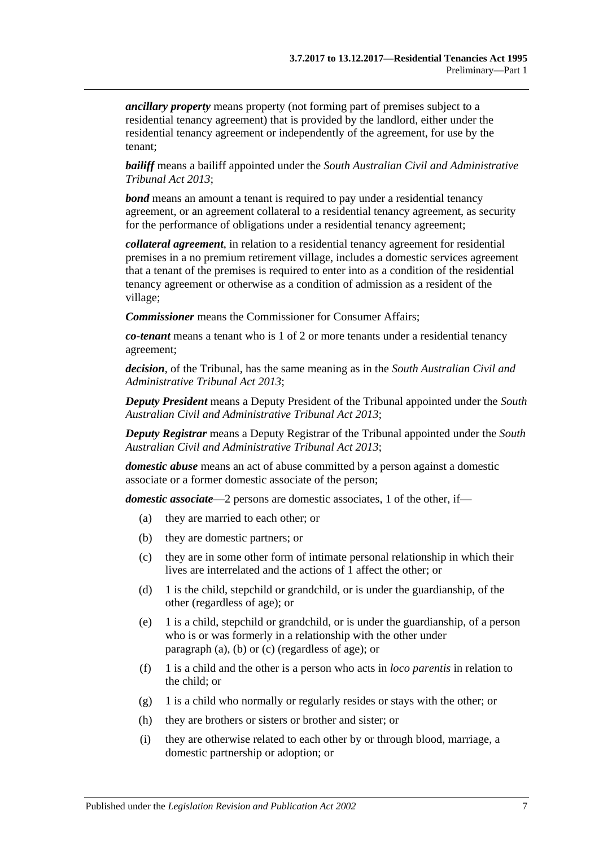*ancillary property* means property (not forming part of premises subject to a residential tenancy agreement) that is provided by the landlord, either under the residential tenancy agreement or independently of the agreement, for use by the tenant;

*bailiff* means a bailiff appointed under the *[South Australian Civil and Administrative](http://www.legislation.sa.gov.au/index.aspx?action=legref&type=act&legtitle=South%20Australian%20Civil%20and%20Administrative%20Tribunal%20Act%202013)  [Tribunal Act](http://www.legislation.sa.gov.au/index.aspx?action=legref&type=act&legtitle=South%20Australian%20Civil%20and%20Administrative%20Tribunal%20Act%202013) 2013*;

*bond* means an amount a tenant is required to pay under a residential tenancy agreement, or an agreement collateral to a residential tenancy agreement, as security for the performance of obligations under a residential tenancy agreement;

*collateral agreement*, in relation to a residential tenancy agreement for residential premises in a no premium retirement village, includes a domestic services agreement that a tenant of the premises is required to enter into as a condition of the residential tenancy agreement or otherwise as a condition of admission as a resident of the village;

*Commissioner* means the Commissioner for Consumer Affairs;

*co-tenant* means a tenant who is 1 of 2 or more tenants under a residential tenancy agreement;

*decision*, of the Tribunal, has the same meaning as in the *[South Australian Civil and](http://www.legislation.sa.gov.au/index.aspx?action=legref&type=act&legtitle=South%20Australian%20Civil%20and%20Administrative%20Tribunal%20Act%202013)  [Administrative Tribunal Act](http://www.legislation.sa.gov.au/index.aspx?action=legref&type=act&legtitle=South%20Australian%20Civil%20and%20Administrative%20Tribunal%20Act%202013) 2013*;

*Deputy President* means a Deputy President of the Tribunal appointed under the *[South](http://www.legislation.sa.gov.au/index.aspx?action=legref&type=act&legtitle=South%20Australian%20Civil%20and%20Administrative%20Tribunal%20Act%202013)  [Australian Civil and Administrative Tribunal Act](http://www.legislation.sa.gov.au/index.aspx?action=legref&type=act&legtitle=South%20Australian%20Civil%20and%20Administrative%20Tribunal%20Act%202013) 2013*;

*Deputy Registrar* means a Deputy Registrar of the Tribunal appointed under the *[South](http://www.legislation.sa.gov.au/index.aspx?action=legref&type=act&legtitle=South%20Australian%20Civil%20and%20Administrative%20Tribunal%20Act%202013)  [Australian Civil and Administrative Tribunal Act](http://www.legislation.sa.gov.au/index.aspx?action=legref&type=act&legtitle=South%20Australian%20Civil%20and%20Administrative%20Tribunal%20Act%202013) 2013*;

*domestic abuse* means an act of abuse committed by a person against a domestic associate or a former domestic associate of the person;

<span id="page-6-1"></span><span id="page-6-0"></span>*domestic associate*—2 persons are domestic associates, 1 of the other, if—

- (a) they are married to each other; or
- (b) they are domestic partners; or
- <span id="page-6-2"></span>(c) they are in some other form of intimate personal relationship in which their lives are interrelated and the actions of 1 affect the other; or
- (d) 1 is the child, stepchild or grandchild, or is under the guardianship, of the other (regardless of age); or
- (e) 1 is a child, stepchild or grandchild, or is under the guardianship, of a person who is or was formerly in a relationship with the other under [paragraph](#page-6-0) (a), [\(b\)](#page-6-1) or [\(c\)](#page-6-2) (regardless of age); or
- (f) 1 is a child and the other is a person who acts in *loco parentis* in relation to the child; or
- (g) 1 is a child who normally or regularly resides or stays with the other; or
- (h) they are brothers or sisters or brother and sister; or
- (i) they are otherwise related to each other by or through blood, marriage, a domestic partnership or adoption; or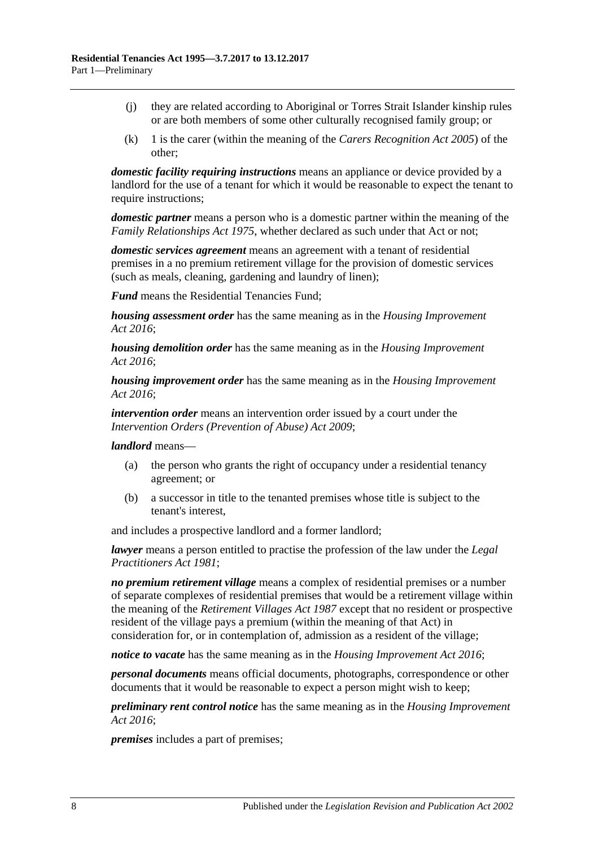- (j) they are related according to Aboriginal or Torres Strait Islander kinship rules or are both members of some other culturally recognised family group; or
- (k) 1 is the carer (within the meaning of the *[Carers Recognition Act](http://www.legislation.sa.gov.au/index.aspx?action=legref&type=act&legtitle=Carers%20Recognition%20Act%202005) 2005*) of the other;

*domestic facility requiring instructions* means an appliance or device provided by a landlord for the use of a tenant for which it would be reasonable to expect the tenant to require instructions;

*domestic partner* means a person who is a domestic partner within the meaning of the *[Family Relationships Act](http://www.legislation.sa.gov.au/index.aspx?action=legref&type=act&legtitle=Family%20Relationships%20Act%201975) 1975*, whether declared as such under that Act or not;

*domestic services agreement* means an agreement with a tenant of residential premises in a no premium retirement village for the provision of domestic services (such as meals, cleaning, gardening and laundry of linen);

*Fund* means the Residential Tenancies Fund;

*housing assessment order* has the same meaning as in the *[Housing Improvement](http://www.legislation.sa.gov.au/index.aspx?action=legref&type=act&legtitle=Housing%20Improvement%20Act%202016)  Act [2016](http://www.legislation.sa.gov.au/index.aspx?action=legref&type=act&legtitle=Housing%20Improvement%20Act%202016)*;

*housing demolition order* has the same meaning as in the *[Housing Improvement](http://www.legislation.sa.gov.au/index.aspx?action=legref&type=act&legtitle=Housing%20Improvement%20Act%202016)  Act [2016](http://www.legislation.sa.gov.au/index.aspx?action=legref&type=act&legtitle=Housing%20Improvement%20Act%202016)*;

*housing improvement order* has the same meaning as in the *[Housing Improvement](http://www.legislation.sa.gov.au/index.aspx?action=legref&type=act&legtitle=Housing%20Improvement%20Act%202016)  Act [2016](http://www.legislation.sa.gov.au/index.aspx?action=legref&type=act&legtitle=Housing%20Improvement%20Act%202016)*;

*intervention order* means an intervention order issued by a court under the *[Intervention Orders \(Prevention of Abuse\) Act](http://www.legislation.sa.gov.au/index.aspx?action=legref&type=act&legtitle=Intervention%20Orders%20(Prevention%20of%20Abuse)%20Act%202009) 2009*;

*landlord* means—

- (a) the person who grants the right of occupancy under a residential tenancy agreement; or
- (b) a successor in title to the tenanted premises whose title is subject to the tenant's interest,

and includes a prospective landlord and a former landlord;

*lawyer* means a person entitled to practise the profession of the law under the *[Legal](http://www.legislation.sa.gov.au/index.aspx?action=legref&type=act&legtitle=Legal%20Practitioners%20Act%201981)  [Practitioners Act](http://www.legislation.sa.gov.au/index.aspx?action=legref&type=act&legtitle=Legal%20Practitioners%20Act%201981) 1981*;

*no premium retirement village* means a complex of residential premises or a number of separate complexes of residential premises that would be a retirement village within the meaning of the *[Retirement Villages Act](http://www.legislation.sa.gov.au/index.aspx?action=legref&type=act&legtitle=Retirement%20Villages%20Act%201987) 1987* except that no resident or prospective resident of the village pays a premium (within the meaning of that Act) in consideration for, or in contemplation of, admission as a resident of the village;

*notice to vacate* has the same meaning as in the *[Housing Improvement Act](http://www.legislation.sa.gov.au/index.aspx?action=legref&type=act&legtitle=Housing%20Improvement%20Act%202016) 2016*;

*personal documents* means official documents, photographs, correspondence or other documents that it would be reasonable to expect a person might wish to keep;

*preliminary rent control notice* has the same meaning as in the *[Housing Improvement](http://www.legislation.sa.gov.au/index.aspx?action=legref&type=act&legtitle=Housing%20Improvement%20Act%202016)  Act [2016](http://www.legislation.sa.gov.au/index.aspx?action=legref&type=act&legtitle=Housing%20Improvement%20Act%202016)*;

*premises* includes a part of premises;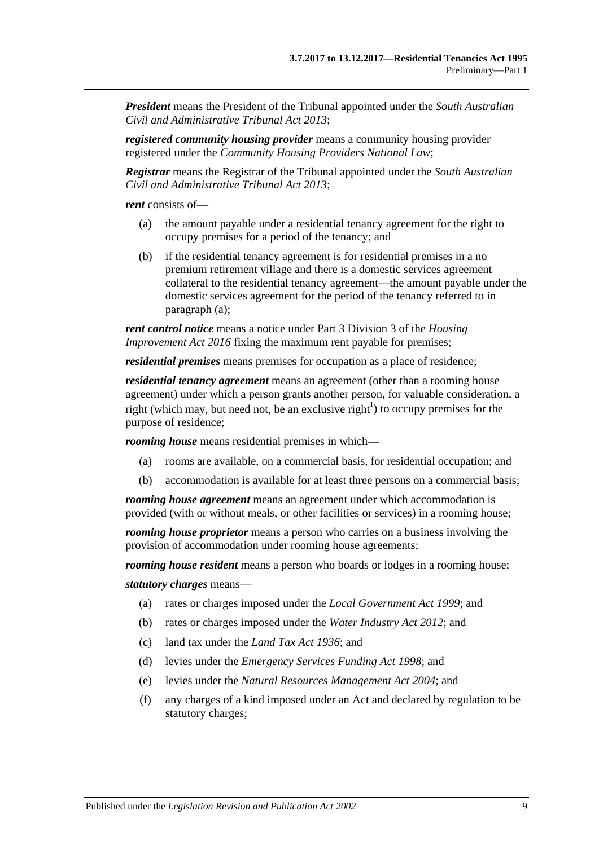*President* means the President of the Tribunal appointed under the *[South Australian](http://www.legislation.sa.gov.au/index.aspx?action=legref&type=act&legtitle=South%20Australian%20Civil%20and%20Administrative%20Tribunal%20Act%202013)  [Civil and Administrative Tribunal Act](http://www.legislation.sa.gov.au/index.aspx?action=legref&type=act&legtitle=South%20Australian%20Civil%20and%20Administrative%20Tribunal%20Act%202013) 2013*;

*registered community housing provider* means a community housing provider registered under the *Community Housing Providers National Law*;

*Registrar* means the Registrar of the Tribunal appointed under the *[South Australian](http://www.legislation.sa.gov.au/index.aspx?action=legref&type=act&legtitle=South%20Australian%20Civil%20and%20Administrative%20Tribunal%20Act%202013)  [Civil and Administrative Tribunal Act](http://www.legislation.sa.gov.au/index.aspx?action=legref&type=act&legtitle=South%20Australian%20Civil%20and%20Administrative%20Tribunal%20Act%202013) 2013*;

<span id="page-8-0"></span>*rent* consists of—

- (a) the amount payable under a residential tenancy agreement for the right to occupy premises for a period of the tenancy; and
- (b) if the residential tenancy agreement is for residential premises in a no premium retirement village and there is a domestic services agreement collateral to the residential tenancy agreement—the amount payable under the domestic services agreement for the period of the tenancy referred to in [paragraph](#page-8-0) (a);

*rent control notice* means a notice under Part 3 Division 3 of the *[Housing](http://www.legislation.sa.gov.au/index.aspx?action=legref&type=act&legtitle=Housing%20Improvement%20Act%202016)  [Improvement Act](http://www.legislation.sa.gov.au/index.aspx?action=legref&type=act&legtitle=Housing%20Improvement%20Act%202016) 2016* fixing the maximum rent payable for premises;

*residential premises* means premises for occupation as a place of residence;

*residential tenancy agreement* means an agreement (other than a rooming house agreement) under which a person grants another person, for valuable consideration, a right (which may, but need not, be an exclusive right<sup>1</sup>) to occupy premises for the purpose of residence;

*rooming house* means residential premises in which—

- (a) rooms are available, on a commercial basis, for residential occupation; and
- (b) accommodation is available for at least three persons on a commercial basis;

*rooming house agreement* means an agreement under which accommodation is provided (with or without meals, or other facilities or services) in a rooming house;

*rooming house proprietor* means a person who carries on a business involving the provision of accommodation under rooming house agreements;

*rooming house resident* means a person who boards or lodges in a rooming house;

*statutory charges* means—

- (a) rates or charges imposed under the *[Local Government Act](http://www.legislation.sa.gov.au/index.aspx?action=legref&type=act&legtitle=Local%20Government%20Act%201999) 1999*; and
- (b) rates or charges imposed under the *[Water Industry Act](http://www.legislation.sa.gov.au/index.aspx?action=legref&type=act&legtitle=Water%20Industry%20Act%202012) 2012*; and
- (c) land tax under the *[Land Tax Act](http://www.legislation.sa.gov.au/index.aspx?action=legref&type=act&legtitle=Land%20Tax%20Act%201936) 1936*; and
- (d) levies under the *[Emergency Services Funding Act](http://www.legislation.sa.gov.au/index.aspx?action=legref&type=act&legtitle=Emergency%20Services%20Funding%20Act%201998) 1998*; and
- (e) levies under the *[Natural Resources Management Act](http://www.legislation.sa.gov.au/index.aspx?action=legref&type=act&legtitle=Natural%20Resources%20Management%20Act%202004) 2004*; and
- (f) any charges of a kind imposed under an Act and declared by regulation to be statutory charges;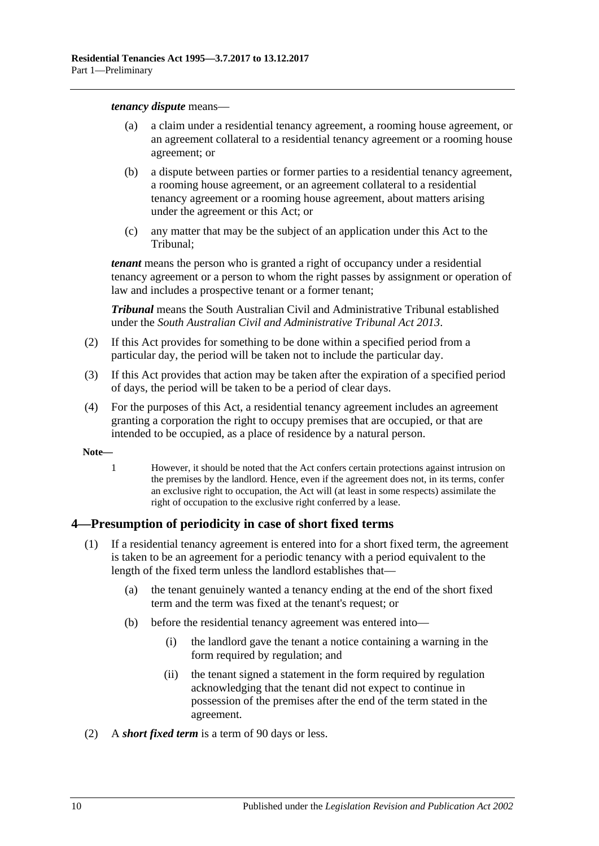#### *tenancy dispute* means—

- (a) a claim under a residential tenancy agreement, a rooming house agreement, or an agreement collateral to a residential tenancy agreement or a rooming house agreement; or
- (b) a dispute between parties or former parties to a residential tenancy agreement, a rooming house agreement, or an agreement collateral to a residential tenancy agreement or a rooming house agreement, about matters arising under the agreement or this Act; or
- (c) any matter that may be the subject of an application under this Act to the Tribunal;

*tenant* means the person who is granted a right of occupancy under a residential tenancy agreement or a person to whom the right passes by assignment or operation of law and includes a prospective tenant or a former tenant;

*Tribunal* means the South Australian Civil and Administrative Tribunal established under the *[South Australian Civil and Administrative Tribunal Act](http://www.legislation.sa.gov.au/index.aspx?action=legref&type=act&legtitle=South%20Australian%20Civil%20and%20Administrative%20Tribunal%20Act%202013) 2013*.

- (2) If this Act provides for something to be done within a specified period from a particular day, the period will be taken not to include the particular day.
- (3) If this Act provides that action may be taken after the expiration of a specified period of days, the period will be taken to be a period of clear days.
- (4) For the purposes of this Act, a residential tenancy agreement includes an agreement granting a corporation the right to occupy premises that are occupied, or that are intended to be occupied, as a place of residence by a natural person.
- **Note—**
	- 1 However, it should be noted that the Act confers certain protections against intrusion on the premises by the landlord. Hence, even if the agreement does not, in its terms, confer an exclusive right to occupation, the Act will (at least in some respects) assimilate the right of occupation to the exclusive right conferred by a lease.

## <span id="page-9-0"></span>**4—Presumption of periodicity in case of short fixed terms**

- (1) If a residential tenancy agreement is entered into for a short fixed term, the agreement is taken to be an agreement for a periodic tenancy with a period equivalent to the length of the fixed term unless the landlord establishes that—
	- (a) the tenant genuinely wanted a tenancy ending at the end of the short fixed term and the term was fixed at the tenant's request; or
	- (b) before the residential tenancy agreement was entered into—
		- (i) the landlord gave the tenant a notice containing a warning in the form required by regulation; and
		- (ii) the tenant signed a statement in the form required by regulation acknowledging that the tenant did not expect to continue in possession of the premises after the end of the term stated in the agreement.
- (2) A *short fixed term* is a term of 90 days or less.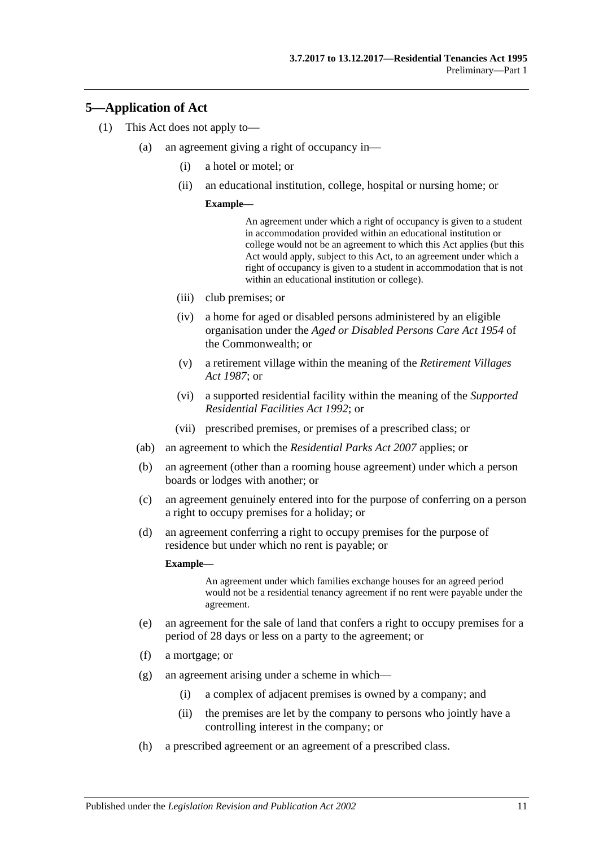## <span id="page-10-0"></span>**5—Application of Act**

- (1) This Act does not apply to—
	- (a) an agreement giving a right of occupancy in—
		- (i) a hotel or motel; or
		- (ii) an educational institution, college, hospital or nursing home; or

#### **Example—**

An agreement under which a right of occupancy is given to a student in accommodation provided within an educational institution or college would not be an agreement to which this Act applies (but this Act would apply, subject to this Act, to an agreement under which a right of occupancy is given to a student in accommodation that is not within an educational institution or college).

- (iii) club premises; or
- (iv) a home for aged or disabled persons administered by an eligible organisation under the *Aged or Disabled Persons Care Act 1954* of the Commonwealth; or
- (v) a retirement village within the meaning of the *[Retirement Villages](http://www.legislation.sa.gov.au/index.aspx?action=legref&type=act&legtitle=Retirement%20Villages%20Act%201987)  Act [1987](http://www.legislation.sa.gov.au/index.aspx?action=legref&type=act&legtitle=Retirement%20Villages%20Act%201987)*; or
- (vi) a supported residential facility within the meaning of the *[Supported](http://www.legislation.sa.gov.au/index.aspx?action=legref&type=act&legtitle=Supported%20Residential%20Facilities%20Act%201992)  [Residential Facilities Act](http://www.legislation.sa.gov.au/index.aspx?action=legref&type=act&legtitle=Supported%20Residential%20Facilities%20Act%201992) 1992*; or
- (vii) prescribed premises, or premises of a prescribed class; or
- (ab) an agreement to which the *[Residential Parks Act](http://www.legislation.sa.gov.au/index.aspx?action=legref&type=act&legtitle=Residential%20Parks%20Act%202007) 2007* applies; or
- (b) an agreement (other than a rooming house agreement) under which a person boards or lodges with another; or
- <span id="page-10-2"></span>(c) an agreement genuinely entered into for the purpose of conferring on a person a right to occupy premises for a holiday; or
- (d) an agreement conferring a right to occupy premises for the purpose of residence but under which no rent is payable; or

#### **Example—**

An agreement under which families exchange houses for an agreed period would not be a residential tenancy agreement if no rent were payable under the agreement.

- <span id="page-10-1"></span>(e) an agreement for the sale of land that confers a right to occupy premises for a period of 28 days or less on a party to the agreement; or
- (f) a mortgage; or
- (g) an agreement arising under a scheme in which—
	- (i) a complex of adjacent premises is owned by a company; and
	- (ii) the premises are let by the company to persons who jointly have a controlling interest in the company; or
- (h) a prescribed agreement or an agreement of a prescribed class.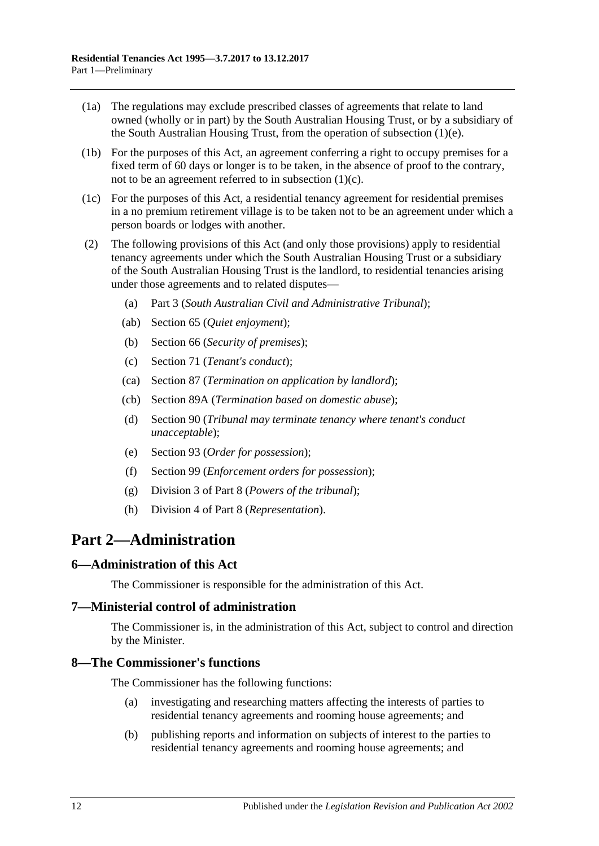- (1a) The regulations may exclude prescribed classes of agreements that relate to land owned (wholly or in part) by the South Australian Housing Trust, or by a subsidiary of the South Australian Housing Trust, from the operation of [subsection](#page-10-1) (1)(e).
- (1b) For the purposes of this Act, an agreement conferring a right to occupy premises for a fixed term of 60 days or longer is to be taken, in the absence of proof to the contrary, not to be an agreement referred to in [subsection](#page-10-2)  $(1)(c)$ .
- (1c) For the purposes of this Act, a residential tenancy agreement for residential premises in a no premium retirement village is to be taken not to be an agreement under which a person boards or lodges with another.
- (2) The following provisions of this Act (and only those provisions) apply to residential tenancy agreements under which the South Australian Housing Trust or a subsidiary of the South Australian Housing Trust is the landlord, to residential tenancies arising under those agreements and to related disputes—
	- (a) [Part 3](#page-12-1) (*South Australian Civil and Administrative Tribunal*);
	- (ab) [Section](#page-26-2) 65 (*Quiet enjoyment*);
	- (b) [Section](#page-26-4) 66 (*Security of premises*);
	- (c) [Section](#page-29-2) 71 (*Tenant's conduct*);
	- (ca) [Section](#page-41-4) 87 (*Termination on application by landlord*);
	- (cb) [Section](#page-42-2) 89A (*Termination based on domestic abuse*);
	- (d) [Section](#page-45-0) 90 (*Tribunal may terminate tenancy where tenant's conduct unacceptable*);
	- (e) [Section](#page-47-3) 93 (*Order for possession*);
	- (f) [Section](#page-51-1) 99 (*Enforcement orders for possession*);
	- (g) [Division 3](#page-76-0) of [Part 8](#page-74-0) (*Powers of the tribunal*);
	- (h) [Division 4](#page-77-1) of [Part 8](#page-74-0) (*Representation*).

## <span id="page-11-0"></span>**Part 2—Administration**

#### <span id="page-11-1"></span>**6—Administration of this Act**

The Commissioner is responsible for the administration of this Act.

#### <span id="page-11-2"></span>**7—Ministerial control of administration**

The Commissioner is, in the administration of this Act, subject to control and direction by the Minister.

#### <span id="page-11-3"></span>**8—The Commissioner's functions**

The Commissioner has the following functions:

- (a) investigating and researching matters affecting the interests of parties to residential tenancy agreements and rooming house agreements; and
- (b) publishing reports and information on subjects of interest to the parties to residential tenancy agreements and rooming house agreements; and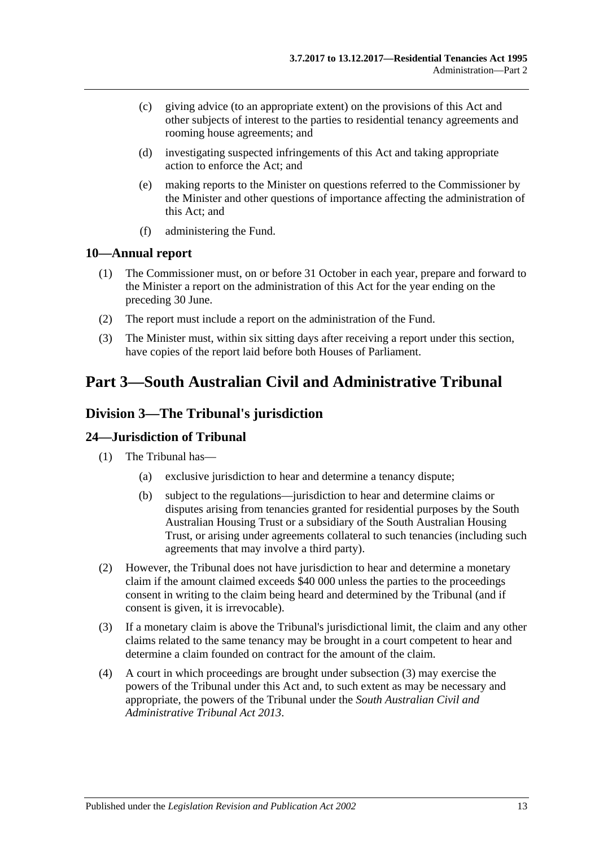- (c) giving advice (to an appropriate extent) on the provisions of this Act and other subjects of interest to the parties to residential tenancy agreements and rooming house agreements; and
- (d) investigating suspected infringements of this Act and taking appropriate action to enforce the Act; and
- (e) making reports to the Minister on questions referred to the Commissioner by the Minister and other questions of importance affecting the administration of this Act; and
- (f) administering the Fund.

#### <span id="page-12-0"></span>**10—Annual report**

- (1) The Commissioner must, on or before 31 October in each year, prepare and forward to the Minister a report on the administration of this Act for the year ending on the preceding 30 June.
- (2) The report must include a report on the administration of the Fund.
- (3) The Minister must, within six sitting days after receiving a report under this section, have copies of the report laid before both Houses of Parliament.

## <span id="page-12-1"></span>**Part 3—South Australian Civil and Administrative Tribunal**

## <span id="page-12-2"></span>**Division 3—The Tribunal's jurisdiction**

## <span id="page-12-3"></span>**24—Jurisdiction of Tribunal**

- (1) The Tribunal has—
	- (a) exclusive jurisdiction to hear and determine a tenancy dispute;
	- (b) subject to the regulations—jurisdiction to hear and determine claims or disputes arising from tenancies granted for residential purposes by the South Australian Housing Trust or a subsidiary of the South Australian Housing Trust, or arising under agreements collateral to such tenancies (including such agreements that may involve a third party).
- (2) However, the Tribunal does not have jurisdiction to hear and determine a monetary claim if the amount claimed exceeds \$40 000 unless the parties to the proceedings consent in writing to the claim being heard and determined by the Tribunal (and if consent is given, it is irrevocable).
- <span id="page-12-4"></span>(3) If a monetary claim is above the Tribunal's jurisdictional limit, the claim and any other claims related to the same tenancy may be brought in a court competent to hear and determine a claim founded on contract for the amount of the claim.
- (4) A court in which proceedings are brought under [subsection](#page-12-4) (3) may exercise the powers of the Tribunal under this Act and, to such extent as may be necessary and appropriate, the powers of the Tribunal under the *[South Australian Civil and](http://www.legislation.sa.gov.au/index.aspx?action=legref&type=act&legtitle=South%20Australian%20Civil%20and%20Administrative%20Tribunal%20Act%202013)  [Administrative Tribunal Act](http://www.legislation.sa.gov.au/index.aspx?action=legref&type=act&legtitle=South%20Australian%20Civil%20and%20Administrative%20Tribunal%20Act%202013) 2013*.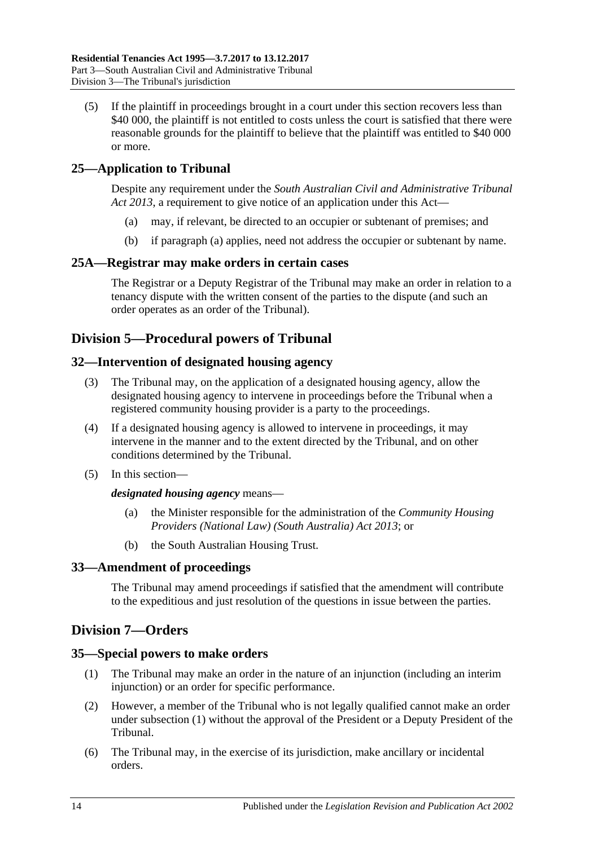(5) If the plaintiff in proceedings brought in a court under this section recovers less than \$40 000, the plaintiff is not entitled to costs unless the court is satisfied that there were reasonable grounds for the plaintiff to believe that the plaintiff was entitled to \$40 000 or more.

## <span id="page-13-7"></span><span id="page-13-0"></span>**25—Application to Tribunal**

Despite any requirement under the *[South Australian Civil and Administrative Tribunal](http://www.legislation.sa.gov.au/index.aspx?action=legref&type=act&legtitle=South%20Australian%20Civil%20and%20Administrative%20Tribunal%20Act%202013)  Act [2013](http://www.legislation.sa.gov.au/index.aspx?action=legref&type=act&legtitle=South%20Australian%20Civil%20and%20Administrative%20Tribunal%20Act%202013)*, a requirement to give notice of an application under this Act—

- (a) may, if relevant, be directed to an occupier or subtenant of premises; and
- (b) if [paragraph](#page-13-7) (a) applies, need not address the occupier or subtenant by name.

## <span id="page-13-1"></span>**25A—Registrar may make orders in certain cases**

The Registrar or a Deputy Registrar of the Tribunal may make an order in relation to a tenancy dispute with the written consent of the parties to the dispute (and such an order operates as an order of the Tribunal).

## <span id="page-13-2"></span>**Division 5—Procedural powers of Tribunal**

## <span id="page-13-3"></span>**32—Intervention of designated housing agency**

- (3) The Tribunal may, on the application of a designated housing agency, allow the designated housing agency to intervene in proceedings before the Tribunal when a registered community housing provider is a party to the proceedings.
- (4) If a designated housing agency is allowed to intervene in proceedings, it may intervene in the manner and to the extent directed by the Tribunal, and on other conditions determined by the Tribunal.
- (5) In this section—

#### *designated housing agency* means—

- (a) the Minister responsible for the administration of the *[Community Housing](http://www.legislation.sa.gov.au/index.aspx?action=legref&type=act&legtitle=Community%20Housing%20Providers%20(National%20Law)%20(South%20Australia)%20Act%202013)  [Providers \(National Law\) \(South Australia\) Act](http://www.legislation.sa.gov.au/index.aspx?action=legref&type=act&legtitle=Community%20Housing%20Providers%20(National%20Law)%20(South%20Australia)%20Act%202013) 2013*; or
- (b) the South Australian Housing Trust.

## <span id="page-13-4"></span>**33—Amendment of proceedings**

The Tribunal may amend proceedings if satisfied that the amendment will contribute to the expeditious and just resolution of the questions in issue between the parties.

## <span id="page-13-5"></span>**Division 7—Orders**

## <span id="page-13-8"></span><span id="page-13-6"></span>**35—Special powers to make orders**

- (1) The Tribunal may make an order in the nature of an injunction (including an interim injunction) or an order for specific performance.
- (2) However, a member of the Tribunal who is not legally qualified cannot make an order under [subsection](#page-13-8) (1) without the approval of the President or a Deputy President of the Tribunal.
- (6) The Tribunal may, in the exercise of its jurisdiction, make ancillary or incidental orders.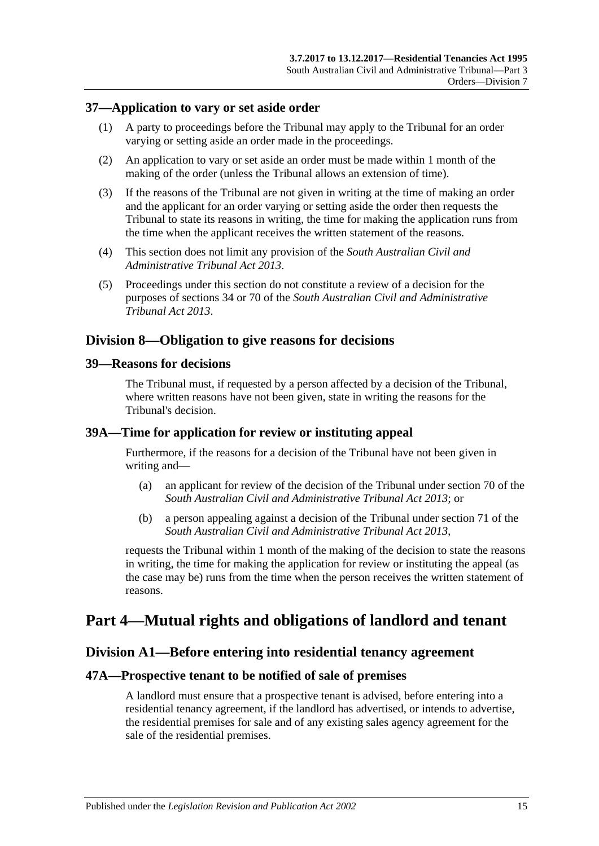#### <span id="page-14-0"></span>**37—Application to vary or set aside order**

- (1) A party to proceedings before the Tribunal may apply to the Tribunal for an order varying or setting aside an order made in the proceedings.
- (2) An application to vary or set aside an order must be made within 1 month of the making of the order (unless the Tribunal allows an extension of time).
- (3) If the reasons of the Tribunal are not given in writing at the time of making an order and the applicant for an order varying or setting aside the order then requests the Tribunal to state its reasons in writing, the time for making the application runs from the time when the applicant receives the written statement of the reasons.
- (4) This section does not limit any provision of the *[South Australian Civil and](http://www.legislation.sa.gov.au/index.aspx?action=legref&type=act&legtitle=South%20Australian%20Civil%20and%20Administrative%20Tribunal%20Act%202013)  [Administrative Tribunal Act](http://www.legislation.sa.gov.au/index.aspx?action=legref&type=act&legtitle=South%20Australian%20Civil%20and%20Administrative%20Tribunal%20Act%202013) 2013*.
- (5) Proceedings under this section do not constitute a review of a decision for the purposes of sections 34 or 70 of the *[South Australian Civil and Administrative](http://www.legislation.sa.gov.au/index.aspx?action=legref&type=act&legtitle=South%20Australian%20Civil%20and%20Administrative%20Tribunal%20Act%202013)  [Tribunal Act](http://www.legislation.sa.gov.au/index.aspx?action=legref&type=act&legtitle=South%20Australian%20Civil%20and%20Administrative%20Tribunal%20Act%202013) 2013*.

## <span id="page-14-1"></span>**Division 8—Obligation to give reasons for decisions**

#### <span id="page-14-2"></span>**39—Reasons for decisions**

The Tribunal must, if requested by a person affected by a decision of the Tribunal, where written reasons have not been given, state in writing the reasons for the Tribunal's decision.

#### <span id="page-14-3"></span>**39A—Time for application for review or instituting appeal**

Furthermore, if the reasons for a decision of the Tribunal have not been given in writing and—

- (a) an applicant for review of the decision of the Tribunal under section 70 of the *[South Australian Civil and Administrative Tribunal Act](http://www.legislation.sa.gov.au/index.aspx?action=legref&type=act&legtitle=South%20Australian%20Civil%20and%20Administrative%20Tribunal%20Act%202013) 2013*; or
- (b) a person appealing against a decision of the Tribunal under section 71 of the *[South Australian Civil and Administrative Tribunal Act](http://www.legislation.sa.gov.au/index.aspx?action=legref&type=act&legtitle=South%20Australian%20Civil%20and%20Administrative%20Tribunal%20Act%202013) 2013*,

requests the Tribunal within 1 month of the making of the decision to state the reasons in writing, the time for making the application for review or instituting the appeal (as the case may be) runs from the time when the person receives the written statement of reasons.

## <span id="page-14-5"></span><span id="page-14-4"></span>**Part 4—Mutual rights and obligations of landlord and tenant**

## **Division A1—Before entering into residential tenancy agreement**

#### <span id="page-14-6"></span>**47A—Prospective tenant to be notified of sale of premises**

A landlord must ensure that a prospective tenant is advised, before entering into a residential tenancy agreement, if the landlord has advertised, or intends to advertise, the residential premises for sale and of any existing sales agency agreement for the sale of the residential premises.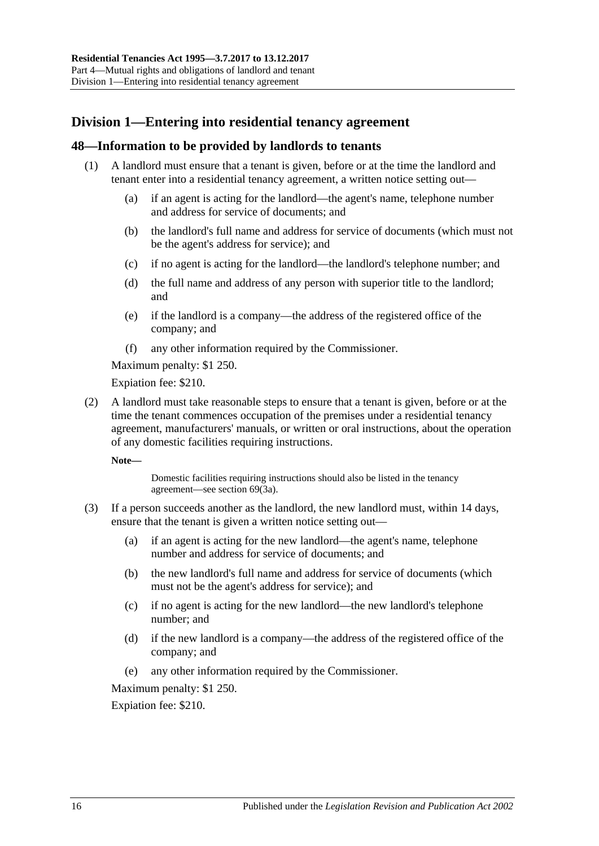## <span id="page-15-0"></span>**Division 1—Entering into residential tenancy agreement**

## <span id="page-15-1"></span>**48—Information to be provided by landlords to tenants**

- (1) A landlord must ensure that a tenant is given, before or at the time the landlord and tenant enter into a residential tenancy agreement, a written notice setting out—
	- (a) if an agent is acting for the landlord—the agent's name, telephone number and address for service of documents; and
	- (b) the landlord's full name and address for service of documents (which must not be the agent's address for service); and
	- (c) if no agent is acting for the landlord—the landlord's telephone number; and
	- (d) the full name and address of any person with superior title to the landlord; and
	- (e) if the landlord is a company—the address of the registered office of the company; and
	- (f) any other information required by the Commissioner.

Maximum penalty: \$1 250.

Expiation fee: \$210.

<span id="page-15-2"></span>(2) A landlord must take reasonable steps to ensure that a tenant is given, before or at the time the tenant commences occupation of the premises under a residential tenancy agreement, manufacturers' manuals, or written or oral instructions, about the operation of any domestic facilities requiring instructions.

**Note—**

Domestic facilities requiring instructions should also be listed in the tenancy agreement—see [section](#page-28-2) 69(3a).

- (3) If a person succeeds another as the landlord, the new landlord must, within 14 days, ensure that the tenant is given a written notice setting out—
	- (a) if an agent is acting for the new landlord—the agent's name, telephone number and address for service of documents; and
	- (b) the new landlord's full name and address for service of documents (which must not be the agent's address for service); and
	- (c) if no agent is acting for the new landlord—the new landlord's telephone number; and
	- (d) if the new landlord is a company—the address of the registered office of the company; and
	- (e) any other information required by the Commissioner.

Maximum penalty: \$1 250.

Expiation fee: \$210.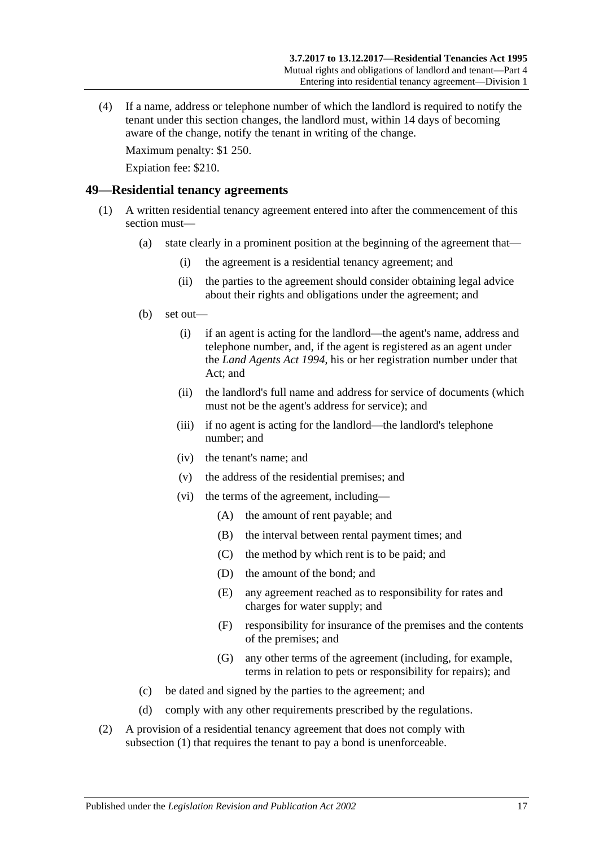(4) If a name, address or telephone number of which the landlord is required to notify the tenant under this section changes, the landlord must, within 14 days of becoming aware of the change, notify the tenant in writing of the change.

Maximum penalty: \$1 250.

Expiation fee: \$210.

#### <span id="page-16-1"></span><span id="page-16-0"></span>**49—Residential tenancy agreements**

- (1) A written residential tenancy agreement entered into after the commencement of this section must—
	- (a) state clearly in a prominent position at the beginning of the agreement that—
		- (i) the agreement is a residential tenancy agreement; and
		- (ii) the parties to the agreement should consider obtaining legal advice about their rights and obligations under the agreement; and
	- (b) set out—
		- (i) if an agent is acting for the landlord—the agent's name, address and telephone number, and, if the agent is registered as an agent under the *[Land Agents Act](http://www.legislation.sa.gov.au/index.aspx?action=legref&type=act&legtitle=Land%20Agents%20Act%201994) 1994*, his or her registration number under that Act; and
		- (ii) the landlord's full name and address for service of documents (which must not be the agent's address for service); and
		- (iii) if no agent is acting for the landlord—the landlord's telephone number; and
		- (iv) the tenant's name; and
		- (v) the address of the residential premises; and
		- (vi) the terms of the agreement, including—
			- (A) the amount of rent payable; and
			- (B) the interval between rental payment times; and
			- (C) the method by which rent is to be paid; and
			- (D) the amount of the bond; and
			- (E) any agreement reached as to responsibility for rates and charges for water supply; and
			- (F) responsibility for insurance of the premises and the contents of the premises; and
			- (G) any other terms of the agreement (including, for example, terms in relation to pets or responsibility for repairs); and
	- (c) be dated and signed by the parties to the agreement; and
	- (d) comply with any other requirements prescribed by the regulations.
- <span id="page-16-2"></span>(2) A provision of a residential tenancy agreement that does not comply with [subsection](#page-16-1) (1) that requires the tenant to pay a bond is unenforceable.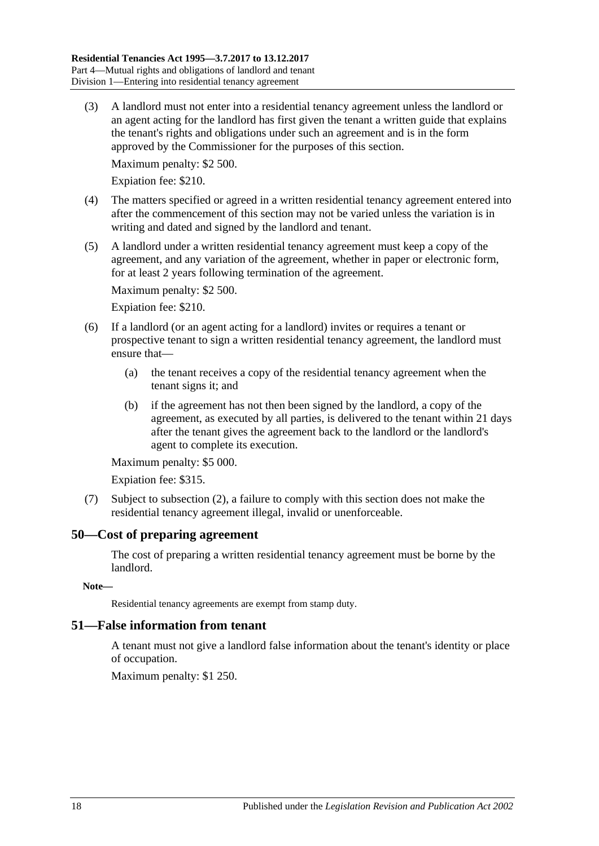(3) A landlord must not enter into a residential tenancy agreement unless the landlord or an agent acting for the landlord has first given the tenant a written guide that explains the tenant's rights and obligations under such an agreement and is in the form approved by the Commissioner for the purposes of this section.

Maximum penalty: \$2 500.

Expiation fee: \$210.

- (4) The matters specified or agreed in a written residential tenancy agreement entered into after the commencement of this section may not be varied unless the variation is in writing and dated and signed by the landlord and tenant.
- (5) A landlord under a written residential tenancy agreement must keep a copy of the agreement, and any variation of the agreement, whether in paper or electronic form, for at least 2 years following termination of the agreement.

Maximum penalty: \$2 500.

Expiation fee: \$210.

- (6) If a landlord (or an agent acting for a landlord) invites or requires a tenant or prospective tenant to sign a written residential tenancy agreement, the landlord must ensure that—
	- (a) the tenant receives a copy of the residential tenancy agreement when the tenant signs it; and
	- (b) if the agreement has not then been signed by the landlord, a copy of the agreement, as executed by all parties, is delivered to the tenant within 21 days after the tenant gives the agreement back to the landlord or the landlord's agent to complete its execution.

Maximum penalty: \$5 000.

Expiation fee: \$315.

(7) Subject to [subsection](#page-16-2) (2), a failure to comply with this section does not make the residential tenancy agreement illegal, invalid or unenforceable.

## <span id="page-17-0"></span>**50—Cost of preparing agreement**

The cost of preparing a written residential tenancy agreement must be borne by the landlord.

**Note—**

Residential tenancy agreements are exempt from stamp duty.

#### <span id="page-17-1"></span>**51—False information from tenant**

A tenant must not give a landlord false information about the tenant's identity or place of occupation.

Maximum penalty: \$1 250.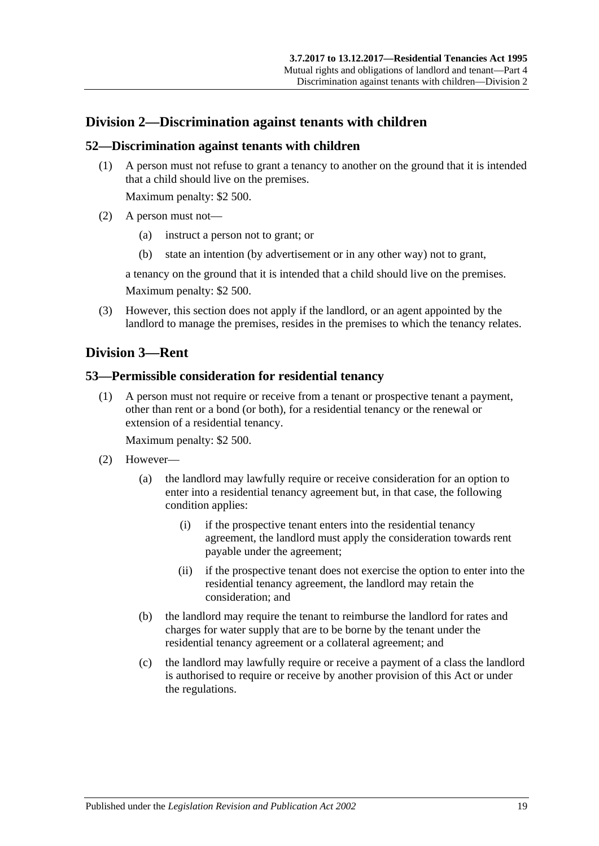## <span id="page-18-0"></span>**Division 2—Discrimination against tenants with children**

#### <span id="page-18-1"></span>**52—Discrimination against tenants with children**

(1) A person must not refuse to grant a tenancy to another on the ground that it is intended that a child should live on the premises.

Maximum penalty: \$2 500.

- (2) A person must not—
	- (a) instruct a person not to grant; or
	- (b) state an intention (by advertisement or in any other way) not to grant,

a tenancy on the ground that it is intended that a child should live on the premises. Maximum penalty: \$2 500.

(3) However, this section does not apply if the landlord, or an agent appointed by the landlord to manage the premises, resides in the premises to which the tenancy relates.

## <span id="page-18-2"></span>**Division 3—Rent**

#### <span id="page-18-3"></span>**53—Permissible consideration for residential tenancy**

(1) A person must not require or receive from a tenant or prospective tenant a payment, other than rent or a bond (or both), for a residential tenancy or the renewal or extension of a residential tenancy.

Maximum penalty: \$2 500.

- (2) However—
	- (a) the landlord may lawfully require or receive consideration for an option to enter into a residential tenancy agreement but, in that case, the following condition applies:
		- (i) if the prospective tenant enters into the residential tenancy agreement, the landlord must apply the consideration towards rent payable under the agreement;
		- (ii) if the prospective tenant does not exercise the option to enter into the residential tenancy agreement, the landlord may retain the consideration; and
	- (b) the landlord may require the tenant to reimburse the landlord for rates and charges for water supply that are to be borne by the tenant under the residential tenancy agreement or a collateral agreement; and
	- (c) the landlord may lawfully require or receive a payment of a class the landlord is authorised to require or receive by another provision of this Act or under the regulations.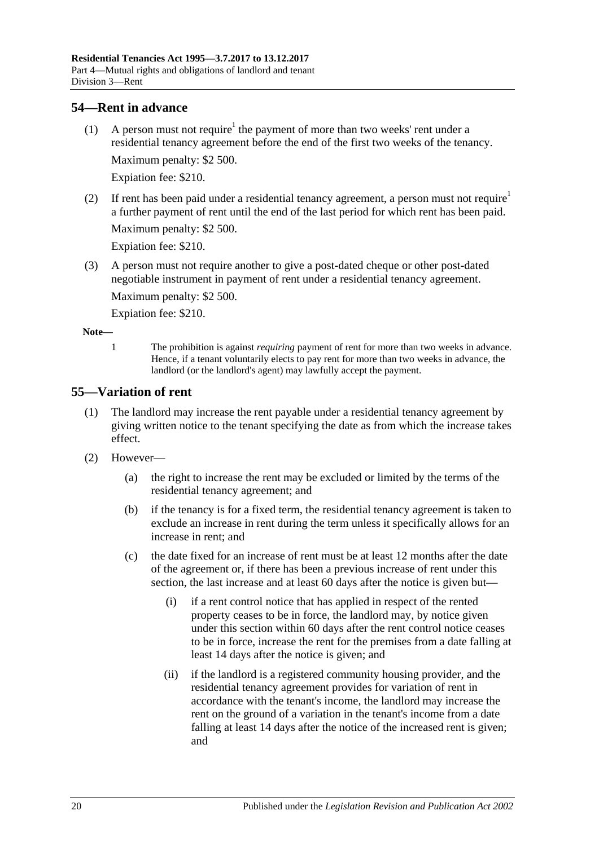## <span id="page-19-0"></span>**54—Rent in advance**

- (1) A person must not require<sup>1</sup> the payment of more than two weeks' rent under a residential tenancy agreement before the end of the first two weeks of the tenancy. Maximum penalty: \$2 500. Expiation fee: \$210.
- (2) If rent has been paid under a residential tenancy agreement, a person must not require<sup>1</sup> a further payment of rent until the end of the last period for which rent has been paid. Maximum penalty: \$2 500.

Expiation fee: \$210.

(3) A person must not require another to give a post-dated cheque or other post-dated negotiable instrument in payment of rent under a residential tenancy agreement.

Maximum penalty: \$2 500.

Expiation fee: \$210.

**Note—**

1 The prohibition is against *requiring* payment of rent for more than two weeks in advance. Hence, if a tenant voluntarily elects to pay rent for more than two weeks in advance, the landlord (or the landlord's agent) may lawfully accept the payment.

## <span id="page-19-2"></span><span id="page-19-1"></span>**55—Variation of rent**

- (1) The landlord may increase the rent payable under a residential tenancy agreement by giving written notice to the tenant specifying the date as from which the increase takes effect.
- (2) However—
	- (a) the right to increase the rent may be excluded or limited by the terms of the residential tenancy agreement; and
	- (b) if the tenancy is for a fixed term, the residential tenancy agreement is taken to exclude an increase in rent during the term unless it specifically allows for an increase in rent; and
	- (c) the date fixed for an increase of rent must be at least 12 months after the date of the agreement or, if there has been a previous increase of rent under this section, the last increase and at least 60 days after the notice is given but—
		- (i) if a rent control notice that has applied in respect of the rented property ceases to be in force, the landlord may, by notice given under this section within 60 days after the rent control notice ceases to be in force, increase the rent for the premises from a date falling at least 14 days after the notice is given; and
		- (ii) if the landlord is a registered community housing provider, and the residential tenancy agreement provides for variation of rent in accordance with the tenant's income, the landlord may increase the rent on the ground of a variation in the tenant's income from a date falling at least 14 days after the notice of the increased rent is given; and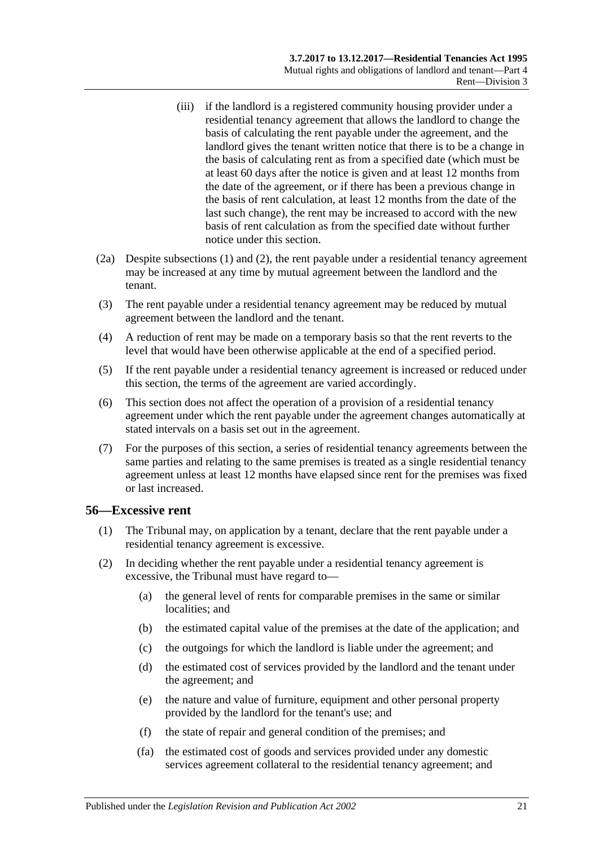- (iii) if the landlord is a registered community housing provider under a residential tenancy agreement that allows the landlord to change the basis of calculating the rent payable under the agreement, and the landlord gives the tenant written notice that there is to be a change in the basis of calculating rent as from a specified date (which must be at least 60 days after the notice is given and at least 12 months from the date of the agreement, or if there has been a previous change in the basis of rent calculation, at least 12 months from the date of the last such change), the rent may be increased to accord with the new basis of rent calculation as from the specified date without further notice under this section.
- <span id="page-20-2"></span>(2a) Despite [subsections](#page-19-2) (1) and [\(2\),](#page-20-1) the rent payable under a residential tenancy agreement may be increased at any time by mutual agreement between the landlord and the tenant.
- (3) The rent payable under a residential tenancy agreement may be reduced by mutual agreement between the landlord and the tenant.
- (4) A reduction of rent may be made on a temporary basis so that the rent reverts to the level that would have been otherwise applicable at the end of a specified period.
- (5) If the rent payable under a residential tenancy agreement is increased or reduced under this section, the terms of the agreement are varied accordingly.
- (6) This section does not affect the operation of a provision of a residential tenancy agreement under which the rent payable under the agreement changes automatically at stated intervals on a basis set out in the agreement.
- (7) For the purposes of this section, a series of residential tenancy agreements between the same parties and relating to the same premises is treated as a single residential tenancy agreement unless at least 12 months have elapsed since rent for the premises was fixed or last increased.

#### <span id="page-20-0"></span>**56—Excessive rent**

- (1) The Tribunal may, on application by a tenant, declare that the rent payable under a residential tenancy agreement is excessive.
- <span id="page-20-1"></span>(2) In deciding whether the rent payable under a residential tenancy agreement is excessive, the Tribunal must have regard to—
	- (a) the general level of rents for comparable premises in the same or similar localities; and
	- (b) the estimated capital value of the premises at the date of the application; and
	- (c) the outgoings for which the landlord is liable under the agreement; and
	- (d) the estimated cost of services provided by the landlord and the tenant under the agreement; and
	- (e) the nature and value of furniture, equipment and other personal property provided by the landlord for the tenant's use; and
	- (f) the state of repair and general condition of the premises; and
	- (fa) the estimated cost of goods and services provided under any domestic services agreement collateral to the residential tenancy agreement; and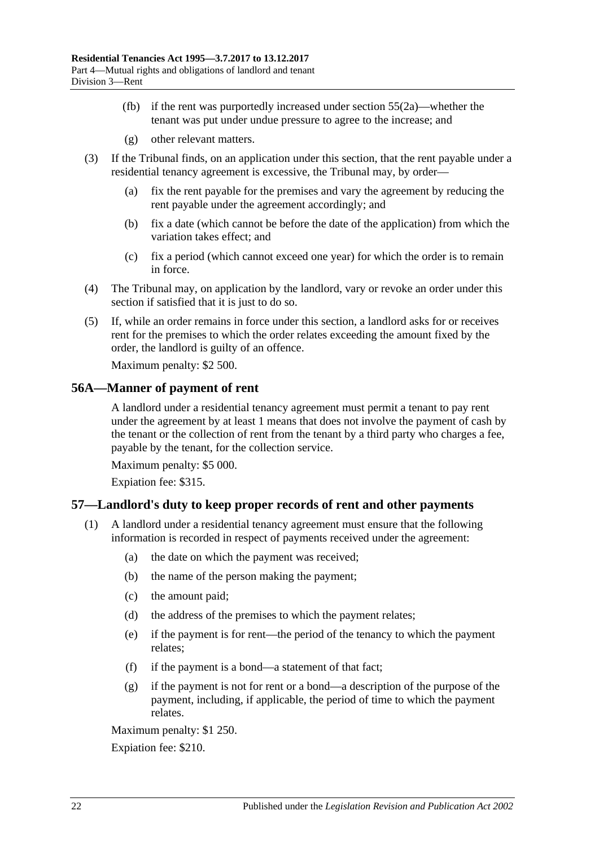- (fb) if the rent was purportedly increased under [section](#page-20-2) 55(2a)—whether the tenant was put under undue pressure to agree to the increase; and
- (g) other relevant matters.
- (3) If the Tribunal finds, on an application under this section, that the rent payable under a residential tenancy agreement is excessive, the Tribunal may, by order—
	- (a) fix the rent payable for the premises and vary the agreement by reducing the rent payable under the agreement accordingly; and
	- (b) fix a date (which cannot be before the date of the application) from which the variation takes effect; and
	- (c) fix a period (which cannot exceed one year) for which the order is to remain in force.
- (4) The Tribunal may, on application by the landlord, vary or revoke an order under this section if satisfied that it is just to do so.
- (5) If, while an order remains in force under this section, a landlord asks for or receives rent for the premises to which the order relates exceeding the amount fixed by the order, the landlord is guilty of an offence.

Maximum penalty: \$2 500.

#### <span id="page-21-0"></span>**56A—Manner of payment of rent**

A landlord under a residential tenancy agreement must permit a tenant to pay rent under the agreement by at least 1 means that does not involve the payment of cash by the tenant or the collection of rent from the tenant by a third party who charges a fee, payable by the tenant, for the collection service.

Maximum penalty: \$5 000.

Expiation fee: \$315.

## <span id="page-21-2"></span><span id="page-21-1"></span>**57—Landlord's duty to keep proper records of rent and other payments**

- (1) A landlord under a residential tenancy agreement must ensure that the following information is recorded in respect of payments received under the agreement:
	- (a) the date on which the payment was received;
	- (b) the name of the person making the payment;
	- (c) the amount paid;
	- (d) the address of the premises to which the payment relates;
	- (e) if the payment is for rent—the period of the tenancy to which the payment relates;
	- (f) if the payment is a bond—a statement of that fact;
	- (g) if the payment is not for rent or a bond—a description of the purpose of the payment, including, if applicable, the period of time to which the payment relates.

Maximum penalty: \$1 250.

Expiation fee: \$210.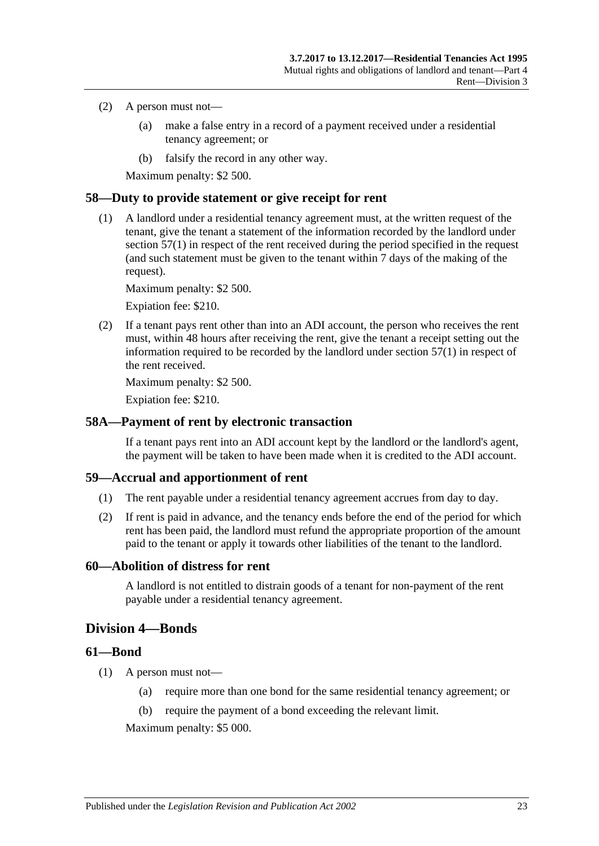#### (2) A person must not—

- (a) make a false entry in a record of a payment received under a residential tenancy agreement; or
- (b) falsify the record in any other way.

Maximum penalty: \$2 500.

## <span id="page-22-0"></span>**58—Duty to provide statement or give receipt for rent**

(1) A landlord under a residential tenancy agreement must, at the written request of the tenant, give the tenant a statement of the information recorded by the landlord under [section](#page-21-2) 57(1) in respect of the rent received during the period specified in the request (and such statement must be given to the tenant within 7 days of the making of the request).

Maximum penalty: \$2 500.

Expiation fee: \$210.

(2) If a tenant pays rent other than into an ADI account, the person who receives the rent must, within 48 hours after receiving the rent, give the tenant a receipt setting out the information required to be recorded by the landlord under [section](#page-21-2) 57(1) in respect of the rent received.

Maximum penalty: \$2 500.

Expiation fee: \$210.

#### <span id="page-22-1"></span>**58A—Payment of rent by electronic transaction**

If a tenant pays rent into an ADI account kept by the landlord or the landlord's agent, the payment will be taken to have been made when it is credited to the ADI account.

## <span id="page-22-2"></span>**59—Accrual and apportionment of rent**

- (1) The rent payable under a residential tenancy agreement accrues from day to day.
- (2) If rent is paid in advance, and the tenancy ends before the end of the period for which rent has been paid, the landlord must refund the appropriate proportion of the amount paid to the tenant or apply it towards other liabilities of the tenant to the landlord.

#### <span id="page-22-3"></span>**60—Abolition of distress for rent**

A landlord is not entitled to distrain goods of a tenant for non-payment of the rent payable under a residential tenancy agreement.

## <span id="page-22-4"></span>**Division 4—Bonds**

#### <span id="page-22-5"></span>**61—Bond**

- (1) A person must not—
	- (a) require more than one bond for the same residential tenancy agreement; or
	- (b) require the payment of a bond exceeding the relevant limit.

Maximum penalty: \$5 000.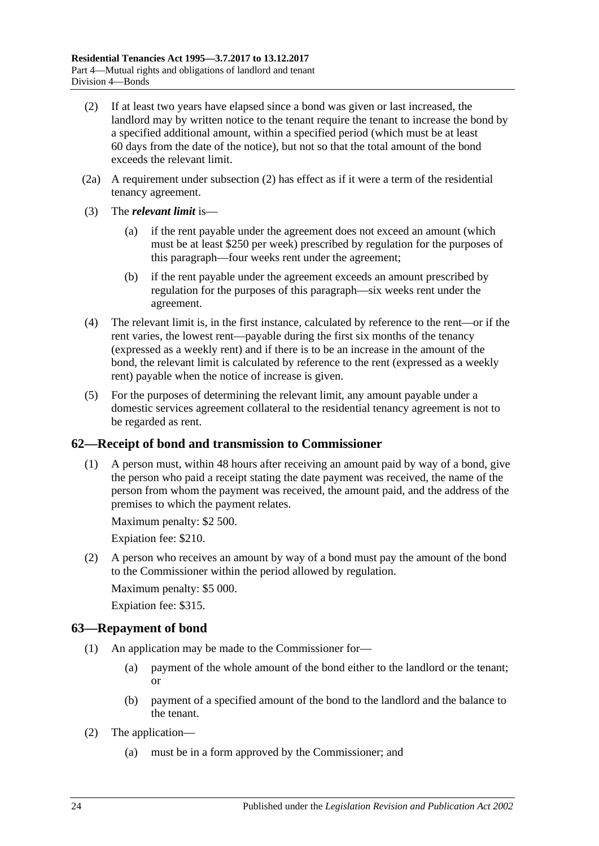- <span id="page-23-2"></span>(2) If at least two years have elapsed since a bond was given or last increased, the landlord may by written notice to the tenant require the tenant to increase the bond by a specified additional amount, within a specified period (which must be at least 60 days from the date of the notice), but not so that the total amount of the bond exceeds the relevant limit.
- (2a) A requirement under [subsection](#page-23-2) (2) has effect as if it were a term of the residential tenancy agreement.
- (3) The *relevant limit* is—
	- (a) if the rent payable under the agreement does not exceed an amount (which must be at least \$250 per week) prescribed by regulation for the purposes of this paragraph—four weeks rent under the agreement;
	- (b) if the rent payable under the agreement exceeds an amount prescribed by regulation for the purposes of this paragraph—six weeks rent under the agreement.
- (4) The relevant limit is, in the first instance, calculated by reference to the rent—or if the rent varies, the lowest rent—payable during the first six months of the tenancy (expressed as a weekly rent) and if there is to be an increase in the amount of the bond, the relevant limit is calculated by reference to the rent (expressed as a weekly rent) payable when the notice of increase is given.
- (5) For the purposes of determining the relevant limit, any amount payable under a domestic services agreement collateral to the residential tenancy agreement is not to be regarded as rent.

## <span id="page-23-0"></span>**62—Receipt of bond and transmission to Commissioner**

(1) A person must, within 48 hours after receiving an amount paid by way of a bond, give the person who paid a receipt stating the date payment was received, the name of the person from whom the payment was received, the amount paid, and the address of the premises to which the payment relates.

Maximum penalty: \$2 500.

Expiation fee: \$210.

(2) A person who receives an amount by way of a bond must pay the amount of the bond to the Commissioner within the period allowed by regulation.

Maximum penalty: \$5 000.

Expiation fee: \$315.

## <span id="page-23-1"></span>**63—Repayment of bond**

- (1) An application may be made to the Commissioner for—
	- (a) payment of the whole amount of the bond either to the landlord or the tenant; or
	- (b) payment of a specified amount of the bond to the landlord and the balance to the tenant.
- (2) The application—
	- (a) must be in a form approved by the Commissioner; and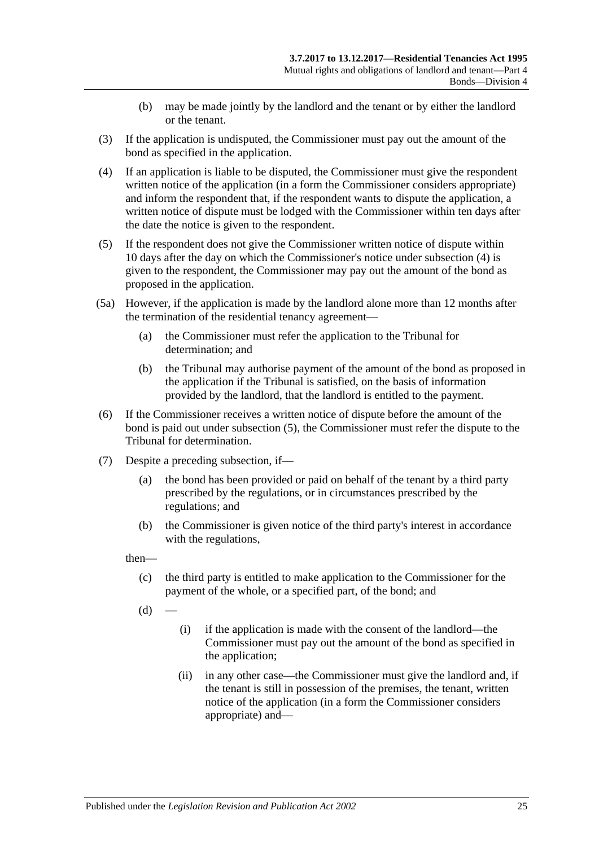- (b) may be made jointly by the landlord and the tenant or by either the landlord or the tenant.
- (3) If the application is undisputed, the Commissioner must pay out the amount of the bond as specified in the application.
- <span id="page-24-0"></span>(4) If an application is liable to be disputed, the Commissioner must give the respondent written notice of the application (in a form the Commissioner considers appropriate) and inform the respondent that, if the respondent wants to dispute the application, a written notice of dispute must be lodged with the Commissioner within ten days after the date the notice is given to the respondent.
- <span id="page-24-1"></span>(5) If the respondent does not give the Commissioner written notice of dispute within 10 days after the day on which the Commissioner's notice under [subsection](#page-24-0) (4) is given to the respondent, the Commissioner may pay out the amount of the bond as proposed in the application.
- (5a) However, if the application is made by the landlord alone more than 12 months after the termination of the residential tenancy agreement—
	- (a) the Commissioner must refer the application to the Tribunal for determination; and
	- (b) the Tribunal may authorise payment of the amount of the bond as proposed in the application if the Tribunal is satisfied, on the basis of information provided by the landlord, that the landlord is entitled to the payment.
- (6) If the Commissioner receives a written notice of dispute before the amount of the bond is paid out under [subsection](#page-24-1) (5), the Commissioner must refer the dispute to the Tribunal for determination.
- <span id="page-24-2"></span>(7) Despite a preceding subsection, if—
	- (a) the bond has been provided or paid on behalf of the tenant by a third party prescribed by the regulations, or in circumstances prescribed by the regulations; and
	- (b) the Commissioner is given notice of the third party's interest in accordance with the regulations,

then—

- (c) the third party is entitled to make application to the Commissioner for the payment of the whole, or a specified part, of the bond; and
- $(d)$
- (i) if the application is made with the consent of the landlord—the Commissioner must pay out the amount of the bond as specified in the application;
- (ii) in any other case—the Commissioner must give the landlord and, if the tenant is still in possession of the premises, the tenant, written notice of the application (in a form the Commissioner considers appropriate) and—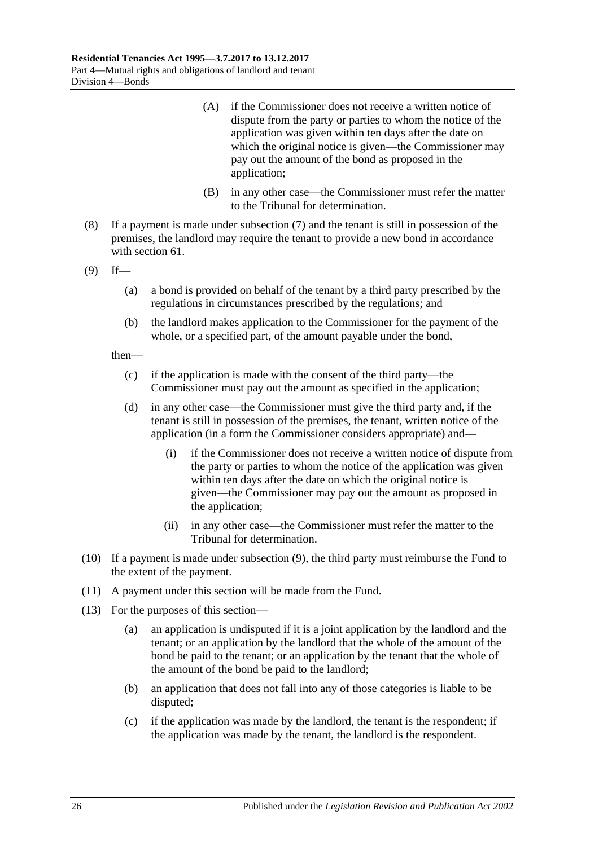- (A) if the Commissioner does not receive a written notice of dispute from the party or parties to whom the notice of the application was given within ten days after the date on which the original notice is given—the Commissioner may pay out the amount of the bond as proposed in the application;
- (B) in any other case—the Commissioner must refer the matter to the Tribunal for determination.
- (8) If a payment is made under [subsection](#page-24-2) (7) and the tenant is still in possession of the premises, the landlord may require the tenant to provide a new bond in accordance with [section](#page-22-5) 61.
- <span id="page-25-0"></span> $(9)$  If—
	- (a) a bond is provided on behalf of the tenant by a third party prescribed by the regulations in circumstances prescribed by the regulations; and
	- (b) the landlord makes application to the Commissioner for the payment of the whole, or a specified part, of the amount payable under the bond,

then—

- (c) if the application is made with the consent of the third party—the Commissioner must pay out the amount as specified in the application;
- (d) in any other case—the Commissioner must give the third party and, if the tenant is still in possession of the premises, the tenant, written notice of the application (in a form the Commissioner considers appropriate) and—
	- (i) if the Commissioner does not receive a written notice of dispute from the party or parties to whom the notice of the application was given within ten days after the date on which the original notice is given—the Commissioner may pay out the amount as proposed in the application;
	- (ii) in any other case—the Commissioner must refer the matter to the Tribunal for determination.
- (10) If a payment is made under [subsection](#page-25-0) (9), the third party must reimburse the Fund to the extent of the payment.
- (11) A payment under this section will be made from the Fund.
- (13) For the purposes of this section—
	- (a) an application is undisputed if it is a joint application by the landlord and the tenant; or an application by the landlord that the whole of the amount of the bond be paid to the tenant; or an application by the tenant that the whole of the amount of the bond be paid to the landlord;
	- (b) an application that does not fall into any of those categories is liable to be disputed;
	- (c) if the application was made by the landlord, the tenant is the respondent; if the application was made by the tenant, the landlord is the respondent.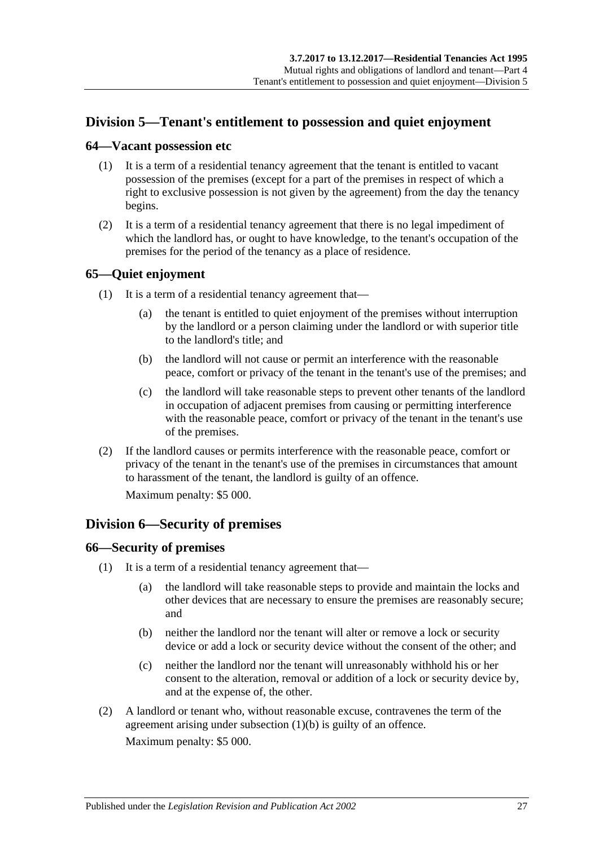## <span id="page-26-0"></span>**Division 5—Tenant's entitlement to possession and quiet enjoyment**

#### <span id="page-26-1"></span>**64—Vacant possession etc**

- (1) It is a term of a residential tenancy agreement that the tenant is entitled to vacant possession of the premises (except for a part of the premises in respect of which a right to exclusive possession is not given by the agreement) from the day the tenancy begins.
- (2) It is a term of a residential tenancy agreement that there is no legal impediment of which the landlord has, or ought to have knowledge, to the tenant's occupation of the premises for the period of the tenancy as a place of residence.

## <span id="page-26-2"></span>**65—Quiet enjoyment**

- (1) It is a term of a residential tenancy agreement that—
	- (a) the tenant is entitled to quiet enjoyment of the premises without interruption by the landlord or a person claiming under the landlord or with superior title to the landlord's title; and
	- (b) the landlord will not cause or permit an interference with the reasonable peace, comfort or privacy of the tenant in the tenant's use of the premises; and
	- (c) the landlord will take reasonable steps to prevent other tenants of the landlord in occupation of adjacent premises from causing or permitting interference with the reasonable peace, comfort or privacy of the tenant in the tenant's use of the premises.
- (2) If the landlord causes or permits interference with the reasonable peace, comfort or privacy of the tenant in the tenant's use of the premises in circumstances that amount to harassment of the tenant, the landlord is guilty of an offence.

Maximum penalty: \$5 000.

## <span id="page-26-3"></span>**Division 6—Security of premises**

## <span id="page-26-4"></span>**66—Security of premises**

- <span id="page-26-5"></span>(1) It is a term of a residential tenancy agreement that—
	- (a) the landlord will take reasonable steps to provide and maintain the locks and other devices that are necessary to ensure the premises are reasonably secure; and
	- (b) neither the landlord nor the tenant will alter or remove a lock or security device or add a lock or security device without the consent of the other; and
	- (c) neither the landlord nor the tenant will unreasonably withhold his or her consent to the alteration, removal or addition of a lock or security device by, and at the expense of, the other.
- (2) A landlord or tenant who, without reasonable excuse, contravenes the term of the agreement arising under [subsection](#page-26-5) (1)(b) is guilty of an offence. Maximum penalty: \$5 000.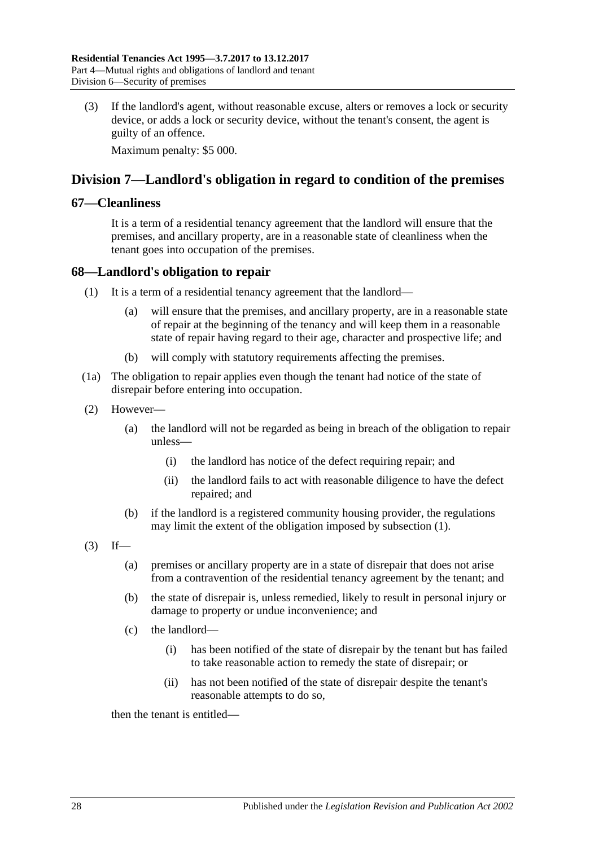(3) If the landlord's agent, without reasonable excuse, alters or removes a lock or security device, or adds a lock or security device, without the tenant's consent, the agent is guilty of an offence.

Maximum penalty: \$5 000.

## <span id="page-27-0"></span>**Division 7—Landlord's obligation in regard to condition of the premises**

#### <span id="page-27-1"></span>**67—Cleanliness**

It is a term of a residential tenancy agreement that the landlord will ensure that the premises, and ancillary property, are in a reasonable state of cleanliness when the tenant goes into occupation of the premises.

#### <span id="page-27-3"></span><span id="page-27-2"></span>**68—Landlord's obligation to repair**

- (1) It is a term of a residential tenancy agreement that the landlord—
	- (a) will ensure that the premises, and ancillary property, are in a reasonable state of repair at the beginning of the tenancy and will keep them in a reasonable state of repair having regard to their age, character and prospective life; and
	- (b) will comply with statutory requirements affecting the premises.
- (1a) The obligation to repair applies even though the tenant had notice of the state of disrepair before entering into occupation.
- (2) However—
	- (a) the landlord will not be regarded as being in breach of the obligation to repair unless—
		- (i) the landlord has notice of the defect requiring repair; and
		- (ii) the landlord fails to act with reasonable diligence to have the defect repaired; and
	- (b) if the landlord is a registered community housing provider, the regulations may limit the extent of the obligation imposed by [subsection](#page-27-3) (1).
- $(3)$  If—
	- (a) premises or ancillary property are in a state of disrepair that does not arise from a contravention of the residential tenancy agreement by the tenant; and
	- (b) the state of disrepair is, unless remedied, likely to result in personal injury or damage to property or undue inconvenience; and
	- (c) the landlord—
		- (i) has been notified of the state of disrepair by the tenant but has failed to take reasonable action to remedy the state of disrepair; or
		- (ii) has not been notified of the state of disrepair despite the tenant's reasonable attempts to do so,

then the tenant is entitled—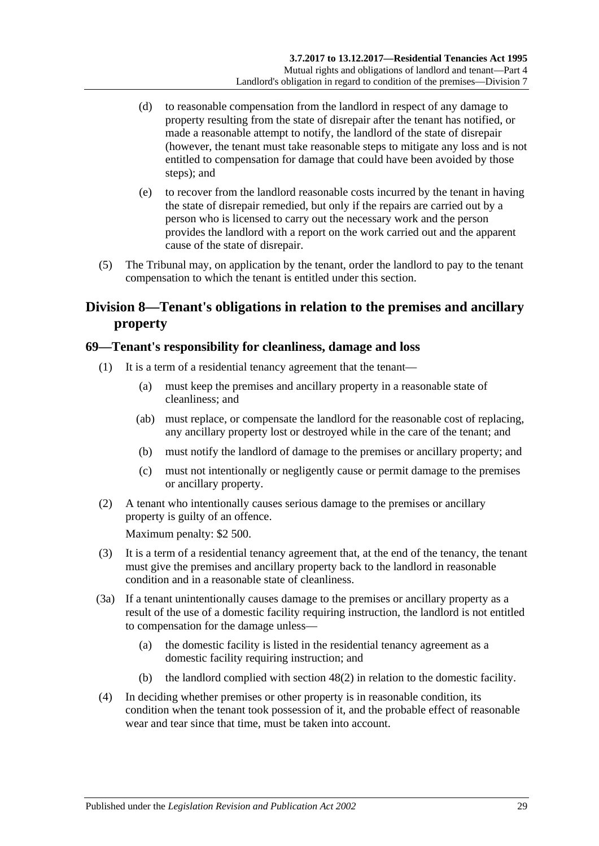- (d) to reasonable compensation from the landlord in respect of any damage to property resulting from the state of disrepair after the tenant has notified, or made a reasonable attempt to notify, the landlord of the state of disrepair (however, the tenant must take reasonable steps to mitigate any loss and is not entitled to compensation for damage that could have been avoided by those steps); and
- (e) to recover from the landlord reasonable costs incurred by the tenant in having the state of disrepair remedied, but only if the repairs are carried out by a person who is licensed to carry out the necessary work and the person provides the landlord with a report on the work carried out and the apparent cause of the state of disrepair.
- (5) The Tribunal may, on application by the tenant, order the landlord to pay to the tenant compensation to which the tenant is entitled under this section.

## <span id="page-28-0"></span>**Division 8—Tenant's obligations in relation to the premises and ancillary property**

## <span id="page-28-1"></span>**69—Tenant's responsibility for cleanliness, damage and loss**

- (1) It is a term of a residential tenancy agreement that the tenant—
	- (a) must keep the premises and ancillary property in a reasonable state of cleanliness; and
	- (ab) must replace, or compensate the landlord for the reasonable cost of replacing, any ancillary property lost or destroyed while in the care of the tenant; and
	- (b) must notify the landlord of damage to the premises or ancillary property; and
	- (c) must not intentionally or negligently cause or permit damage to the premises or ancillary property.
- (2) A tenant who intentionally causes serious damage to the premises or ancillary property is guilty of an offence.

Maximum penalty: \$2 500.

- (3) It is a term of a residential tenancy agreement that, at the end of the tenancy, the tenant must give the premises and ancillary property back to the landlord in reasonable condition and in a reasonable state of cleanliness.
- <span id="page-28-2"></span>(3a) If a tenant unintentionally causes damage to the premises or ancillary property as a result of the use of a domestic facility requiring instruction, the landlord is not entitled to compensation for the damage unless—
	- (a) the domestic facility is listed in the residential tenancy agreement as a domestic facility requiring instruction; and
	- (b) the landlord complied with [section](#page-15-2) 48(2) in relation to the domestic facility.
- (4) In deciding whether premises or other property is in reasonable condition, its condition when the tenant took possession of it, and the probable effect of reasonable wear and tear since that time, must be taken into account.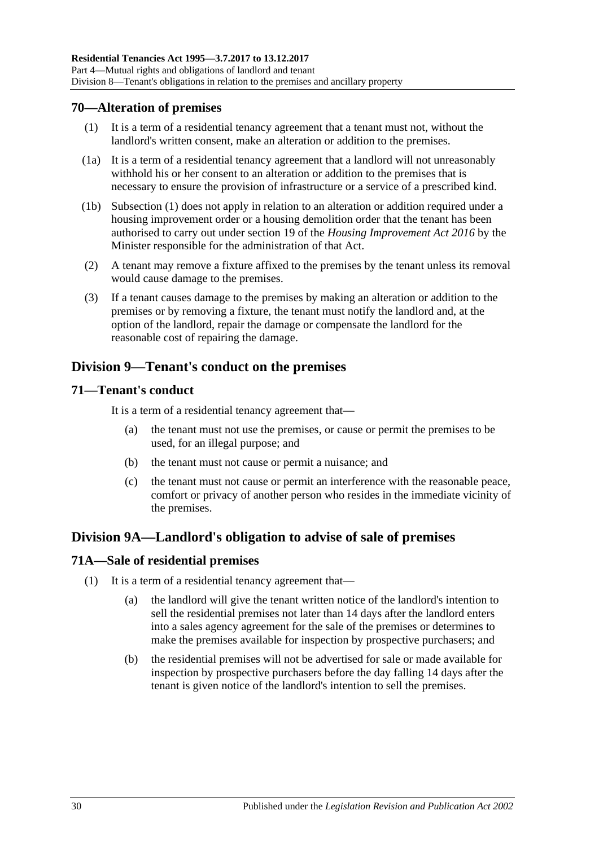## <span id="page-29-5"></span><span id="page-29-0"></span>**70—Alteration of premises**

- (1) It is a term of a residential tenancy agreement that a tenant must not, without the landlord's written consent, make an alteration or addition to the premises.
- (1a) It is a term of a residential tenancy agreement that a landlord will not unreasonably withhold his or her consent to an alteration or addition to the premises that is necessary to ensure the provision of infrastructure or a service of a prescribed kind.
- (1b) [Subsection](#page-29-5) (1) does not apply in relation to an alteration or addition required under a housing improvement order or a housing demolition order that the tenant has been authorised to carry out under section 19 of the *[Housing Improvement Act](http://www.legislation.sa.gov.au/index.aspx?action=legref&type=act&legtitle=Housing%20Improvement%20Act%202016) 2016* by the Minister responsible for the administration of that Act.
- (2) A tenant may remove a fixture affixed to the premises by the tenant unless its removal would cause damage to the premises.
- (3) If a tenant causes damage to the premises by making an alteration or addition to the premises or by removing a fixture, the tenant must notify the landlord and, at the option of the landlord, repair the damage or compensate the landlord for the reasonable cost of repairing the damage.

## <span id="page-29-1"></span>**Division 9—Tenant's conduct on the premises**

## <span id="page-29-2"></span>**71—Tenant's conduct**

It is a term of a residential tenancy agreement that—

- (a) the tenant must not use the premises, or cause or permit the premises to be used, for an illegal purpose; and
- (b) the tenant must not cause or permit a nuisance; and
- (c) the tenant must not cause or permit an interference with the reasonable peace, comfort or privacy of another person who resides in the immediate vicinity of the premises.

## <span id="page-29-3"></span>**Division 9A—Landlord's obligation to advise of sale of premises**

## <span id="page-29-4"></span>**71A—Sale of residential premises**

- (1) It is a term of a residential tenancy agreement that—
	- (a) the landlord will give the tenant written notice of the landlord's intention to sell the residential premises not later than 14 days after the landlord enters into a sales agency agreement for the sale of the premises or determines to make the premises available for inspection by prospective purchasers; and
	- (b) the residential premises will not be advertised for sale or made available for inspection by prospective purchasers before the day falling 14 days after the tenant is given notice of the landlord's intention to sell the premises.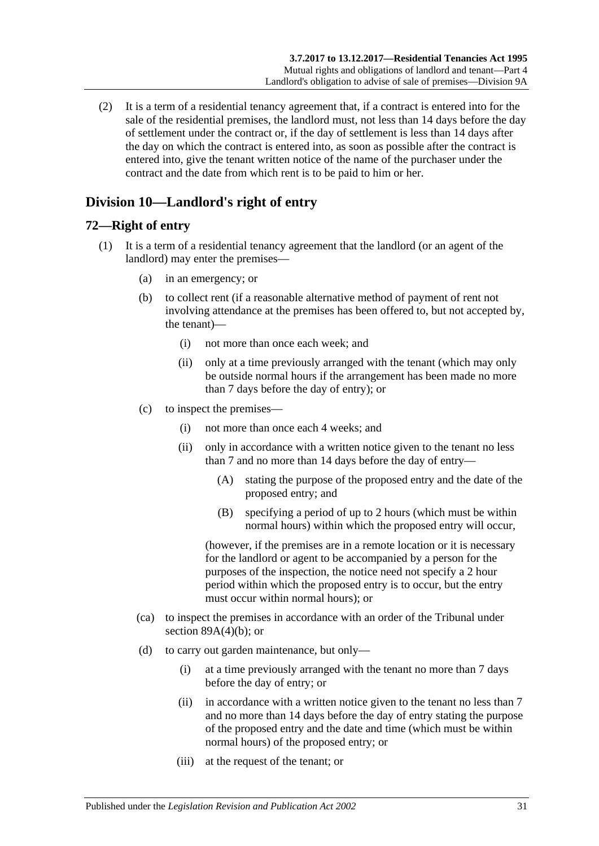(2) It is a term of a residential tenancy agreement that, if a contract is entered into for the sale of the residential premises, the landlord must, not less than 14 days before the day of settlement under the contract or, if the day of settlement is less than 14 days after the day on which the contract is entered into, as soon as possible after the contract is entered into, give the tenant written notice of the name of the purchaser under the contract and the date from which rent is to be paid to him or her.

## <span id="page-30-0"></span>**Division 10—Landlord's right of entry**

## <span id="page-30-1"></span>**72—Right of entry**

- <span id="page-30-2"></span>(1) It is a term of a residential tenancy agreement that the landlord (or an agent of the landlord) may enter the premises—
	- (a) in an emergency; or
	- (b) to collect rent (if a reasonable alternative method of payment of rent not involving attendance at the premises has been offered to, but not accepted by, the tenant)—
		- (i) not more than once each week; and
		- (ii) only at a time previously arranged with the tenant (which may only be outside normal hours if the arrangement has been made no more than 7 days before the day of entry); or
	- (c) to inspect the premises—
		- (i) not more than once each 4 weeks; and
		- (ii) only in accordance with a written notice given to the tenant no less than 7 and no more than 14 days before the day of entry—
			- (A) stating the purpose of the proposed entry and the date of the proposed entry; and
			- (B) specifying a period of up to 2 hours (which must be within normal hours) within which the proposed entry will occur,

(however, if the premises are in a remote location or it is necessary for the landlord or agent to be accompanied by a person for the purposes of the inspection, the notice need not specify a 2 hour period within which the proposed entry is to occur, but the entry must occur within normal hours); or

- (ca) to inspect the premises in accordance with an order of the Tribunal under section  $89A(4)(b)$ ; or
- (d) to carry out garden maintenance, but only—
	- (i) at a time previously arranged with the tenant no more than 7 days before the day of entry; or
	- (ii) in accordance with a written notice given to the tenant no less than 7 and no more than 14 days before the day of entry stating the purpose of the proposed entry and the date and time (which must be within normal hours) of the proposed entry; or
	- (iii) at the request of the tenant; or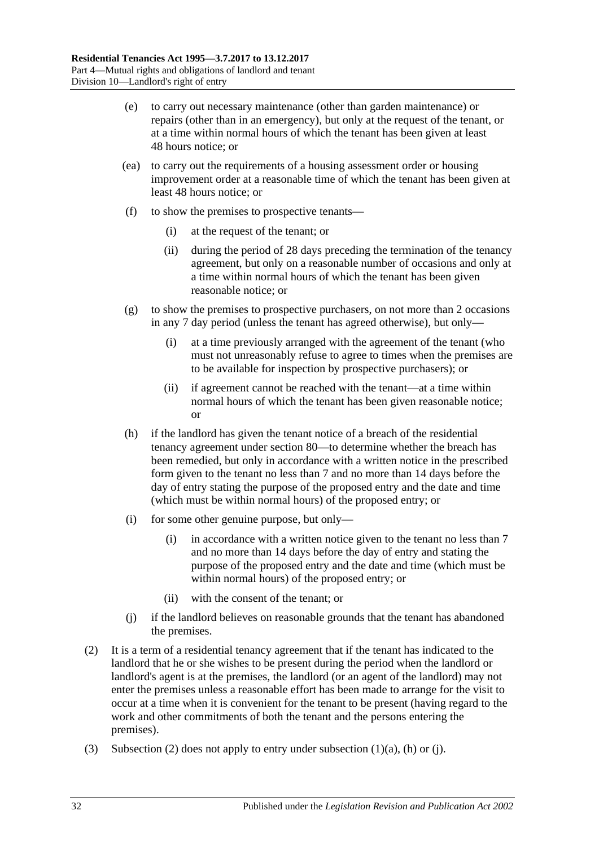- (e) to carry out necessary maintenance (other than garden maintenance) or repairs (other than in an emergency), but only at the request of the tenant, or at a time within normal hours of which the tenant has been given at least 48 hours notice; or
- (ea) to carry out the requirements of a housing assessment order or housing improvement order at a reasonable time of which the tenant has been given at least 48 hours notice; or
- (f) to show the premises to prospective tenants—
	- (i) at the request of the tenant; or
	- (ii) during the period of 28 days preceding the termination of the tenancy agreement, but only on a reasonable number of occasions and only at a time within normal hours of which the tenant has been given reasonable notice; or
- (g) to show the premises to prospective purchasers, on not more than 2 occasions in any 7 day period (unless the tenant has agreed otherwise), but only—
	- (i) at a time previously arranged with the agreement of the tenant (who must not unreasonably refuse to agree to times when the premises are to be available for inspection by prospective purchasers); or
	- (ii) if agreement cannot be reached with the tenant—at a time within normal hours of which the tenant has been given reasonable notice; or
- <span id="page-31-1"></span>(h) if the landlord has given the tenant notice of a breach of the residential tenancy agreement under [section](#page-36-2) 80—to determine whether the breach has been remedied, but only in accordance with a written notice in the prescribed form given to the tenant no less than 7 and no more than 14 days before the day of entry stating the purpose of the proposed entry and the date and time (which must be within normal hours) of the proposed entry; or
- (i) for some other genuine purpose, but only—
	- (i) in accordance with a written notice given to the tenant no less than 7 and no more than 14 days before the day of entry and stating the purpose of the proposed entry and the date and time (which must be within normal hours) of the proposed entry; or
	- (ii) with the consent of the tenant; or
- (j) if the landlord believes on reasonable grounds that the tenant has abandoned the premises.
- <span id="page-31-2"></span><span id="page-31-0"></span>(2) It is a term of a residential tenancy agreement that if the tenant has indicated to the landlord that he or she wishes to be present during the period when the landlord or landlord's agent is at the premises, the landlord (or an agent of the landlord) may not enter the premises unless a reasonable effort has been made to arrange for the visit to occur at a time when it is convenient for the tenant to be present (having regard to the work and other commitments of both the tenant and the persons entering the premises).
- (3) [Subsection](#page-31-0) (2) does not apply to entry under [subsection](#page-30-2)  $(1)(a)$ ,  $(h)$  or  $(i)$ .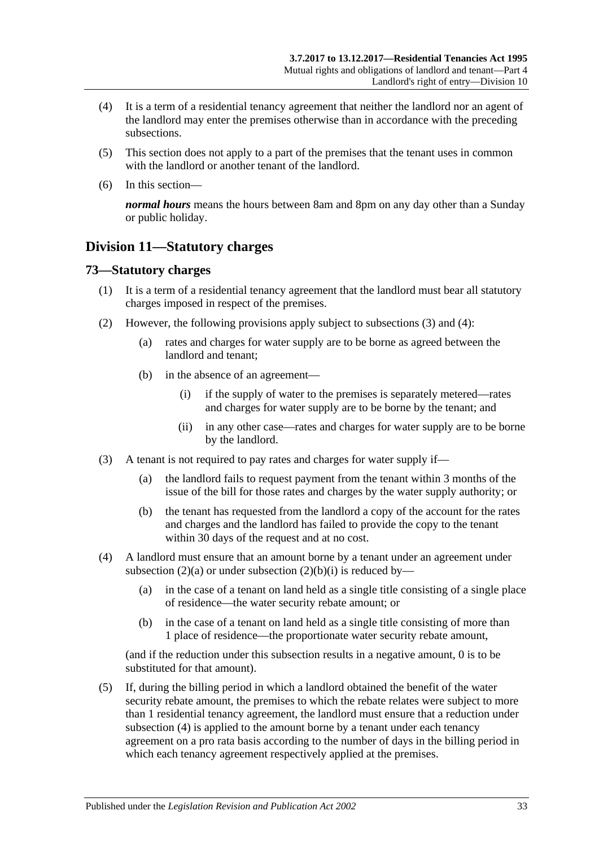- (4) It is a term of a residential tenancy agreement that neither the landlord nor an agent of the landlord may enter the premises otherwise than in accordance with the preceding subsections.
- (5) This section does not apply to a part of the premises that the tenant uses in common with the landlord or another tenant of the landlord.
- (6) In this section—

*normal hours* means the hours between 8am and 8pm on any day other than a Sunday or public holiday.

## <span id="page-32-0"></span>**Division 11—Statutory charges**

#### <span id="page-32-1"></span>**73—Statutory charges**

- (1) It is a term of a residential tenancy agreement that the landlord must bear all statutory charges imposed in respect of the premises.
- <span id="page-32-5"></span><span id="page-32-4"></span>(2) However, the following provisions apply subject to [subsections](#page-32-2) (3) and [\(4\):](#page-32-3)
	- (a) rates and charges for water supply are to be borne as agreed between the landlord and tenant;
	- (b) in the absence of an agreement—
		- (i) if the supply of water to the premises is separately metered—rates and charges for water supply are to be borne by the tenant; and
		- (ii) in any other case—rates and charges for water supply are to be borne by the landlord.
- <span id="page-32-2"></span>(3) A tenant is not required to pay rates and charges for water supply if—
	- (a) the landlord fails to request payment from the tenant within 3 months of the issue of the bill for those rates and charges by the water supply authority; or
	- (b) the tenant has requested from the landlord a copy of the account for the rates and charges and the landlord has failed to provide the copy to the tenant within 30 days of the request and at no cost.
- <span id="page-32-3"></span>(4) A landlord must ensure that an amount borne by a tenant under an agreement under [subsection](#page-32-4) (2)(a) or under [subsection](#page-32-5) (2)(b)(i) is reduced by—
	- (a) in the case of a tenant on land held as a single title consisting of a single place of residence—the water security rebate amount; or
	- (b) in the case of a tenant on land held as a single title consisting of more than 1 place of residence—the proportionate water security rebate amount,

(and if the reduction under this subsection results in a negative amount, 0 is to be substituted for that amount).

(5) If, during the billing period in which a landlord obtained the benefit of the water security rebate amount, the premises to which the rebate relates were subject to more than 1 residential tenancy agreement, the landlord must ensure that a reduction under [subsection](#page-32-3) (4) is applied to the amount borne by a tenant under each tenancy agreement on a pro rata basis according to the number of days in the billing period in which each tenancy agreement respectively applied at the premises.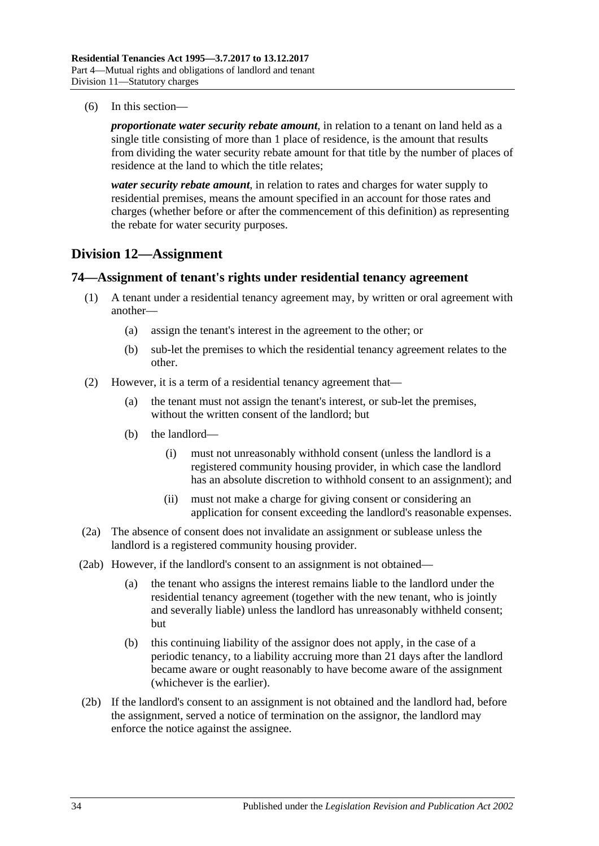(6) In this section—

*proportionate water security rebate amount*, in relation to a tenant on land held as a single title consisting of more than 1 place of residence, is the amount that results from dividing the water security rebate amount for that title by the number of places of residence at the land to which the title relates;

*water security rebate amount*, in relation to rates and charges for water supply to residential premises, means the amount specified in an account for those rates and charges (whether before or after the commencement of this definition) as representing the rebate for water security purposes.

## <span id="page-33-0"></span>**Division 12—Assignment**

#### <span id="page-33-1"></span>**74—Assignment of tenant's rights under residential tenancy agreement**

- (1) A tenant under a residential tenancy agreement may, by written or oral agreement with another—
	- (a) assign the tenant's interest in the agreement to the other; or
	- (b) sub-let the premises to which the residential tenancy agreement relates to the other.
- (2) However, it is a term of a residential tenancy agreement that—
	- (a) the tenant must not assign the tenant's interest, or sub-let the premises, without the written consent of the landlord; but
	- (b) the landlord—
		- (i) must not unreasonably withhold consent (unless the landlord is a registered community housing provider, in which case the landlord has an absolute discretion to withhold consent to an assignment); and
		- (ii) must not make a charge for giving consent or considering an application for consent exceeding the landlord's reasonable expenses.
- (2a) The absence of consent does not invalidate an assignment or sublease unless the landlord is a registered community housing provider.
- (2ab) However, if the landlord's consent to an assignment is not obtained—
	- (a) the tenant who assigns the interest remains liable to the landlord under the residential tenancy agreement (together with the new tenant, who is jointly and severally liable) unless the landlord has unreasonably withheld consent; but
	- (b) this continuing liability of the assignor does not apply, in the case of a periodic tenancy, to a liability accruing more than 21 days after the landlord became aware or ought reasonably to have become aware of the assignment (whichever is the earlier).
- (2b) If the landlord's consent to an assignment is not obtained and the landlord had, before the assignment, served a notice of termination on the assignor, the landlord may enforce the notice against the assignee.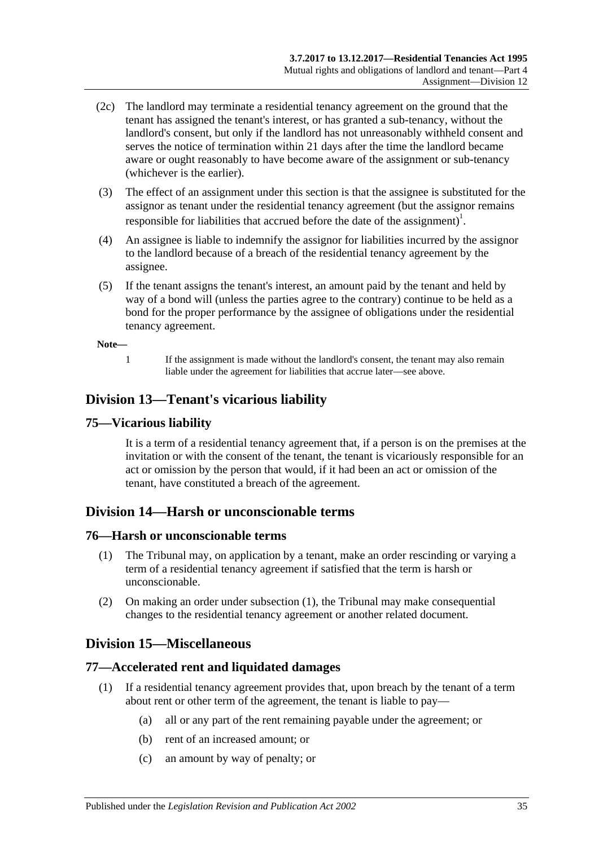- (2c) The landlord may terminate a residential tenancy agreement on the ground that the tenant has assigned the tenant's interest, or has granted a sub-tenancy, without the landlord's consent, but only if the landlord has not unreasonably withheld consent and serves the notice of termination within 21 days after the time the landlord became aware or ought reasonably to have become aware of the assignment or sub-tenancy (whichever is the earlier).
- (3) The effect of an assignment under this section is that the assignee is substituted for the assignor as tenant under the residential tenancy agreement (but the assignor remains responsible for liabilities that accrued before the date of the assignment)<sup>1</sup>.
- (4) An assignee is liable to indemnify the assignor for liabilities incurred by the assignor to the landlord because of a breach of the residential tenancy agreement by the assignee.
- (5) If the tenant assigns the tenant's interest, an amount paid by the tenant and held by way of a bond will (unless the parties agree to the contrary) continue to be held as a bond for the proper performance by the assignee of obligations under the residential tenancy agreement.

#### **Note—**

1 If the assignment is made without the landlord's consent, the tenant may also remain liable under the agreement for liabilities that accrue later—see above.

## <span id="page-34-0"></span>**Division 13—Tenant's vicarious liability**

#### <span id="page-34-1"></span>**75—Vicarious liability**

It is a term of a residential tenancy agreement that, if a person is on the premises at the invitation or with the consent of the tenant, the tenant is vicariously responsible for an act or omission by the person that would, if it had been an act or omission of the tenant, have constituted a breach of the agreement.

## <span id="page-34-2"></span>**Division 14—Harsh or unconscionable terms**

#### <span id="page-34-6"></span><span id="page-34-3"></span>**76—Harsh or unconscionable terms**

- (1) The Tribunal may, on application by a tenant, make an order rescinding or varying a term of a residential tenancy agreement if satisfied that the term is harsh or unconscionable.
- (2) On making an order under [subsection](#page-34-6) (1), the Tribunal may make consequential changes to the residential tenancy agreement or another related document.

## <span id="page-34-4"></span>**Division 15—Miscellaneous**

## <span id="page-34-5"></span>**77—Accelerated rent and liquidated damages**

- (1) If a residential tenancy agreement provides that, upon breach by the tenant of a term about rent or other term of the agreement, the tenant is liable to pay—
	- (a) all or any part of the rent remaining payable under the agreement; or
	- (b) rent of an increased amount; or
	- (c) an amount by way of penalty; or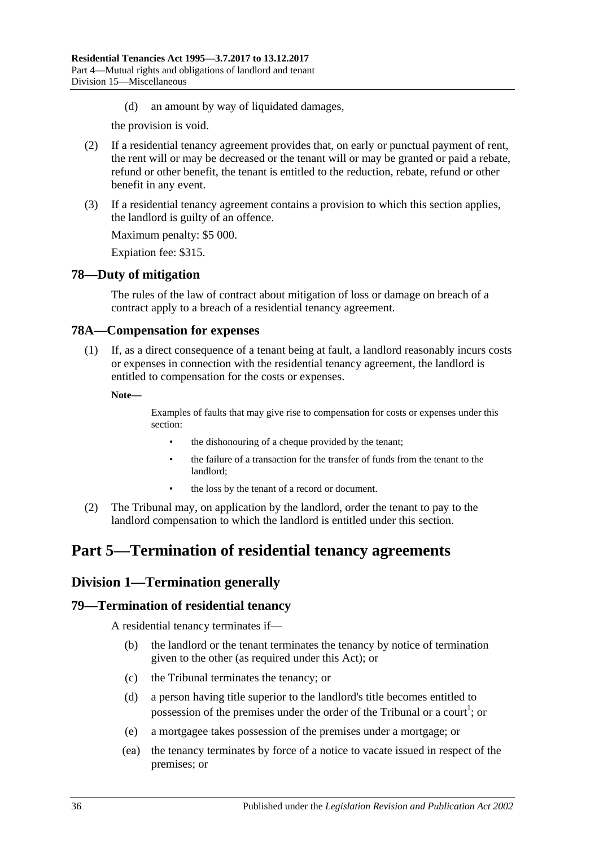(d) an amount by way of liquidated damages,

the provision is void.

- (2) If a residential tenancy agreement provides that, on early or punctual payment of rent, the rent will or may be decreased or the tenant will or may be granted or paid a rebate, refund or other benefit, the tenant is entitled to the reduction, rebate, refund or other benefit in any event.
- (3) If a residential tenancy agreement contains a provision to which this section applies, the landlord is guilty of an offence.

Maximum penalty: \$5 000.

Expiation fee: \$315.

## <span id="page-35-0"></span>**78—Duty of mitigation**

The rules of the law of contract about mitigation of loss or damage on breach of a contract apply to a breach of a residential tenancy agreement.

## <span id="page-35-1"></span>**78A—Compensation for expenses**

(1) If, as a direct consequence of a tenant being at fault, a landlord reasonably incurs costs or expenses in connection with the residential tenancy agreement, the landlord is entitled to compensation for the costs or expenses.

**Note—**

Examples of faults that may give rise to compensation for costs or expenses under this section:

- the dishonouring of a cheque provided by the tenant;
- the failure of a transaction for the transfer of funds from the tenant to the landlord;
- the loss by the tenant of a record or document.
- (2) The Tribunal may, on application by the landlord, order the tenant to pay to the landlord compensation to which the landlord is entitled under this section.

## <span id="page-35-2"></span>**Part 5—Termination of residential tenancy agreements**

## <span id="page-35-3"></span>**Division 1—Termination generally**

## <span id="page-35-4"></span>**79—Termination of residential tenancy**

A residential tenancy terminates if—

- (b) the landlord or the tenant terminates the tenancy by notice of termination given to the other (as required under this Act); or
- (c) the Tribunal terminates the tenancy; or
- (d) a person having title superior to the landlord's title becomes entitled to possession of the premises under the order of the Tribunal or a court<sup>1</sup>; or
- (e) a mortgagee takes possession of the premises under a mortgage; or
- (ea) the tenancy terminates by force of a notice to vacate issued in respect of the premises; or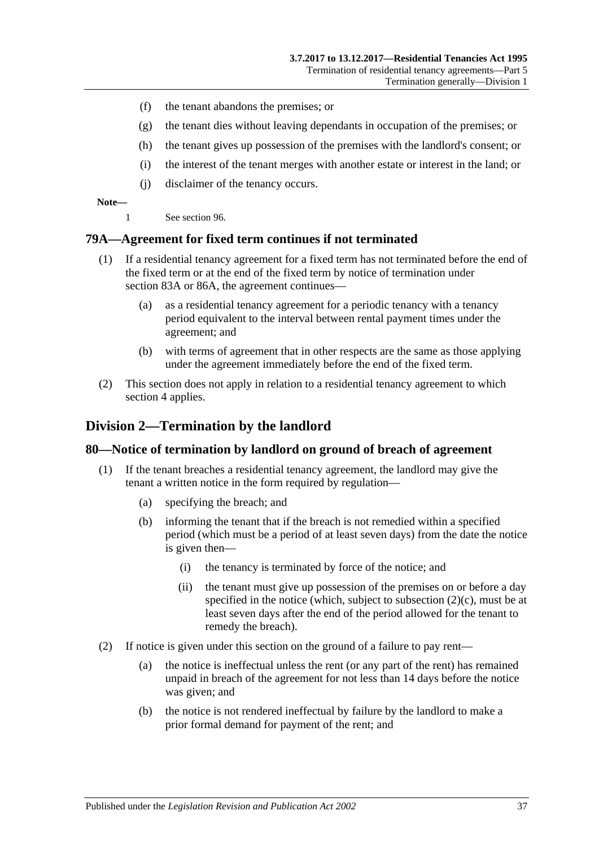- (f) the tenant abandons the premises; or
- (g) the tenant dies without leaving dependants in occupation of the premises; or
- (h) the tenant gives up possession of the premises with the landlord's consent; or
- (i) the interest of the tenant merges with another estate or interest in the land; or
- (j) disclaimer of the tenancy occurs.

#### **Note—**

1 See [section](#page-49-0) 96.

#### **79A—Agreement for fixed term continues if not terminated**

- (1) If a residential tenancy agreement for a fixed term has not terminated before the end of the fixed term or at the end of the fixed term by notice of termination under [section](#page-39-0) 83A or [86A,](#page-41-0) the agreement continues—
	- (a) as a residential tenancy agreement for a periodic tenancy with a tenancy period equivalent to the interval between rental payment times under the agreement; and
	- (b) with terms of agreement that in other respects are the same as those applying under the agreement immediately before the end of the fixed term.
- (2) This section does not apply in relation to a residential tenancy agreement to which [section](#page-9-0) 4 applies.

### **Division 2—Termination by the landlord**

#### <span id="page-36-0"></span>**80—Notice of termination by landlord on ground of breach of agreement**

- (1) If the tenant breaches a residential tenancy agreement, the landlord may give the tenant a written notice in the form required by regulation—
	- (a) specifying the breach; and
	- (b) informing the tenant that if the breach is not remedied within a specified period (which must be a period of at least seven days) from the date the notice is given then—
		- (i) the tenancy is terminated by force of the notice; and
		- (ii) the tenant must give up possession of the premises on or before a day specified in the notice (which, subject to [subsection](#page-37-0)  $(2)(c)$ , must be at least seven days after the end of the period allowed for the tenant to remedy the breach).
- <span id="page-36-1"></span>(2) If notice is given under this section on the ground of a failure to pay rent—
	- (a) the notice is ineffectual unless the rent (or any part of the rent) has remained unpaid in breach of the agreement for not less than 14 days before the notice was given; and
	- (b) the notice is not rendered ineffectual by failure by the landlord to make a prior formal demand for payment of the rent; and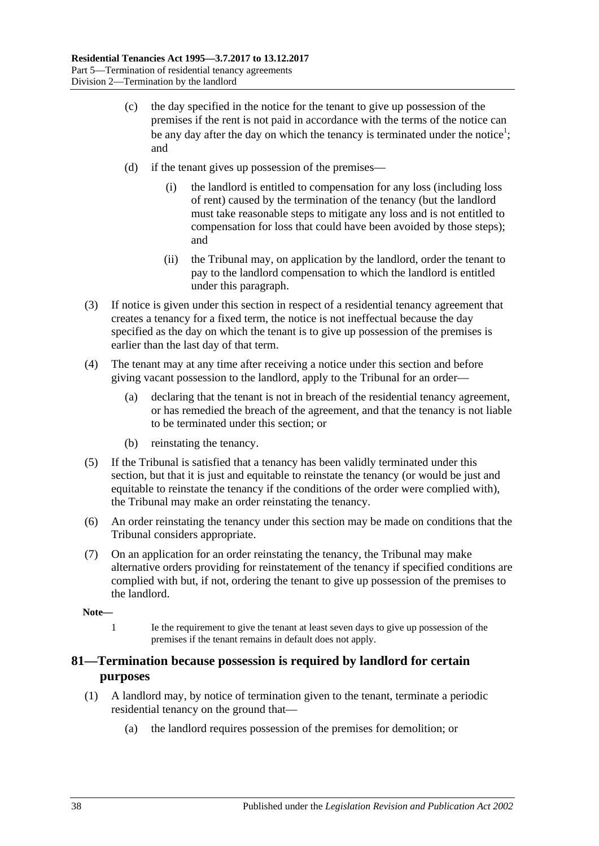- <span id="page-37-0"></span>(c) the day specified in the notice for the tenant to give up possession of the premises if the rent is not paid in accordance with the terms of the notice can be any day after the day on which the tenancy is terminated under the notice<sup>1</sup>; and
- (d) if the tenant gives up possession of the premises—
	- (i) the landlord is entitled to compensation for any loss (including loss of rent) caused by the termination of the tenancy (but the landlord must take reasonable steps to mitigate any loss and is not entitled to compensation for loss that could have been avoided by those steps); and
	- (ii) the Tribunal may, on application by the landlord, order the tenant to pay to the landlord compensation to which the landlord is entitled under this paragraph.
- (3) If notice is given under this section in respect of a residential tenancy agreement that creates a tenancy for a fixed term, the notice is not ineffectual because the day specified as the day on which the tenant is to give up possession of the premises is earlier than the last day of that term.
- (4) The tenant may at any time after receiving a notice under this section and before giving vacant possession to the landlord, apply to the Tribunal for an order—
	- (a) declaring that the tenant is not in breach of the residential tenancy agreement, or has remedied the breach of the agreement, and that the tenancy is not liable to be terminated under this section; or
	- (b) reinstating the tenancy.
- (5) If the Tribunal is satisfied that a tenancy has been validly terminated under this section, but that it is just and equitable to reinstate the tenancy (or would be just and equitable to reinstate the tenancy if the conditions of the order were complied with), the Tribunal may make an order reinstating the tenancy.
- (6) An order reinstating the tenancy under this section may be made on conditions that the Tribunal considers appropriate.
- (7) On an application for an order reinstating the tenancy, the Tribunal may make alternative orders providing for reinstatement of the tenancy if specified conditions are complied with but, if not, ordering the tenant to give up possession of the premises to the landlord.

**Note—**

1 Ie the requirement to give the tenant at least seven days to give up possession of the premises if the tenant remains in default does not apply.

# **81—Termination because possession is required by landlord for certain purposes**

- (1) A landlord may, by notice of termination given to the tenant, terminate a periodic residential tenancy on the ground that—
	- (a) the landlord requires possession of the premises for demolition; or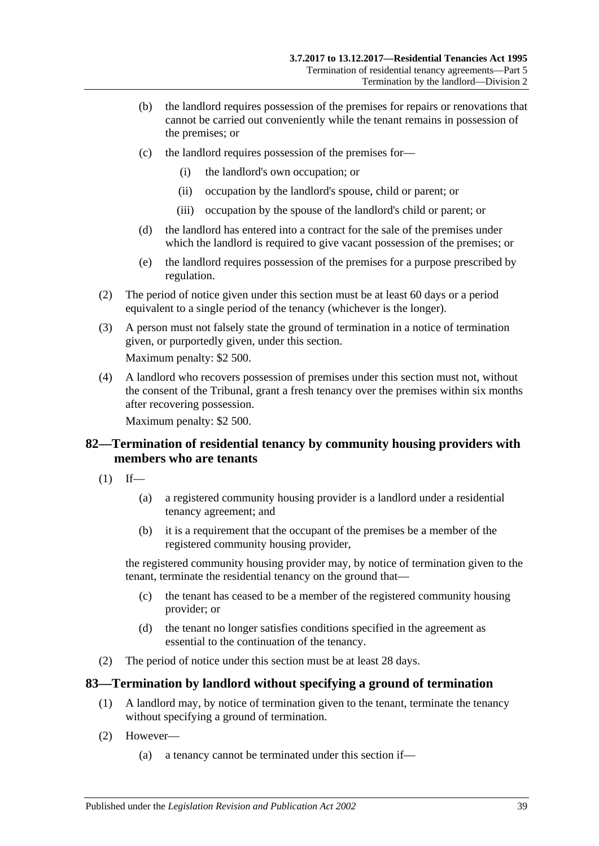- (b) the landlord requires possession of the premises for repairs or renovations that cannot be carried out conveniently while the tenant remains in possession of the premises; or
- (c) the landlord requires possession of the premises for—
	- (i) the landlord's own occupation; or
	- (ii) occupation by the landlord's spouse, child or parent; or
	- (iii) occupation by the spouse of the landlord's child or parent; or
- (d) the landlord has entered into a contract for the sale of the premises under which the landlord is required to give vacant possession of the premises; or
- (e) the landlord requires possession of the premises for a purpose prescribed by regulation.
- (2) The period of notice given under this section must be at least 60 days or a period equivalent to a single period of the tenancy (whichever is the longer).
- (3) A person must not falsely state the ground of termination in a notice of termination given, or purportedly given, under this section.

Maximum penalty: \$2 500.

(4) A landlord who recovers possession of premises under this section must not, without the consent of the Tribunal, grant a fresh tenancy over the premises within six months after recovering possession.

Maximum penalty: \$2 500.

### **82—Termination of residential tenancy by community housing providers with members who are tenants**

- $(1)$  If—
	- (a) a registered community housing provider is a landlord under a residential tenancy agreement; and
	- (b) it is a requirement that the occupant of the premises be a member of the registered community housing provider,

the registered community housing provider may, by notice of termination given to the tenant, terminate the residential tenancy on the ground that—

- (c) the tenant has ceased to be a member of the registered community housing provider; or
- (d) the tenant no longer satisfies conditions specified in the agreement as essential to the continuation of the tenancy.
- (2) The period of notice under this section must be at least 28 days.

### **83—Termination by landlord without specifying a ground of termination**

- (1) A landlord may, by notice of termination given to the tenant, terminate the tenancy without specifying a ground of termination.
- (2) However—
	- (a) a tenancy cannot be terminated under this section if—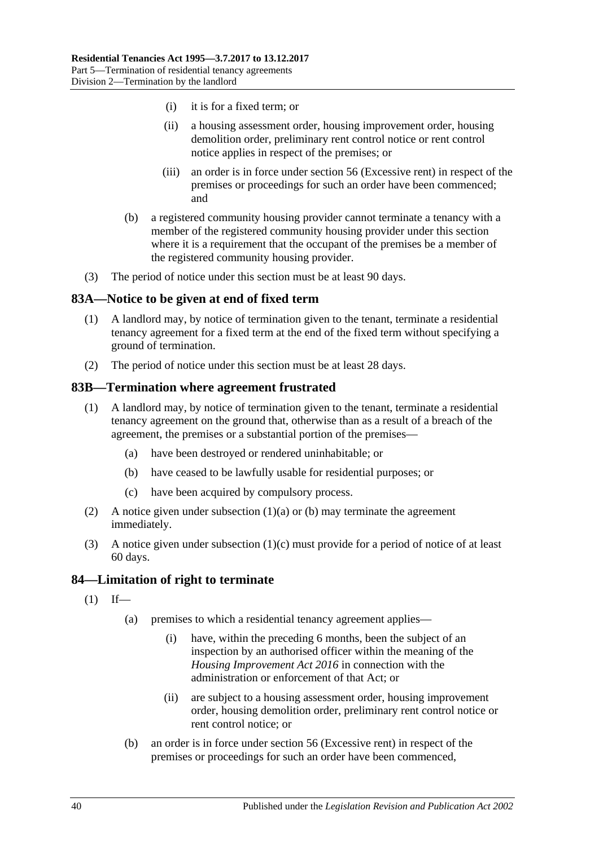- (i) it is for a fixed term; or
- (ii) a housing assessment order, housing improvement order, housing demolition order, preliminary rent control notice or rent control notice applies in respect of the premises; or
- (iii) an order is in force under [section](#page-20-0) 56 (Excessive rent) in respect of the premises or proceedings for such an order have been commenced; and
- (b) a registered community housing provider cannot terminate a tenancy with a member of the registered community housing provider under this section where it is a requirement that the occupant of the premises be a member of the registered community housing provider.
- (3) The period of notice under this section must be at least 90 days.

### <span id="page-39-0"></span>**83A—Notice to be given at end of fixed term**

- (1) A landlord may, by notice of termination given to the tenant, terminate a residential tenancy agreement for a fixed term at the end of the fixed term without specifying a ground of termination.
- (2) The period of notice under this section must be at least 28 days.

### **83B—Termination where agreement frustrated**

- <span id="page-39-1"></span>(1) A landlord may, by notice of termination given to the tenant, terminate a residential tenancy agreement on the ground that, otherwise than as a result of a breach of the agreement, the premises or a substantial portion of the premises—
	- (a) have been destroyed or rendered uninhabitable; or
	- (b) have ceased to be lawfully usable for residential purposes; or
	- (c) have been acquired by compulsory process.
- <span id="page-39-3"></span><span id="page-39-2"></span>(2) A notice given under [subsection](#page-39-1)  $(1)(a)$  or [\(b\)](#page-39-2) may terminate the agreement immediately.
- (3) A notice given under [subsection](#page-39-3) (1)(c) must provide for a period of notice of at least 60 days.

### **84—Limitation of right to terminate**

- $(1)$  If—
	- (a) premises to which a residential tenancy agreement applies—
		- (i) have, within the preceding 6 months, been the subject of an inspection by an authorised officer within the meaning of the *[Housing Improvement Act](http://www.legislation.sa.gov.au/index.aspx?action=legref&type=act&legtitle=Housing%20Improvement%20Act%202016) 2016* in connection with the administration or enforcement of that Act; or
		- (ii) are subject to a housing assessment order, housing improvement order, housing demolition order, preliminary rent control notice or rent control notice; or
	- (b) an order is in force under [section](#page-20-0) 56 (Excessive rent) in respect of the premises or proceedings for such an order have been commenced,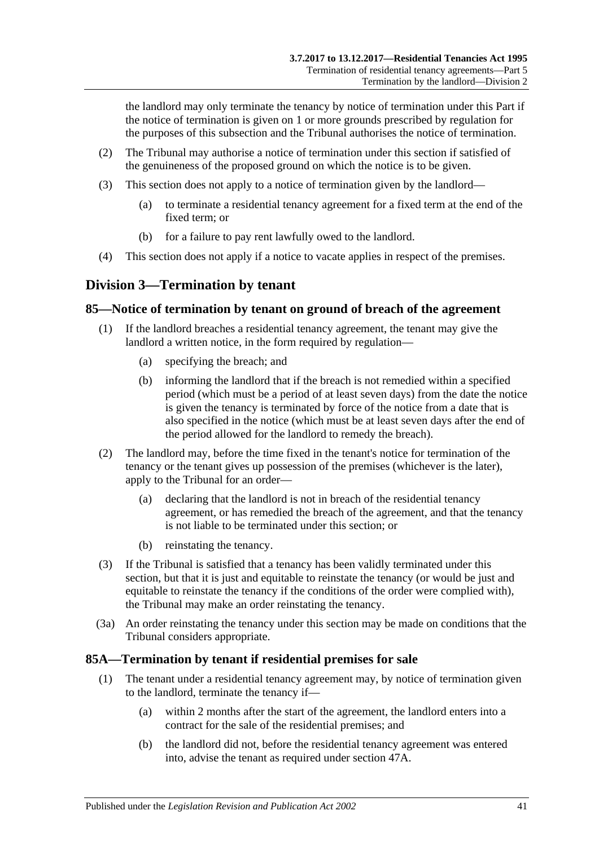the landlord may only terminate the tenancy by notice of termination under this Part if the notice of termination is given on 1 or more grounds prescribed by regulation for the purposes of this subsection and the Tribunal authorises the notice of termination.

- (2) The Tribunal may authorise a notice of termination under this section if satisfied of the genuineness of the proposed ground on which the notice is to be given.
- (3) This section does not apply to a notice of termination given by the landlord—
	- (a) to terminate a residential tenancy agreement for a fixed term at the end of the fixed term; or
	- (b) for a failure to pay rent lawfully owed to the landlord.
- (4) This section does not apply if a notice to vacate applies in respect of the premises.

# **Division 3—Termination by tenant**

### <span id="page-40-1"></span>**85—Notice of termination by tenant on ground of breach of the agreement**

- (1) If the landlord breaches a residential tenancy agreement, the tenant may give the landlord a written notice, in the form required by regulation—
	- (a) specifying the breach; and
	- (b) informing the landlord that if the breach is not remedied within a specified period (which must be a period of at least seven days) from the date the notice is given the tenancy is terminated by force of the notice from a date that is also specified in the notice (which must be at least seven days after the end of the period allowed for the landlord to remedy the breach).
- (2) The landlord may, before the time fixed in the tenant's notice for termination of the tenancy or the tenant gives up possession of the premises (whichever is the later), apply to the Tribunal for an order—
	- (a) declaring that the landlord is not in breach of the residential tenancy agreement, or has remedied the breach of the agreement, and that the tenancy is not liable to be terminated under this section; or
	- (b) reinstating the tenancy.
- (3) If the Tribunal is satisfied that a tenancy has been validly terminated under this section, but that it is just and equitable to reinstate the tenancy (or would be just and equitable to reinstate the tenancy if the conditions of the order were complied with), the Tribunal may make an order reinstating the tenancy.
- (3a) An order reinstating the tenancy under this section may be made on conditions that the Tribunal considers appropriate.

# <span id="page-40-0"></span>**85A—Termination by tenant if residential premises for sale**

- (1) The tenant under a residential tenancy agreement may, by notice of termination given to the landlord, terminate the tenancy if—
	- (a) within 2 months after the start of the agreement, the landlord enters into a contract for the sale of the residential premises; and
	- (b) the landlord did not, before the residential tenancy agreement was entered into, advise the tenant as required under [section](#page-14-0) 47A.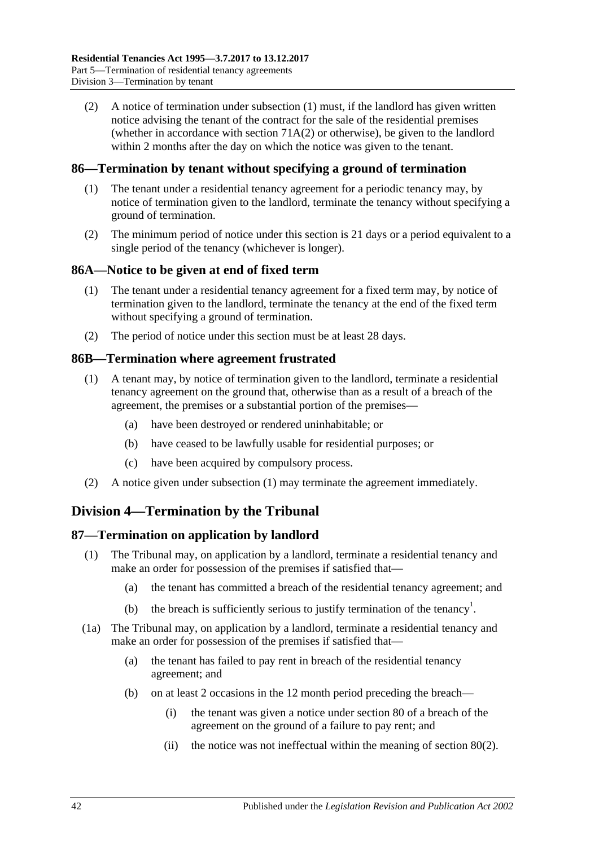(2) A notice of termination under [subsection](#page-40-0) (1) must, if the landlord has given written notice advising the tenant of the contract for the sale of the residential premises (whether in accordance with [section](#page-30-0)  $71A(2)$  or otherwise), be given to the landlord within 2 months after the day on which the notice was given to the tenant.

### **86—Termination by tenant without specifying a ground of termination**

- (1) The tenant under a residential tenancy agreement for a periodic tenancy may, by notice of termination given to the landlord, terminate the tenancy without specifying a ground of termination.
- (2) The minimum period of notice under this section is 21 days or a period equivalent to a single period of the tenancy (whichever is longer).

### <span id="page-41-0"></span>**86A—Notice to be given at end of fixed term**

- (1) The tenant under a residential tenancy agreement for a fixed term may, by notice of termination given to the landlord, terminate the tenancy at the end of the fixed term without specifying a ground of termination.
- (2) The period of notice under this section must be at least 28 days.

### <span id="page-41-1"></span>**86B—Termination where agreement frustrated**

- (1) A tenant may, by notice of termination given to the landlord, terminate a residential tenancy agreement on the ground that, otherwise than as a result of a breach of the agreement, the premises or a substantial portion of the premises—
	- (a) have been destroyed or rendered uninhabitable; or
	- (b) have ceased to be lawfully usable for residential purposes; or
	- (c) have been acquired by compulsory process.
- (2) A notice given under [subsection](#page-41-1) (1) may terminate the agreement immediately.

# **Division 4—Termination by the Tribunal**

# **87—Termination on application by landlord**

- (1) The Tribunal may, on application by a landlord, terminate a residential tenancy and make an order for possession of the premises if satisfied that—
	- (a) the tenant has committed a breach of the residential tenancy agreement; and
	- (b) the breach is sufficiently serious to justify termination of the tenancy<sup>1</sup>.
- <span id="page-41-2"></span>(1a) The Tribunal may, on application by a landlord, terminate a residential tenancy and make an order for possession of the premises if satisfied that—
	- (a) the tenant has failed to pay rent in breach of the residential tenancy agreement; and
	- (b) on at least 2 occasions in the 12 month period preceding the breach—
		- (i) the tenant was given a notice under [section](#page-36-0) 80 of a breach of the agreement on the ground of a failure to pay rent; and
		- (ii) the notice was not ineffectual within the meaning of [section](#page-36-1) 80(2).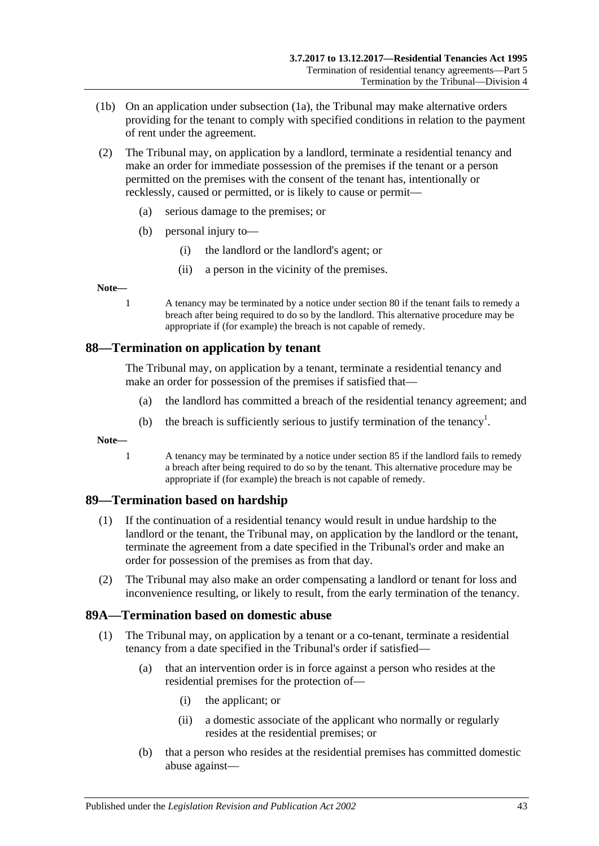- (1b) On an application under [subsection](#page-41-2) (1a), the Tribunal may make alternative orders providing for the tenant to comply with specified conditions in relation to the payment of rent under the agreement.
- (2) The Tribunal may, on application by a landlord, terminate a residential tenancy and make an order for immediate possession of the premises if the tenant or a person permitted on the premises with the consent of the tenant has, intentionally or recklessly, caused or permitted, or is likely to cause or permit—
	- (a) serious damage to the premises; or
	- (b) personal injury to—
		- (i) the landlord or the landlord's agent; or
		- (ii) a person in the vicinity of the premises.

**Note—**

1 A tenancy may be terminated by a notice under [section](#page-36-0) 80 if the tenant fails to remedy a breach after being required to do so by the landlord. This alternative procedure may be appropriate if (for example) the breach is not capable of remedy.

### **88—Termination on application by tenant**

The Tribunal may, on application by a tenant, terminate a residential tenancy and make an order for possession of the premises if satisfied that—

- (a) the landlord has committed a breach of the residential tenancy agreement; and
- (b) the breach is sufficiently serious to justify termination of the tenancy<sup>1</sup>.

**Note—**

1 A tenancy may be terminated by a notice under [section](#page-40-1) 85 if the landlord fails to remedy a breach after being required to do so by the tenant. This alternative procedure may be appropriate if (for example) the breach is not capable of remedy.

# **89—Termination based on hardship**

- (1) If the continuation of a residential tenancy would result in undue hardship to the landlord or the tenant, the Tribunal may, on application by the landlord or the tenant, terminate the agreement from a date specified in the Tribunal's order and make an order for possession of the premises as from that day.
- (2) The Tribunal may also make an order compensating a landlord or tenant for loss and inconvenience resulting, or likely to result, from the early termination of the tenancy.

# <span id="page-42-2"></span>**89A—Termination based on domestic abuse**

- <span id="page-42-1"></span><span id="page-42-0"></span>(1) The Tribunal may, on application by a tenant or a co-tenant, terminate a residential tenancy from a date specified in the Tribunal's order if satisfied—
	- (a) that an intervention order is in force against a person who resides at the residential premises for the protection of—
		- (i) the applicant; or
		- (ii) a domestic associate of the applicant who normally or regularly resides at the residential premises; or
	- (b) that a person who resides at the residential premises has committed domestic abuse against—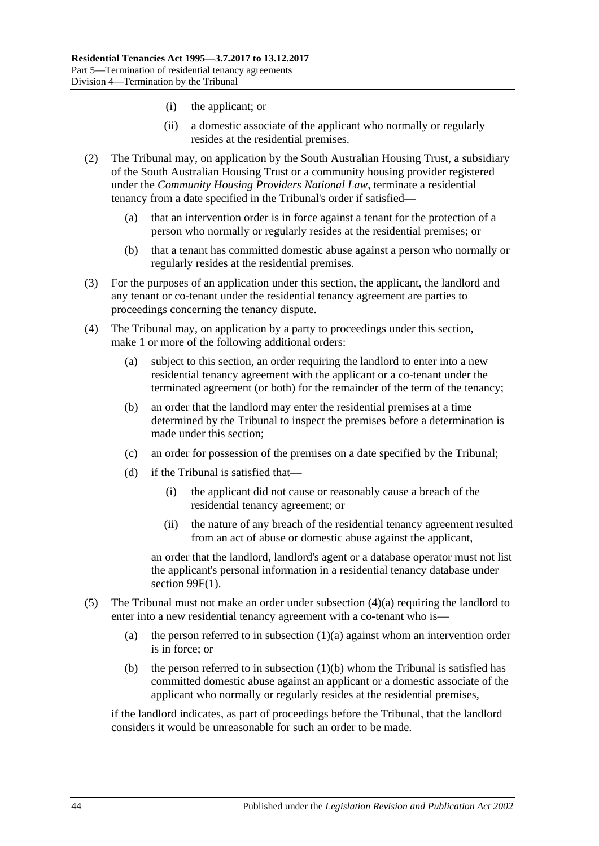- (i) the applicant; or
- (ii) a domestic associate of the applicant who normally or regularly resides at the residential premises.
- (2) The Tribunal may, on application by the South Australian Housing Trust, a subsidiary of the South Australian Housing Trust or a community housing provider registered under the *Community Housing Providers National Law*, terminate a residential tenancy from a date specified in the Tribunal's order if satisfied—
	- (a) that an intervention order is in force against a tenant for the protection of a person who normally or regularly resides at the residential premises; or
	- (b) that a tenant has committed domestic abuse against a person who normally or regularly resides at the residential premises.
- (3) For the purposes of an application under this section, the applicant, the landlord and any tenant or co-tenant under the residential tenancy agreement are parties to proceedings concerning the tenancy dispute.
- <span id="page-43-1"></span><span id="page-43-0"></span>(4) The Tribunal may, on application by a party to proceedings under this section, make 1 or more of the following additional orders:
	- (a) subject to this section, an order requiring the landlord to enter into a new residential tenancy agreement with the applicant or a co-tenant under the terminated agreement (or both) for the remainder of the term of the tenancy;
	- (b) an order that the landlord may enter the residential premises at a time determined by the Tribunal to inspect the premises before a determination is made under this section;
	- (c) an order for possession of the premises on a date specified by the Tribunal;
	- (d) if the Tribunal is satisfied that—
		- (i) the applicant did not cause or reasonably cause a breach of the residential tenancy agreement; or
		- (ii) the nature of any breach of the residential tenancy agreement resulted from an act of abuse or domestic abuse against the applicant,

<span id="page-43-2"></span>an order that the landlord, landlord's agent or a database operator must not list the applicant's personal information in a residential tenancy database under section [99F\(1\).](#page-54-0)

- (5) The Tribunal must not make an order under [subsection](#page-43-0) (4)(a) requiring the landlord to enter into a new residential tenancy agreement with a co-tenant who is
	- (a) the person referred to in [subsection](#page-42-0)  $(1)(a)$  against whom an intervention order is in force; or
	- (b) the person referred to in [subsection](#page-42-1)  $(1)(b)$  whom the Tribunal is satisfied has committed domestic abuse against an applicant or a domestic associate of the applicant who normally or regularly resides at the residential premises,

if the landlord indicates, as part of proceedings before the Tribunal, that the landlord considers it would be unreasonable for such an order to be made.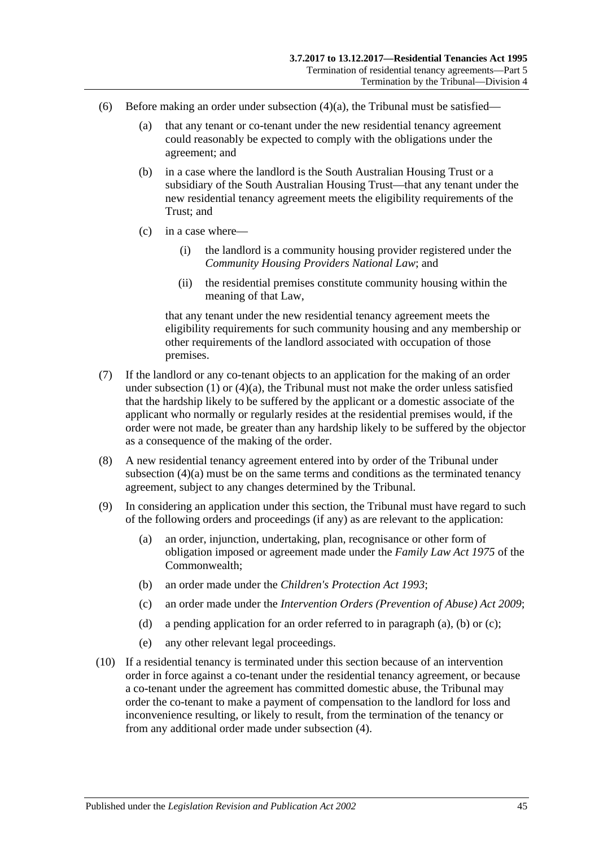- (6) Before making an order under [subsection](#page-43-0)  $(4)(a)$ , the Tribunal must be satisfied—
	- (a) that any tenant or co-tenant under the new residential tenancy agreement could reasonably be expected to comply with the obligations under the agreement; and
	- (b) in a case where the landlord is the South Australian Housing Trust or a subsidiary of the South Australian Housing Trust—that any tenant under the new residential tenancy agreement meets the eligibility requirements of the Trust; and
	- (c) in a case where—
		- (i) the landlord is a community housing provider registered under the *Community Housing Providers National Law*; and
		- (ii) the residential premises constitute community housing within the meaning of that Law,

that any tenant under the new residential tenancy agreement meets the eligibility requirements for such community housing and any membership or other requirements of the landlord associated with occupation of those premises.

- (7) If the landlord or any co-tenant objects to an application for the making of an order under [subsection](#page-42-2) (1) or [\(4\)\(a\),](#page-43-0) the Tribunal must not make the order unless satisfied that the hardship likely to be suffered by the applicant or a domestic associate of the applicant who normally or regularly resides at the residential premises would, if the order were not made, be greater than any hardship likely to be suffered by the objector as a consequence of the making of the order.
- (8) A new residential tenancy agreement entered into by order of the Tribunal under [subsection](#page-43-0) (4)(a) must be on the same terms and conditions as the terminated tenancy agreement, subject to any changes determined by the Tribunal.
- <span id="page-44-1"></span><span id="page-44-0"></span>(9) In considering an application under this section, the Tribunal must have regard to such of the following orders and proceedings (if any) as are relevant to the application:
	- (a) an order, injunction, undertaking, plan, recognisance or other form of obligation imposed or agreement made under the *Family Law Act 1975* of the Commonwealth;
	- (b) an order made under the *[Children's Protection Act](http://www.legislation.sa.gov.au/index.aspx?action=legref&type=act&legtitle=Childrens%20Protection%20Act%201993) 1993*;
	- (c) an order made under the *[Intervention Orders \(Prevention of Abuse\) Act](http://www.legislation.sa.gov.au/index.aspx?action=legref&type=act&legtitle=Intervention%20Orders%20(Prevention%20of%20Abuse)%20Act%202009) 2009*;
	- (d) a pending application for an order referred to in [paragraph](#page-44-0) (a), [\(b\)](#page-44-1) or [\(c\);](#page-44-2)
	- (e) any other relevant legal proceedings.
- <span id="page-44-3"></span><span id="page-44-2"></span>(10) If a residential tenancy is terminated under this section because of an intervention order in force against a co-tenant under the residential tenancy agreement, or because a co-tenant under the agreement has committed domestic abuse, the Tribunal may order the co-tenant to make a payment of compensation to the landlord for loss and inconvenience resulting, or likely to result, from the termination of the tenancy or from any additional order made under [subsection](#page-43-1) (4).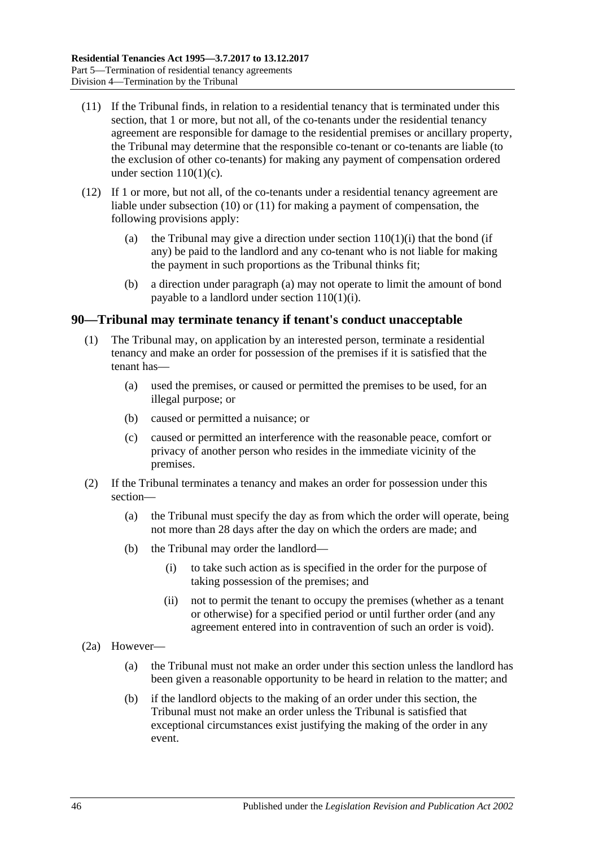- <span id="page-45-0"></span>(11) If the Tribunal finds, in relation to a residential tenancy that is terminated under this section, that 1 or more, but not all, of the co-tenants under the residential tenancy agreement are responsible for damage to the residential premises or ancillary property, the Tribunal may determine that the responsible co-tenant or co-tenants are liable (to the exclusion of other co-tenants) for making any payment of compensation ordered under section 110(1)(c).
- <span id="page-45-1"></span>(12) If 1 or more, but not all, of the co-tenants under a residential tenancy agreement are liable under [subsection](#page-44-3) (10) or [\(11\)](#page-45-0) for making a payment of compensation, the following provisions apply:
	- (a) the Tribunal may give a direction under section  $110(1)(i)$  that the bond (if any) be paid to the landlord and any co-tenant who is not liable for making the payment in such proportions as the Tribunal thinks fit;
	- (b) a direction under [paragraph](#page-45-1) (a) may not operate to limit the amount of bond payable to a landlord under section [110\(1\)\(i\).](#page-76-0)

#### **90—Tribunal may terminate tenancy if tenant's conduct unacceptable**

- (1) The Tribunal may, on application by an interested person, terminate a residential tenancy and make an order for possession of the premises if it is satisfied that the tenant has—
	- (a) used the premises, or caused or permitted the premises to be used, for an illegal purpose; or
	- (b) caused or permitted a nuisance; or
	- (c) caused or permitted an interference with the reasonable peace, comfort or privacy of another person who resides in the immediate vicinity of the premises.
- (2) If the Tribunal terminates a tenancy and makes an order for possession under this section—
	- (a) the Tribunal must specify the day as from which the order will operate, being not more than 28 days after the day on which the orders are made; and
	- (b) the Tribunal may order the landlord—
		- (i) to take such action as is specified in the order for the purpose of taking possession of the premises; and
		- (ii) not to permit the tenant to occupy the premises (whether as a tenant or otherwise) for a specified period or until further order (and any agreement entered into in contravention of such an order is void).
- (2a) However—
	- (a) the Tribunal must not make an order under this section unless the landlord has been given a reasonable opportunity to be heard in relation to the matter; and
	- (b) if the landlord objects to the making of an order under this section, the Tribunal must not make an order unless the Tribunal is satisfied that exceptional circumstances exist justifying the making of the order in any event.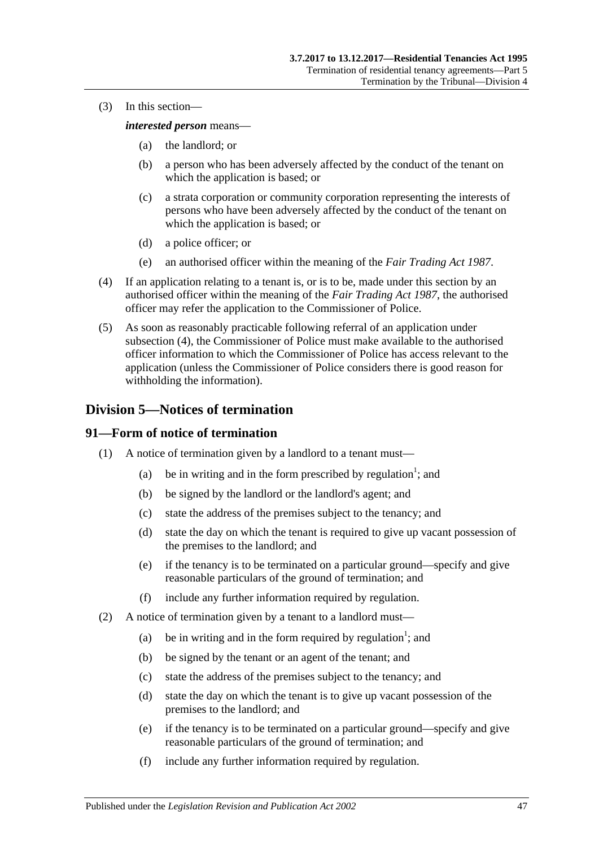(3) In this section—

*interested person* means—

- (a) the landlord; or
- (b) a person who has been adversely affected by the conduct of the tenant on which the application is based; or
- (c) a strata corporation or community corporation representing the interests of persons who have been adversely affected by the conduct of the tenant on which the application is based; or
- (d) a police officer; or
- (e) an authorised officer within the meaning of the *[Fair Trading Act](http://www.legislation.sa.gov.au/index.aspx?action=legref&type=act&legtitle=Fair%20Trading%20Act%201987) 1987*.
- <span id="page-46-0"></span>(4) If an application relating to a tenant is, or is to be, made under this section by an authorised officer within the meaning of the *[Fair Trading Act](http://www.legislation.sa.gov.au/index.aspx?action=legref&type=act&legtitle=Fair%20Trading%20Act%201987) 1987*, the authorised officer may refer the application to the Commissioner of Police.
- (5) As soon as reasonably practicable following referral of an application under [subsection](#page-46-0) (4), the Commissioner of Police must make available to the authorised officer information to which the Commissioner of Police has access relevant to the application (unless the Commissioner of Police considers there is good reason for withholding the information).

# **Division 5—Notices of termination**

### **91—Form of notice of termination**

- (1) A notice of termination given by a landlord to a tenant must—
	- (a) be in writing and in the form prescribed by regulation<sup>1</sup>; and
	- (b) be signed by the landlord or the landlord's agent; and
	- (c) state the address of the premises subject to the tenancy; and
	- (d) state the day on which the tenant is required to give up vacant possession of the premises to the landlord; and
	- (e) if the tenancy is to be terminated on a particular ground—specify and give reasonable particulars of the ground of termination; and
	- (f) include any further information required by regulation.
- (2) A notice of termination given by a tenant to a landlord must—
	- (a) be in writing and in the form required by regulation<sup>1</sup>; and
	- (b) be signed by the tenant or an agent of the tenant; and
	- (c) state the address of the premises subject to the tenancy; and
	- (d) state the day on which the tenant is to give up vacant possession of the premises to the landlord; and
	- (e) if the tenancy is to be terminated on a particular ground—specify and give reasonable particulars of the ground of termination; and
	- (f) include any further information required by regulation.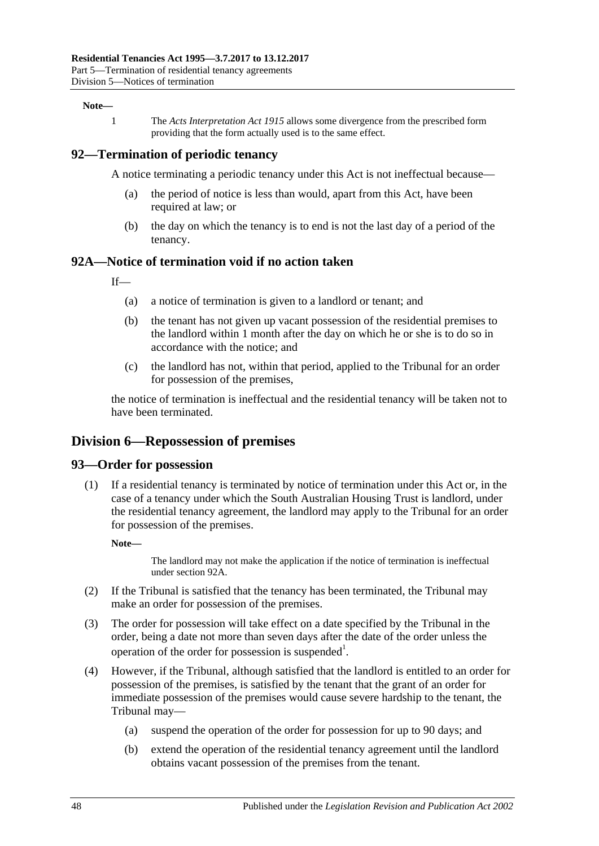#### **Note—**

1 The *[Acts Interpretation Act](http://www.legislation.sa.gov.au/index.aspx?action=legref&type=act&legtitle=Acts%20Interpretation%20Act%201915) 1915* allows some divergence from the prescribed form providing that the form actually used is to the same effect.

#### **92—Termination of periodic tenancy**

A notice terminating a periodic tenancy under this Act is not ineffectual because—

- (a) the period of notice is less than would, apart from this Act, have been required at law; or
- (b) the day on which the tenancy is to end is not the last day of a period of the tenancy.

#### <span id="page-47-0"></span>**92A—Notice of termination void if no action taken**

 $If$ <sub>—</sub>

- (a) a notice of termination is given to a landlord or tenant; and
- (b) the tenant has not given up vacant possession of the residential premises to the landlord within 1 month after the day on which he or she is to do so in accordance with the notice; and
- (c) the landlord has not, within that period, applied to the Tribunal for an order for possession of the premises,

the notice of termination is ineffectual and the residential tenancy will be taken not to have been terminated.

### **Division 6—Repossession of premises**

#### **93—Order for possession**

(1) If a residential tenancy is terminated by notice of termination under this Act or, in the case of a tenancy under which the South Australian Housing Trust is landlord, under the residential tenancy agreement, the landlord may apply to the Tribunal for an order for possession of the premises.

**Note—**

The landlord may not make the application if the notice of termination is ineffectual unde[r section](#page-47-0) 92A.

- (2) If the Tribunal is satisfied that the tenancy has been terminated, the Tribunal may make an order for possession of the premises.
- (3) The order for possession will take effect on a date specified by the Tribunal in the order, being a date not more than seven days after the date of the order unless the operation of the order for possession is suspended<sup>1</sup>.
- <span id="page-47-1"></span>(4) However, if the Tribunal, although satisfied that the landlord is entitled to an order for possession of the premises, is satisfied by the tenant that the grant of an order for immediate possession of the premises would cause severe hardship to the tenant, the Tribunal may—
	- (a) suspend the operation of the order for possession for up to 90 days; and
	- (b) extend the operation of the residential tenancy agreement until the landlord obtains vacant possession of the premises from the tenant.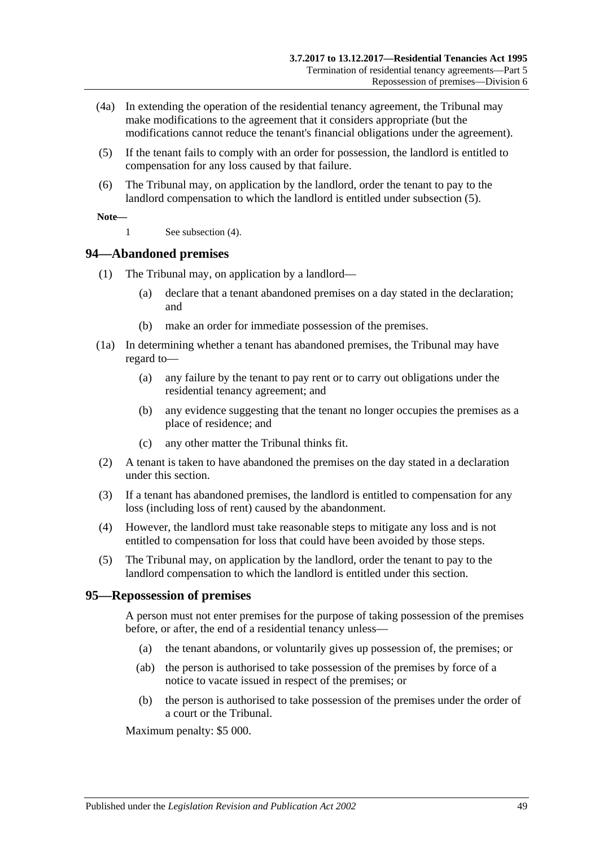- (4a) In extending the operation of the residential tenancy agreement, the Tribunal may make modifications to the agreement that it considers appropriate (but the modifications cannot reduce the tenant's financial obligations under the agreement).
- <span id="page-48-0"></span>(5) If the tenant fails to comply with an order for possession, the landlord is entitled to compensation for any loss caused by that failure.
- (6) The Tribunal may, on application by the landlord, order the tenant to pay to the landlord compensation to which the landlord is entitled under [subsection](#page-48-0) (5).

#### **Note—**

1 See [subsection](#page-47-1) (4).

### **94—Abandoned premises**

- (1) The Tribunal may, on application by a landlord—
	- (a) declare that a tenant abandoned premises on a day stated in the declaration; and
	- (b) make an order for immediate possession of the premises.
- (1a) In determining whether a tenant has abandoned premises, the Tribunal may have regard to—
	- (a) any failure by the tenant to pay rent or to carry out obligations under the residential tenancy agreement; and
	- (b) any evidence suggesting that the tenant no longer occupies the premises as a place of residence; and
	- (c) any other matter the Tribunal thinks fit.
- (2) A tenant is taken to have abandoned the premises on the day stated in a declaration under this section.
- (3) If a tenant has abandoned premises, the landlord is entitled to compensation for any loss (including loss of rent) caused by the abandonment.
- (4) However, the landlord must take reasonable steps to mitigate any loss and is not entitled to compensation for loss that could have been avoided by those steps.
- (5) The Tribunal may, on application by the landlord, order the tenant to pay to the landlord compensation to which the landlord is entitled under this section.

#### **95—Repossession of premises**

A person must not enter premises for the purpose of taking possession of the premises before, or after, the end of a residential tenancy unless—

- (a) the tenant abandons, or voluntarily gives up possession of, the premises; or
- (ab) the person is authorised to take possession of the premises by force of a notice to vacate issued in respect of the premises; or
- (b) the person is authorised to take possession of the premises under the order of a court or the Tribunal.

Maximum penalty: \$5 000.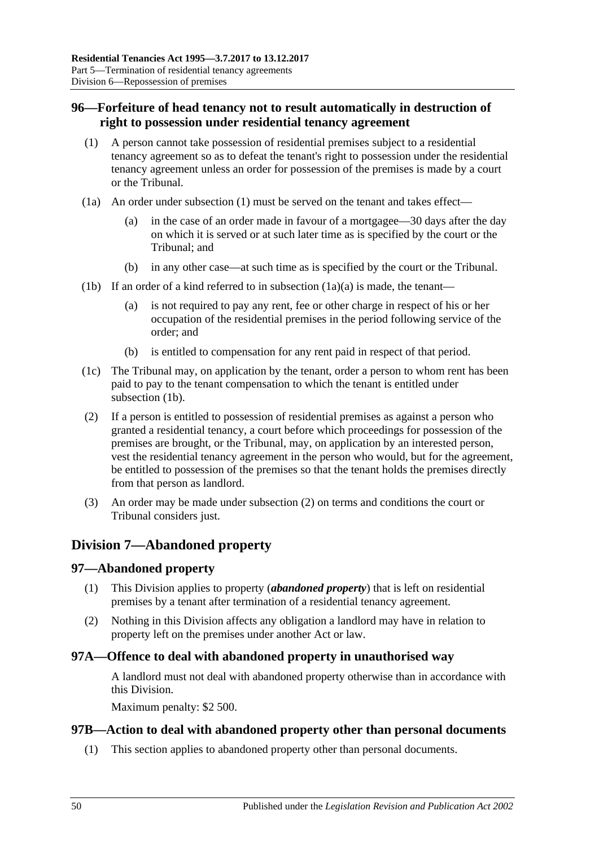# <span id="page-49-0"></span>**96—Forfeiture of head tenancy not to result automatically in destruction of right to possession under residential tenancy agreement**

- <span id="page-49-1"></span>(1) A person cannot take possession of residential premises subject to a residential tenancy agreement so as to defeat the tenant's right to possession under the residential tenancy agreement unless an order for possession of the premises is made by a court or the Tribunal.
- <span id="page-49-2"></span>(1a) An order under [subsection](#page-49-1) (1) must be served on the tenant and takes effect—
	- (a) in the case of an order made in favour of a mortgagee—30 days after the day on which it is served or at such later time as is specified by the court or the Tribunal; and
	- (b) in any other case—at such time as is specified by the court or the Tribunal.
- <span id="page-49-3"></span>(1b) If an order of a kind referred to in [subsection](#page-49-2)  $(1a)(a)$  is made, the tenant—
	- (a) is not required to pay any rent, fee or other charge in respect of his or her occupation of the residential premises in the period following service of the order; and
	- (b) is entitled to compensation for any rent paid in respect of that period.
- (1c) The Tribunal may, on application by the tenant, order a person to whom rent has been paid to pay to the tenant compensation to which the tenant is entitled under [subsection](#page-49-3) (1b).
- <span id="page-49-4"></span>(2) If a person is entitled to possession of residential premises as against a person who granted a residential tenancy, a court before which proceedings for possession of the premises are brought, or the Tribunal, may, on application by an interested person, vest the residential tenancy agreement in the person who would, but for the agreement, be entitled to possession of the premises so that the tenant holds the premises directly from that person as landlord.
- (3) An order may be made under [subsection](#page-49-4) (2) on terms and conditions the court or Tribunal considers just.

# **Division 7—Abandoned property**

### **97—Abandoned property**

- (1) This Division applies to property (*abandoned property*) that is left on residential premises by a tenant after termination of a residential tenancy agreement.
- (2) Nothing in this Division affects any obligation a landlord may have in relation to property left on the premises under another Act or law.

### **97A—Offence to deal with abandoned property in unauthorised way**

A landlord must not deal with abandoned property otherwise than in accordance with this Division.

Maximum penalty: \$2 500.

#### **97B—Action to deal with abandoned property other than personal documents**

(1) This section applies to abandoned property other than personal documents.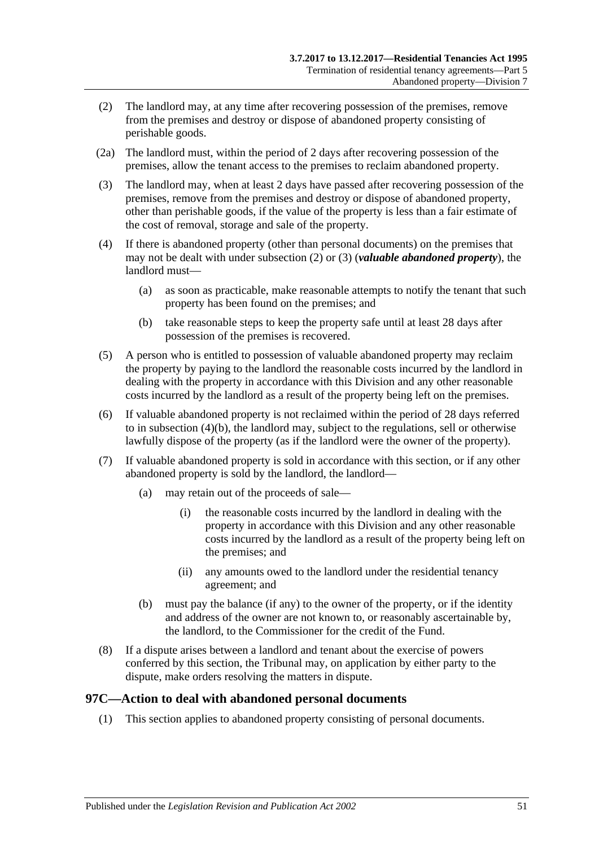- <span id="page-50-0"></span>(2) The landlord may, at any time after recovering possession of the premises, remove from the premises and destroy or dispose of abandoned property consisting of perishable goods.
- (2a) The landlord must, within the period of 2 days after recovering possession of the premises, allow the tenant access to the premises to reclaim abandoned property.
- <span id="page-50-1"></span>(3) The landlord may, when at least 2 days have passed after recovering possession of the premises, remove from the premises and destroy or dispose of abandoned property, other than perishable goods, if the value of the property is less than a fair estimate of the cost of removal, storage and sale of the property.
- (4) If there is abandoned property (other than personal documents) on the premises that may not be dealt with under [subsection](#page-50-0) (2) or [\(3\)](#page-50-1) (*valuable abandoned property*), the landlord must—
	- (a) as soon as practicable, make reasonable attempts to notify the tenant that such property has been found on the premises; and
	- (b) take reasonable steps to keep the property safe until at least 28 days after possession of the premises is recovered.
- <span id="page-50-2"></span>(5) A person who is entitled to possession of valuable abandoned property may reclaim the property by paying to the landlord the reasonable costs incurred by the landlord in dealing with the property in accordance with this Division and any other reasonable costs incurred by the landlord as a result of the property being left on the premises.
- (6) If valuable abandoned property is not reclaimed within the period of 28 days referred to in [subsection](#page-50-2) (4)(b), the landlord may, subject to the regulations, sell or otherwise lawfully dispose of the property (as if the landlord were the owner of the property).
- (7) If valuable abandoned property is sold in accordance with this section, or if any other abandoned property is sold by the landlord, the landlord—
	- (a) may retain out of the proceeds of sale—
		- (i) the reasonable costs incurred by the landlord in dealing with the property in accordance with this Division and any other reasonable costs incurred by the landlord as a result of the property being left on the premises; and
		- (ii) any amounts owed to the landlord under the residential tenancy agreement; and
	- (b) must pay the balance (if any) to the owner of the property, or if the identity and address of the owner are not known to, or reasonably ascertainable by, the landlord, to the Commissioner for the credit of the Fund.
- (8) If a dispute arises between a landlord and tenant about the exercise of powers conferred by this section, the Tribunal may, on application by either party to the dispute, make orders resolving the matters in dispute.

### **97C—Action to deal with abandoned personal documents**

(1) This section applies to abandoned property consisting of personal documents.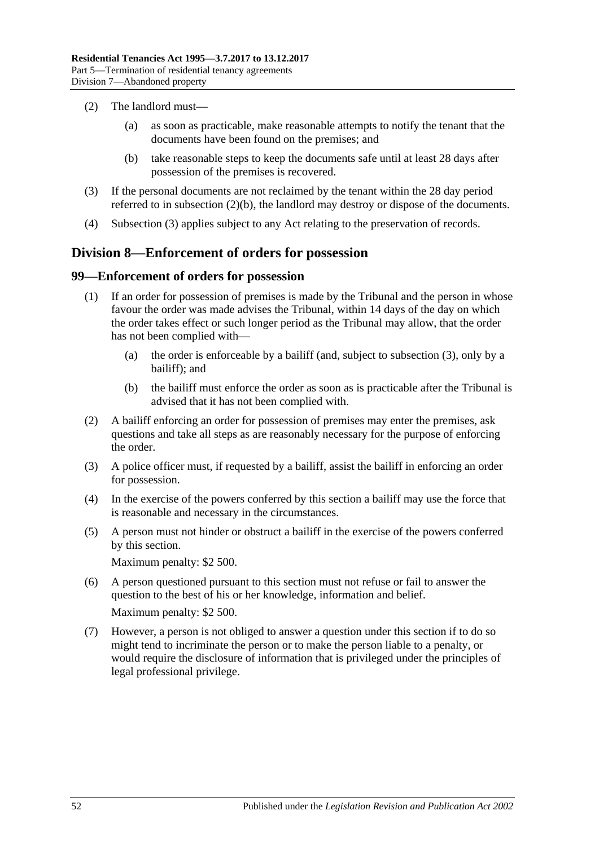- (2) The landlord must—
	- (a) as soon as practicable, make reasonable attempts to notify the tenant that the documents have been found on the premises; and
	- (b) take reasonable steps to keep the documents safe until at least 28 days after possession of the premises is recovered.
- <span id="page-51-1"></span><span id="page-51-0"></span>(3) If the personal documents are not reclaimed by the tenant within the 28 day period referred to in [subsection](#page-51-0) (2)(b), the landlord may destroy or dispose of the documents.
- (4) [Subsection](#page-51-1) (3) applies subject to any Act relating to the preservation of records.

### **Division 8—Enforcement of orders for possession**

#### **99—Enforcement of orders for possession**

- (1) If an order for possession of premises is made by the Tribunal and the person in whose favour the order was made advises the Tribunal, within 14 days of the day on which the order takes effect or such longer period as the Tribunal may allow, that the order has not been complied with—
	- (a) the order is enforceable by a bailiff (and, subject to [subsection](#page-51-2) (3), only by a bailiff); and
	- (b) the bailiff must enforce the order as soon as is practicable after the Tribunal is advised that it has not been complied with.
- (2) A bailiff enforcing an order for possession of premises may enter the premises, ask questions and take all steps as are reasonably necessary for the purpose of enforcing the order.
- <span id="page-51-2"></span>(3) A police officer must, if requested by a bailiff, assist the bailiff in enforcing an order for possession.
- (4) In the exercise of the powers conferred by this section a bailiff may use the force that is reasonable and necessary in the circumstances.
- (5) A person must not hinder or obstruct a bailiff in the exercise of the powers conferred by this section.

Maximum penalty: \$2 500.

- (6) A person questioned pursuant to this section must not refuse or fail to answer the question to the best of his or her knowledge, information and belief. Maximum penalty: \$2 500.
- (7) However, a person is not obliged to answer a question under this section if to do so might tend to incriminate the person or to make the person liable to a penalty, or would require the disclosure of information that is privileged under the principles of legal professional privilege.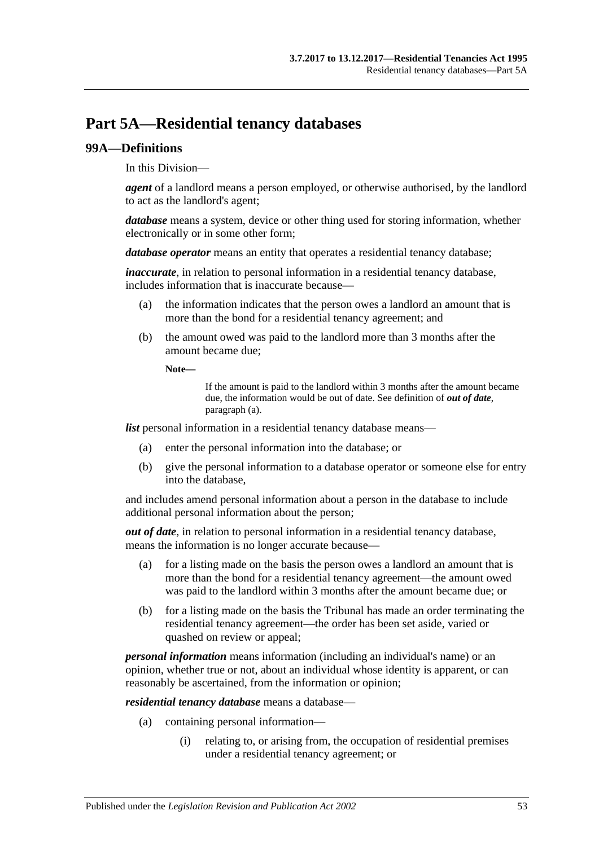# **Part 5A—Residential tenancy databases**

#### **99A—Definitions**

In this Division—

*agent* of a landlord means a person employed, or otherwise authorised, by the landlord to act as the landlord's agent;

*database* means a system, device or other thing used for storing information, whether electronically or in some other form;

*database operator* means an entity that operates a residential tenancy database;

*inaccurate*, in relation to personal information in a residential tenancy database, includes information that is inaccurate because—

- (a) the information indicates that the person owes a landlord an amount that is more than the bond for a residential tenancy agreement; and
- (b) the amount owed was paid to the landlord more than 3 months after the amount became due;

**Note—**

If the amount is paid to the landlord within 3 months after the amount became due, the information would be out of date. See definition of *out of date*, [paragraph](#page-52-0) (a).

*list* personal information in a residential tenancy database means—

- (a) enter the personal information into the database; or
- (b) give the personal information to a database operator or someone else for entry into the database,

and includes amend personal information about a person in the database to include additional personal information about the person;

<span id="page-52-0"></span>*out of date*, in relation to personal information in a residential tenancy database, means the information is no longer accurate because—

- (a) for a listing made on the basis the person owes a landlord an amount that is more than the bond for a residential tenancy agreement—the amount owed was paid to the landlord within 3 months after the amount became due; or
- (b) for a listing made on the basis the Tribunal has made an order terminating the residential tenancy agreement—the order has been set aside, varied or quashed on review or appeal;

*personal information* means information (including an individual's name) or an opinion, whether true or not, about an individual whose identity is apparent, or can reasonably be ascertained, from the information or opinion;

*residential tenancy database* means a database—

- (a) containing personal information—
	- (i) relating to, or arising from, the occupation of residential premises under a residential tenancy agreement; or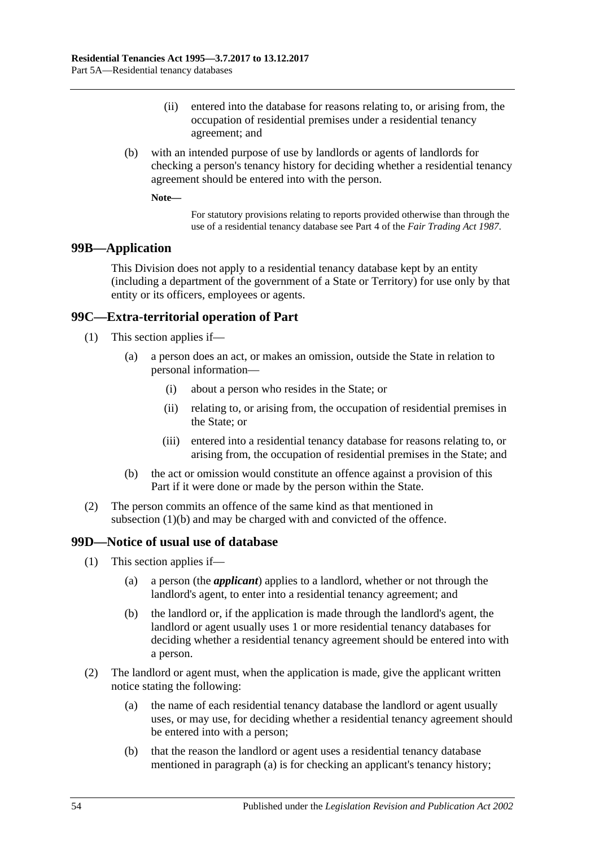- (ii) entered into the database for reasons relating to, or arising from, the occupation of residential premises under a residential tenancy agreement; and
- (b) with an intended purpose of use by landlords or agents of landlords for checking a person's tenancy history for deciding whether a residential tenancy agreement should be entered into with the person.

**Note—**

For statutory provisions relating to reports provided otherwise than through the use of a residential tenancy database see Part 4 of the *[Fair Trading Act](http://www.legislation.sa.gov.au/index.aspx?action=legref&type=act&legtitle=Fair%20Trading%20Act%201987) 1987*.

### **99B—Application**

This Division does not apply to a residential tenancy database kept by an entity (including a department of the government of a State or Territory) for use only by that entity or its officers, employees or agents.

### **99C—Extra-territorial operation of Part**

- (1) This section applies if—
	- (a) a person does an act, or makes an omission, outside the State in relation to personal information—
		- (i) about a person who resides in the State; or
		- (ii) relating to, or arising from, the occupation of residential premises in the State; or
		- (iii) entered into a residential tenancy database for reasons relating to, or arising from, the occupation of residential premises in the State; and
	- (b) the act or omission would constitute an offence against a provision of this Part if it were done or made by the person within the State.
- <span id="page-53-0"></span>(2) The person commits an offence of the same kind as that mentioned in [subsection](#page-53-0) (1)(b) and may be charged with and convicted of the offence.

#### **99D—Notice of usual use of database**

- (1) This section applies if—
	- (a) a person (the *applicant*) applies to a landlord, whether or not through the landlord's agent, to enter into a residential tenancy agreement; and
	- (b) the landlord or, if the application is made through the landlord's agent, the landlord or agent usually uses 1 or more residential tenancy databases for deciding whether a residential tenancy agreement should be entered into with a person.
- <span id="page-53-2"></span><span id="page-53-1"></span>(2) The landlord or agent must, when the application is made, give the applicant written notice stating the following:
	- (a) the name of each residential tenancy database the landlord or agent usually uses, or may use, for deciding whether a residential tenancy agreement should be entered into with a person;
	- (b) that the reason the landlord or agent uses a residential tenancy database mentioned in [paragraph](#page-53-1) (a) is for checking an applicant's tenancy history;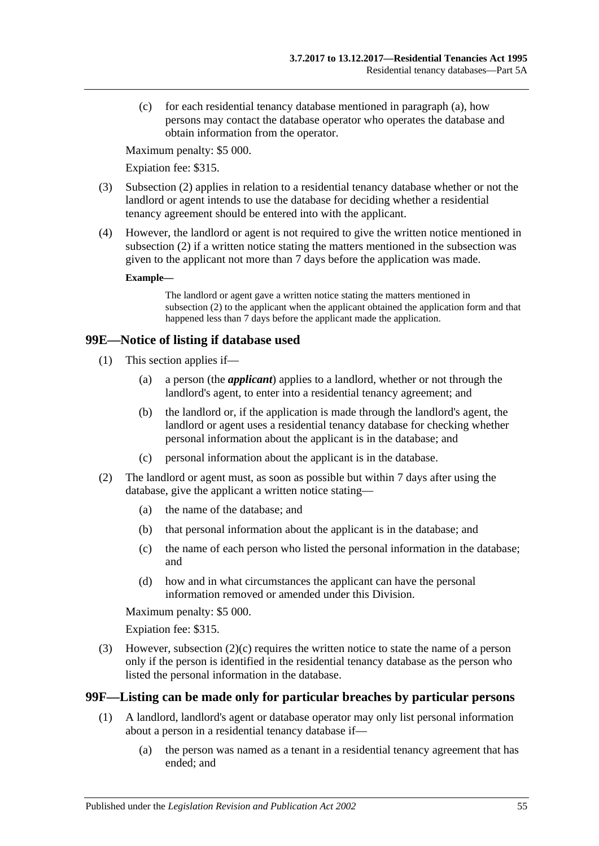(c) for each residential tenancy database mentioned in [paragraph](#page-53-1) (a), how persons may contact the database operator who operates the database and obtain information from the operator.

Maximum penalty: \$5 000.

Expiation fee: \$315.

- (3) [Subsection](#page-53-2) (2) applies in relation to a residential tenancy database whether or not the landlord or agent intends to use the database for deciding whether a residential tenancy agreement should be entered into with the applicant.
- (4) However, the landlord or agent is not required to give the written notice mentioned in [subsection](#page-53-2) (2) if a written notice stating the matters mentioned in the subsection was given to the applicant not more than 7 days before the application was made.

#### **Example—**

The landlord or agent gave a written notice stating the matters mentioned in [subsection](#page-53-2) (2) to the applicant when the applicant obtained the application form and that happened less than 7 days before the applicant made the application.

### **99E—Notice of listing if database used**

- (1) This section applies if—
	- (a) a person (the *applicant*) applies to a landlord, whether or not through the landlord's agent, to enter into a residential tenancy agreement; and
	- (b) the landlord or, if the application is made through the landlord's agent, the landlord or agent uses a residential tenancy database for checking whether personal information about the applicant is in the database; and
	- (c) personal information about the applicant is in the database.
- <span id="page-54-1"></span>(2) The landlord or agent must, as soon as possible but within 7 days after using the database, give the applicant a written notice stating—
	- (a) the name of the database; and
	- (b) that personal information about the applicant is in the database; and
	- (c) the name of each person who listed the personal information in the database; and
	- (d) how and in what circumstances the applicant can have the personal information removed or amended under this Division.

Maximum penalty: \$5 000.

Expiation fee: \$315.

(3) However, [subsection](#page-54-1) (2)(c) requires the written notice to state the name of a person only if the person is identified in the residential tenancy database as the person who listed the personal information in the database.

### <span id="page-54-0"></span>**99F—Listing can be made only for particular breaches by particular persons**

- (1) A landlord, landlord's agent or database operator may only list personal information about a person in a residential tenancy database if—
	- (a) the person was named as a tenant in a residential tenancy agreement that has ended; and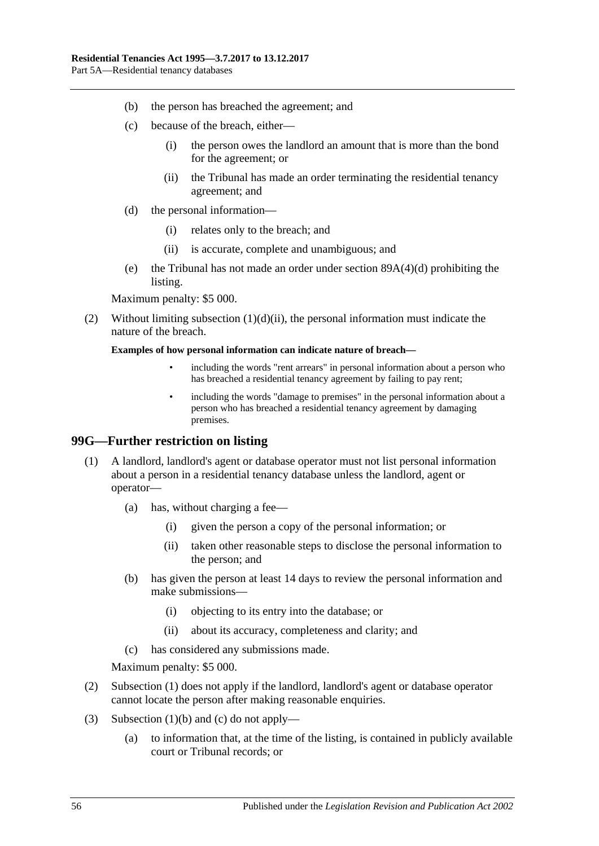- (b) the person has breached the agreement; and
- (c) because of the breach, either—
	- (i) the person owes the landlord an amount that is more than the bond for the agreement; or
	- (ii) the Tribunal has made an order terminating the residential tenancy agreement; and
- (d) the personal information—
	- (i) relates only to the breach; and
	- (ii) is accurate, complete and unambiguous; and
- <span id="page-55-0"></span>(e) the Tribunal has not made an order under section [89A\(4\)\(d\)](#page-43-2) prohibiting the listing.

Maximum penalty: \$5 000.

(2) Without limiting [subsection](#page-55-0)  $(1)(d)(ii)$ , the personal information must indicate the nature of the breach.

#### **Examples of how personal information can indicate nature of breach—**

- including the words "rent arrears" in personal information about a person who has breached a residential tenancy agreement by failing to pay rent;
- including the words "damage to premises" in the personal information about a person who has breached a residential tenancy agreement by damaging premises.

#### <span id="page-55-1"></span>**99G—Further restriction on listing**

- (1) A landlord, landlord's agent or database operator must not list personal information about a person in a residential tenancy database unless the landlord, agent or operator—
	- (a) has, without charging a fee—
		- (i) given the person a copy of the personal information; or
		- (ii) taken other reasonable steps to disclose the personal information to the person; and
	- (b) has given the person at least 14 days to review the personal information and make submissions—
		- (i) objecting to its entry into the database; or
		- (ii) about its accuracy, completeness and clarity; and
	- (c) has considered any submissions made.

<span id="page-55-2"></span>Maximum penalty: \$5 000.

- <span id="page-55-3"></span>(2) [Subsection](#page-55-1) (1) does not apply if the landlord, landlord's agent or database operator cannot locate the person after making reasonable enquiries.
- (3) [Subsection](#page-55-2) (1)(b) and [\(c\)](#page-55-3) do not apply—
	- (a) to information that, at the time of the listing, is contained in publicly available court or Tribunal records; or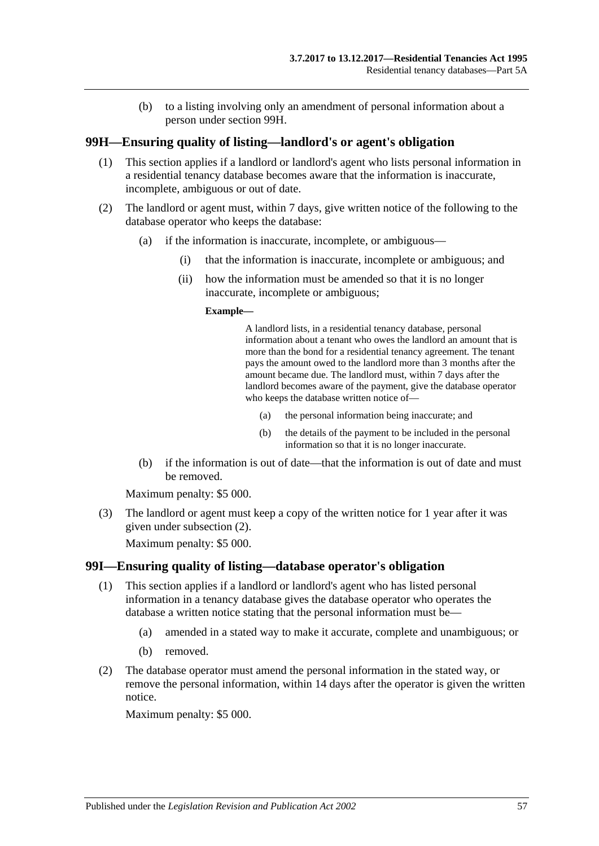(b) to a listing involving only an amendment of personal information about a person under [section](#page-56-0) 99H.

#### <span id="page-56-0"></span>**99H—Ensuring quality of listing—landlord's or agent's obligation**

- (1) This section applies if a landlord or landlord's agent who lists personal information in a residential tenancy database becomes aware that the information is inaccurate, incomplete, ambiguous or out of date.
- <span id="page-56-1"></span>(2) The landlord or agent must, within 7 days, give written notice of the following to the database operator who keeps the database:
	- (a) if the information is inaccurate, incomplete, or ambiguous—
		- (i) that the information is inaccurate, incomplete or ambiguous; and
		- (ii) how the information must be amended so that it is no longer inaccurate, incomplete or ambiguous;

#### **Example—**

A landlord lists, in a residential tenancy database, personal information about a tenant who owes the landlord an amount that is more than the bond for a residential tenancy agreement. The tenant pays the amount owed to the landlord more than 3 months after the amount became due. The landlord must, within 7 days after the landlord becomes aware of the payment, give the database operator who keeps the database written notice of—

- (a) the personal information being inaccurate; and
- (b) the details of the payment to be included in the personal information so that it is no longer inaccurate.
- (b) if the information is out of date—that the information is out of date and must be removed.

Maximum penalty: \$5 000.

(3) The landlord or agent must keep a copy of the written notice for 1 year after it was given under [subsection](#page-56-1) (2).

Maximum penalty: \$5 000.

#### **99I—Ensuring quality of listing—database operator's obligation**

- (1) This section applies if a landlord or landlord's agent who has listed personal information in a tenancy database gives the database operator who operates the database a written notice stating that the personal information must be—
	- (a) amended in a stated way to make it accurate, complete and unambiguous; or
	- (b) removed.
- (2) The database operator must amend the personal information in the stated way, or remove the personal information, within 14 days after the operator is given the written notice.

Maximum penalty: \$5 000.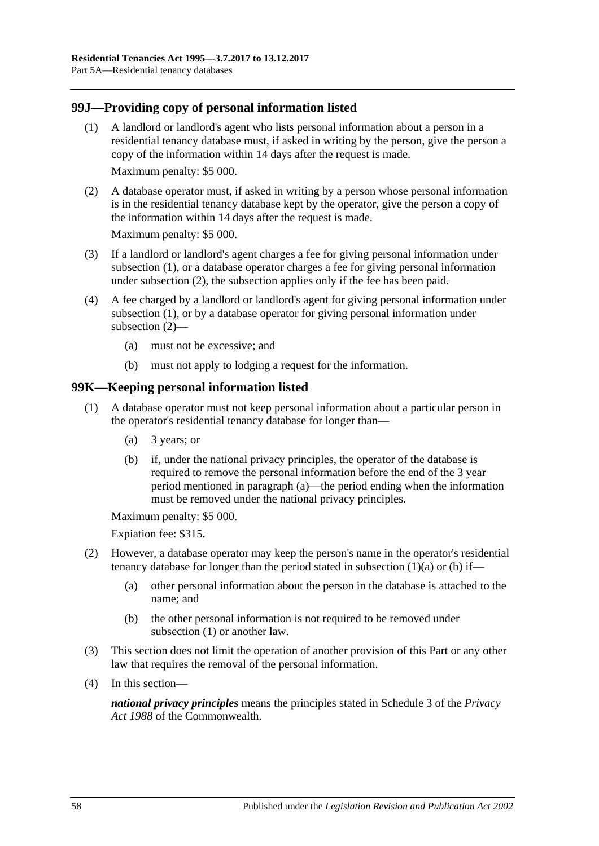### <span id="page-57-0"></span>**99J—Providing copy of personal information listed**

- (1) A landlord or landlord's agent who lists personal information about a person in a residential tenancy database must, if asked in writing by the person, give the person a copy of the information within 14 days after the request is made. Maximum penalty: \$5 000.
- <span id="page-57-1"></span>(2) A database operator must, if asked in writing by a person whose personal information is in the residential tenancy database kept by the operator, give the person a copy of the information within 14 days after the request is made.

Maximum penalty: \$5 000.

- (3) If a landlord or landlord's agent charges a fee for giving personal information under [subsection](#page-57-0) (1), or a database operator charges a fee for giving personal information under [subsection](#page-57-1) (2), the subsection applies only if the fee has been paid.
- (4) A fee charged by a landlord or landlord's agent for giving personal information under [subsection](#page-57-0) (1), or by a database operator for giving personal information under [subsection](#page-57-1) (2)—
	- (a) must not be excessive; and
	- (b) must not apply to lodging a request for the information.

### <span id="page-57-4"></span>**99K—Keeping personal information listed**

- <span id="page-57-3"></span><span id="page-57-2"></span>(1) A database operator must not keep personal information about a particular person in the operator's residential tenancy database for longer than—
	- (a) 3 years; or
	- (b) if, under the national privacy principles, the operator of the database is required to remove the personal information before the end of the 3 year period mentioned in [paragraph](#page-57-2) (a)—the period ending when the information must be removed under the national privacy principles.

Maximum penalty: \$5 000.

Expiation fee: \$315.

- (2) However, a database operator may keep the person's name in the operator's residential tenancy database for longer than the period stated in [subsection](#page-57-2)  $(1)(a)$  or [\(b\)](#page-57-3) if—
	- (a) other personal information about the person in the database is attached to the name; and
	- (b) the other personal information is not required to be removed under [subsection](#page-57-4) (1) or another law.
- (3) This section does not limit the operation of another provision of this Part or any other law that requires the removal of the personal information.
- (4) In this section—

*national privacy principles* means the principles stated in Schedule 3 of the *Privacy Act 1988* of the Commonwealth.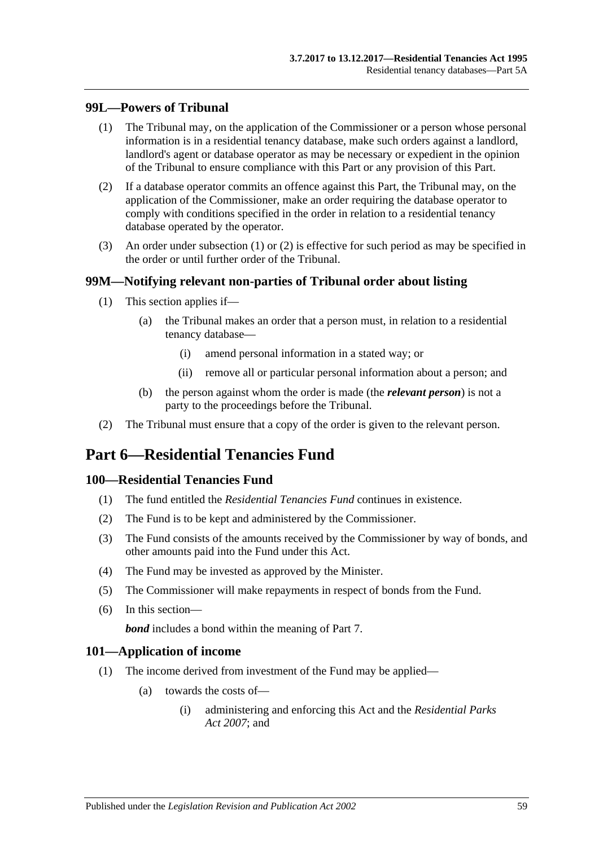#### <span id="page-58-0"></span>**99L—Powers of Tribunal**

- (1) The Tribunal may, on the application of the Commissioner or a person whose personal information is in a residential tenancy database, make such orders against a landlord, landlord's agent or database operator as may be necessary or expedient in the opinion of the Tribunal to ensure compliance with this Part or any provision of this Part.
- <span id="page-58-1"></span>(2) If a database operator commits an offence against this Part, the Tribunal may, on the application of the Commissioner, make an order requiring the database operator to comply with conditions specified in the order in relation to a residential tenancy database operated by the operator.
- (3) An order under [subsection](#page-58-0) (1) or [\(2\)](#page-58-1) is effective for such period as may be specified in the order or until further order of the Tribunal.

#### **99M—Notifying relevant non-parties of Tribunal order about listing**

- (1) This section applies if—
	- (a) the Tribunal makes an order that a person must, in relation to a residential tenancy database—
		- (i) amend personal information in a stated way; or
		- (ii) remove all or particular personal information about a person; and
	- (b) the person against whom the order is made (the *relevant person*) is not a party to the proceedings before the Tribunal.
- (2) The Tribunal must ensure that a copy of the order is given to the relevant person.

# **Part 6—Residential Tenancies Fund**

#### **100—Residential Tenancies Fund**

- (1) The fund entitled the *Residential Tenancies Fund* continues in existence.
- (2) The Fund is to be kept and administered by the Commissioner.
- (3) The Fund consists of the amounts received by the Commissioner by way of bonds, and other amounts paid into the Fund under this Act.
- (4) The Fund may be invested as approved by the Minister.
- (5) The Commissioner will make repayments in respect of bonds from the Fund.
- (6) In this section—

*bond* includes a bond within the meaning of [Part 7.](#page-59-0)

#### **101—Application of income**

- (1) The income derived from investment of the Fund may be applied—
	- (a) towards the costs of—
		- (i) administering and enforcing this Act and the *[Residential Parks](http://www.legislation.sa.gov.au/index.aspx?action=legref&type=act&legtitle=Residential%20Parks%20Act%202007)  Act [2007](http://www.legislation.sa.gov.au/index.aspx?action=legref&type=act&legtitle=Residential%20Parks%20Act%202007)*; and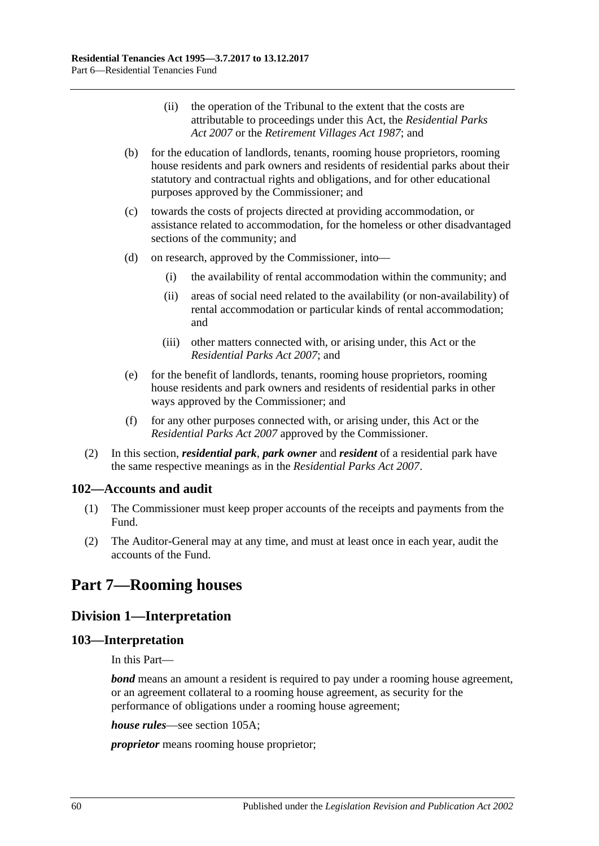- (ii) the operation of the Tribunal to the extent that the costs are attributable to proceedings under this Act, the *[Residential Parks](http://www.legislation.sa.gov.au/index.aspx?action=legref&type=act&legtitle=Residential%20Parks%20Act%202007)  Act [2007](http://www.legislation.sa.gov.au/index.aspx?action=legref&type=act&legtitle=Residential%20Parks%20Act%202007)* or the *[Retirement Villages Act](http://www.legislation.sa.gov.au/index.aspx?action=legref&type=act&legtitle=Retirement%20Villages%20Act%201987) 1987*; and
- (b) for the education of landlords, tenants, rooming house proprietors, rooming house residents and park owners and residents of residential parks about their statutory and contractual rights and obligations, and for other educational purposes approved by the Commissioner; and
- (c) towards the costs of projects directed at providing accommodation, or assistance related to accommodation, for the homeless or other disadvantaged sections of the community; and
- (d) on research, approved by the Commissioner, into—
	- (i) the availability of rental accommodation within the community; and
	- (ii) areas of social need related to the availability (or non-availability) of rental accommodation or particular kinds of rental accommodation; and
	- (iii) other matters connected with, or arising under, this Act or the *[Residential Parks Act](http://www.legislation.sa.gov.au/index.aspx?action=legref&type=act&legtitle=Residential%20Parks%20Act%202007) 2007*; and
- (e) for the benefit of landlords, tenants, rooming house proprietors, rooming house residents and park owners and residents of residential parks in other ways approved by the Commissioner; and
- (f) for any other purposes connected with, or arising under, this Act or the *[Residential Parks Act](http://www.legislation.sa.gov.au/index.aspx?action=legref&type=act&legtitle=Residential%20Parks%20Act%202007) 2007* approved by the Commissioner.
- (2) In this section, *residential park*, *park owner* and *resident* of a residential park have the same respective meanings as in the *[Residential Parks Act](http://www.legislation.sa.gov.au/index.aspx?action=legref&type=act&legtitle=Residential%20Parks%20Act%202007) 2007*.

### **102—Accounts and audit**

- (1) The Commissioner must keep proper accounts of the receipts and payments from the Fund.
- (2) The Auditor-General may at any time, and must at least once in each year, audit the accounts of the Fund.

# <span id="page-59-0"></span>**Part 7—Rooming houses**

# **Division 1—Interpretation**

### **103—Interpretation**

In this Part—

*bond* means an amount a resident is required to pay under a rooming house agreement, or an agreement collateral to a rooming house agreement, as security for the performance of obligations under a rooming house agreement;

*house rules*—see [section](#page-60-0) 105A;

*proprietor* means rooming house proprietor;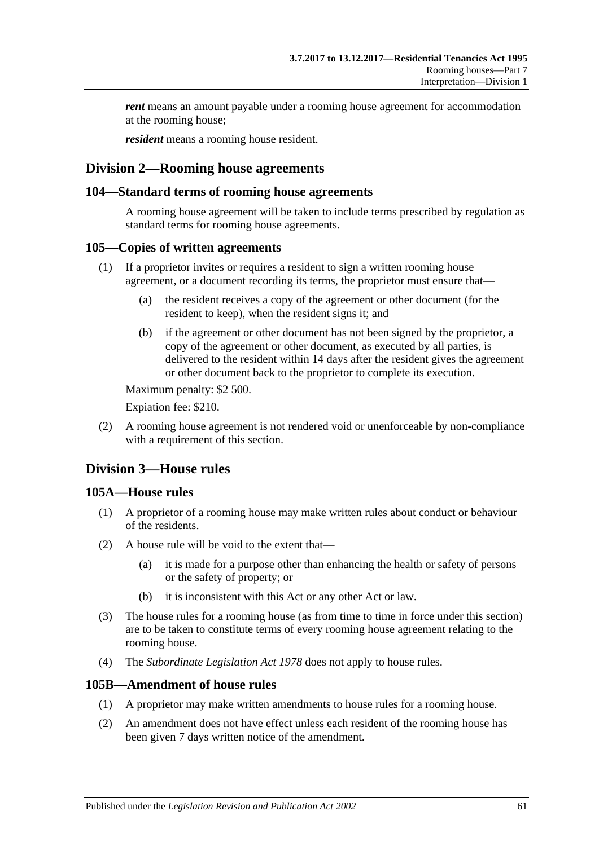*rent* means an amount payable under a rooming house agreement for accommodation at the rooming house;

*resident* means a rooming house resident.

### **Division 2—Rooming house agreements**

#### **104—Standard terms of rooming house agreements**

A rooming house agreement will be taken to include terms prescribed by regulation as standard terms for rooming house agreements.

#### **105—Copies of written agreements**

- (1) If a proprietor invites or requires a resident to sign a written rooming house agreement, or a document recording its terms, the proprietor must ensure that—
	- (a) the resident receives a copy of the agreement or other document (for the resident to keep), when the resident signs it; and
	- (b) if the agreement or other document has not been signed by the proprietor, a copy of the agreement or other document, as executed by all parties, is delivered to the resident within 14 days after the resident gives the agreement or other document back to the proprietor to complete its execution.

Maximum penalty: \$2 500.

Expiation fee: \$210.

(2) A rooming house agreement is not rendered void or unenforceable by non-compliance with a requirement of this section.

### **Division 3—House rules**

#### <span id="page-60-0"></span>**105A—House rules**

- (1) A proprietor of a rooming house may make written rules about conduct or behaviour of the residents.
- (2) A house rule will be void to the extent that—
	- (a) it is made for a purpose other than enhancing the health or safety of persons or the safety of property; or
	- (b) it is inconsistent with this Act or any other Act or law.
- (3) The house rules for a rooming house (as from time to time in force under this section) are to be taken to constitute terms of every rooming house agreement relating to the rooming house.
- (4) The *[Subordinate Legislation Act](http://www.legislation.sa.gov.au/index.aspx?action=legref&type=act&legtitle=Subordinate%20Legislation%20Act%201978) 1978* does not apply to house rules.

#### **105B—Amendment of house rules**

- (1) A proprietor may make written amendments to house rules for a rooming house.
- (2) An amendment does not have effect unless each resident of the rooming house has been given 7 days written notice of the amendment.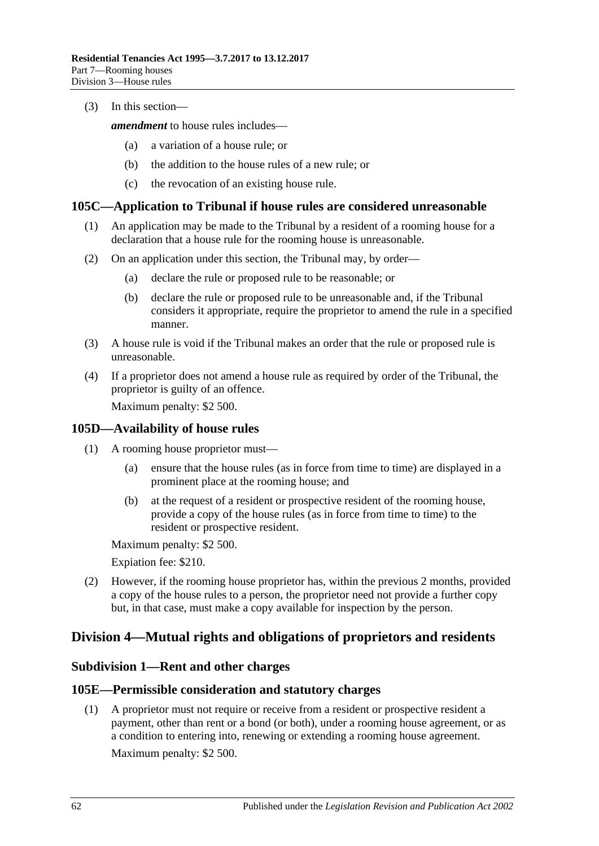(3) In this section—

*amendment* to house rules includes—

- (a) a variation of a house rule; or
- (b) the addition to the house rules of a new rule; or
- (c) the revocation of an existing house rule.

#### **105C—Application to Tribunal if house rules are considered unreasonable**

- (1) An application may be made to the Tribunal by a resident of a rooming house for a declaration that a house rule for the rooming house is unreasonable.
- (2) On an application under this section, the Tribunal may, by order—
	- (a) declare the rule or proposed rule to be reasonable; or
	- (b) declare the rule or proposed rule to be unreasonable and, if the Tribunal considers it appropriate, require the proprietor to amend the rule in a specified manner.
- (3) A house rule is void if the Tribunal makes an order that the rule or proposed rule is unreasonable.
- (4) If a proprietor does not amend a house rule as required by order of the Tribunal, the proprietor is guilty of an offence.

Maximum penalty: \$2 500.

#### **105D—Availability of house rules**

- (1) A rooming house proprietor must—
	- (a) ensure that the house rules (as in force from time to time) are displayed in a prominent place at the rooming house; and
	- (b) at the request of a resident or prospective resident of the rooming house, provide a copy of the house rules (as in force from time to time) to the resident or prospective resident.

Maximum penalty: \$2 500.

Expiation fee: \$210.

(2) However, if the rooming house proprietor has, within the previous 2 months, provided a copy of the house rules to a person, the proprietor need not provide a further copy but, in that case, must make a copy available for inspection by the person.

# **Division 4—Mutual rights and obligations of proprietors and residents**

#### **Subdivision 1—Rent and other charges**

#### **105E—Permissible consideration and statutory charges**

(1) A proprietor must not require or receive from a resident or prospective resident a payment, other than rent or a bond (or both), under a rooming house agreement, or as a condition to entering into, renewing or extending a rooming house agreement. Maximum penalty: \$2 500.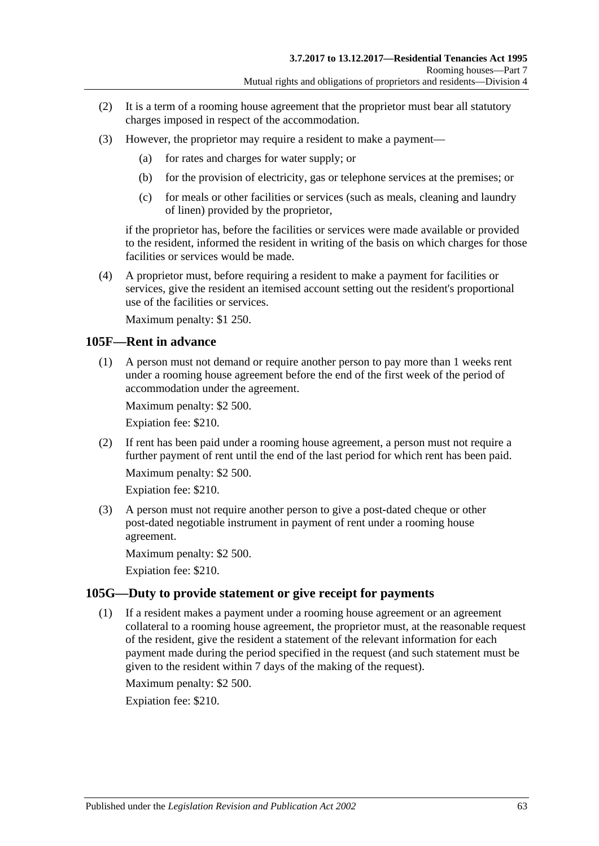- (2) It is a term of a rooming house agreement that the proprietor must bear all statutory charges imposed in respect of the accommodation.
- (3) However, the proprietor may require a resident to make a payment—
	- (a) for rates and charges for water supply; or
	- (b) for the provision of electricity, gas or telephone services at the premises; or
	- (c) for meals or other facilities or services (such as meals, cleaning and laundry of linen) provided by the proprietor,

if the proprietor has, before the facilities or services were made available or provided to the resident, informed the resident in writing of the basis on which charges for those facilities or services would be made.

(4) A proprietor must, before requiring a resident to make a payment for facilities or services, give the resident an itemised account setting out the resident's proportional use of the facilities or services.

Maximum penalty: \$1 250.

#### **105F—Rent in advance**

(1) A person must not demand or require another person to pay more than 1 weeks rent under a rooming house agreement before the end of the first week of the period of accommodation under the agreement.

Maximum penalty: \$2 500.

Expiation fee: \$210.

(2) If rent has been paid under a rooming house agreement, a person must not require a further payment of rent until the end of the last period for which rent has been paid.

Maximum penalty: \$2 500.

Expiation fee: \$210.

(3) A person must not require another person to give a post-dated cheque or other post-dated negotiable instrument in payment of rent under a rooming house agreement.

Maximum penalty: \$2 500.

Expiation fee: \$210.

#### **105G—Duty to provide statement or give receipt for payments**

(1) If a resident makes a payment under a rooming house agreement or an agreement collateral to a rooming house agreement, the proprietor must, at the reasonable request of the resident, give the resident a statement of the relevant information for each payment made during the period specified in the request (and such statement must be given to the resident within 7 days of the making of the request).

Maximum penalty: \$2 500.

Expiation fee: \$210.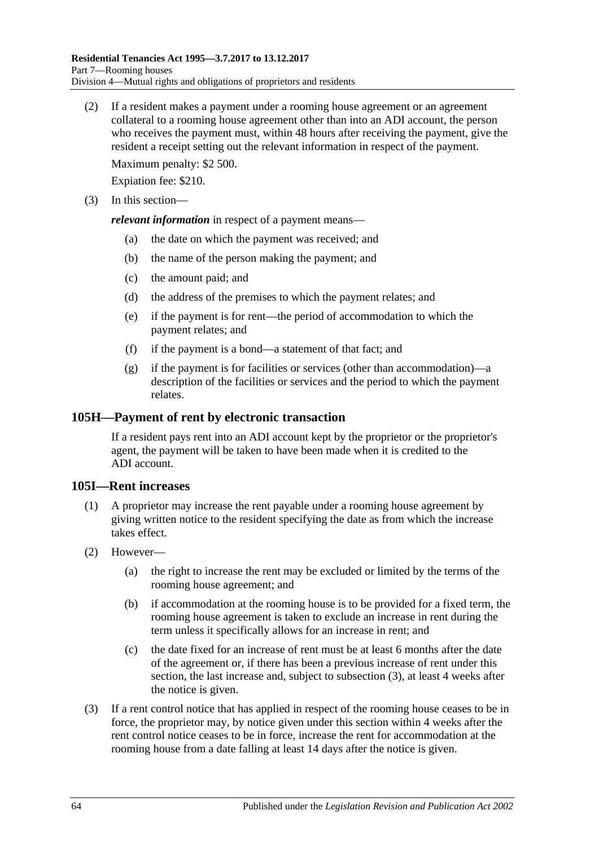(2) If a resident makes a payment under a rooming house agreement or an agreement collateral to a rooming house agreement other than into an ADI account, the person who receives the payment must, within 48 hours after receiving the payment, give the resident a receipt setting out the relevant information in respect of the payment.

Maximum penalty: \$2 500.

Expiation fee: \$210.

(3) In this section—

*relevant information* in respect of a payment means—

- (a) the date on which the payment was received; and
- (b) the name of the person making the payment; and
- (c) the amount paid; and
- (d) the address of the premises to which the payment relates; and
- (e) if the payment is for rent—the period of accommodation to which the payment relates; and
- (f) if the payment is a bond—a statement of that fact; and
- (g) if the payment is for facilities or services (other than accommodation)—a description of the facilities or services and the period to which the payment relates.

#### **105H—Payment of rent by electronic transaction**

If a resident pays rent into an ADI account kept by the proprietor or the proprietor's agent, the payment will be taken to have been made when it is credited to the ADI account.

#### **105I—Rent increases**

- (1) A proprietor may increase the rent payable under a rooming house agreement by giving written notice to the resident specifying the date as from which the increase takes effect.
- (2) However—
	- (a) the right to increase the rent may be excluded or limited by the terms of the rooming house agreement; and
	- (b) if accommodation at the rooming house is to be provided for a fixed term, the rooming house agreement is taken to exclude an increase in rent during the term unless it specifically allows for an increase in rent; and
	- (c) the date fixed for an increase of rent must be at least 6 months after the date of the agreement or, if there has been a previous increase of rent under this section, the last increase and, subject to [subsection](#page-63-0) (3), at least 4 weeks after the notice is given.
- <span id="page-63-0"></span>(3) If a rent control notice that has applied in respect of the rooming house ceases to be in force, the proprietor may, by notice given under this section within 4 weeks after the rent control notice ceases to be in force, increase the rent for accommodation at the rooming house from a date falling at least 14 days after the notice is given.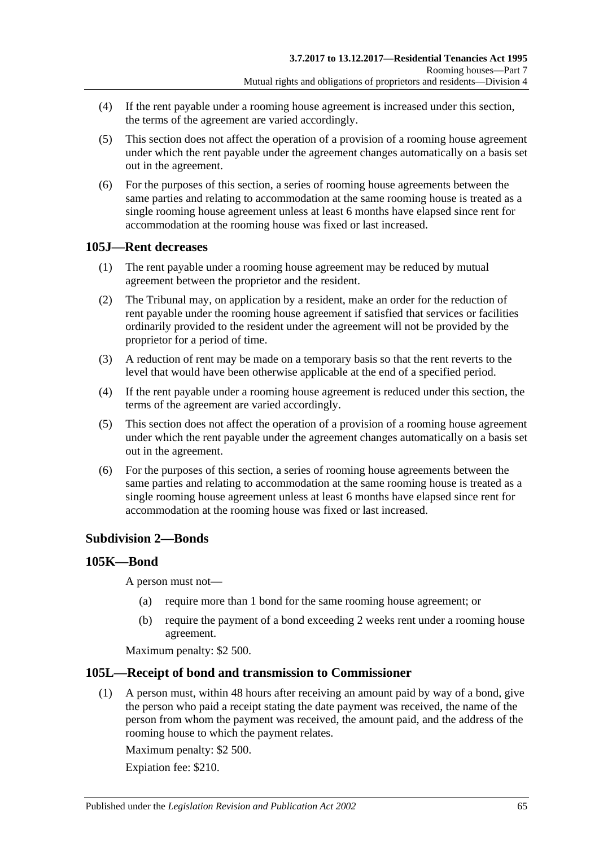- (4) If the rent payable under a rooming house agreement is increased under this section, the terms of the agreement are varied accordingly.
- (5) This section does not affect the operation of a provision of a rooming house agreement under which the rent payable under the agreement changes automatically on a basis set out in the agreement.
- (6) For the purposes of this section, a series of rooming house agreements between the same parties and relating to accommodation at the same rooming house is treated as a single rooming house agreement unless at least 6 months have elapsed since rent for accommodation at the rooming house was fixed or last increased.

### **105J—Rent decreases**

- (1) The rent payable under a rooming house agreement may be reduced by mutual agreement between the proprietor and the resident.
- (2) The Tribunal may, on application by a resident, make an order for the reduction of rent payable under the rooming house agreement if satisfied that services or facilities ordinarily provided to the resident under the agreement will not be provided by the proprietor for a period of time.
- (3) A reduction of rent may be made on a temporary basis so that the rent reverts to the level that would have been otherwise applicable at the end of a specified period.
- (4) If the rent payable under a rooming house agreement is reduced under this section, the terms of the agreement are varied accordingly.
- (5) This section does not affect the operation of a provision of a rooming house agreement under which the rent payable under the agreement changes automatically on a basis set out in the agreement.
- (6) For the purposes of this section, a series of rooming house agreements between the same parties and relating to accommodation at the same rooming house is treated as a single rooming house agreement unless at least 6 months have elapsed since rent for accommodation at the rooming house was fixed or last increased.

### **Subdivision 2—Bonds**

#### <span id="page-64-0"></span>**105K—Bond**

A person must not—

- (a) require more than 1 bond for the same rooming house agreement; or
- (b) require the payment of a bond exceeding 2 weeks rent under a rooming house agreement.

Maximum penalty: \$2 500.

### **105L—Receipt of bond and transmission to Commissioner**

(1) A person must, within 48 hours after receiving an amount paid by way of a bond, give the person who paid a receipt stating the date payment was received, the name of the person from whom the payment was received, the amount paid, and the address of the rooming house to which the payment relates.

Maximum penalty: \$2 500.

Expiation fee: \$210.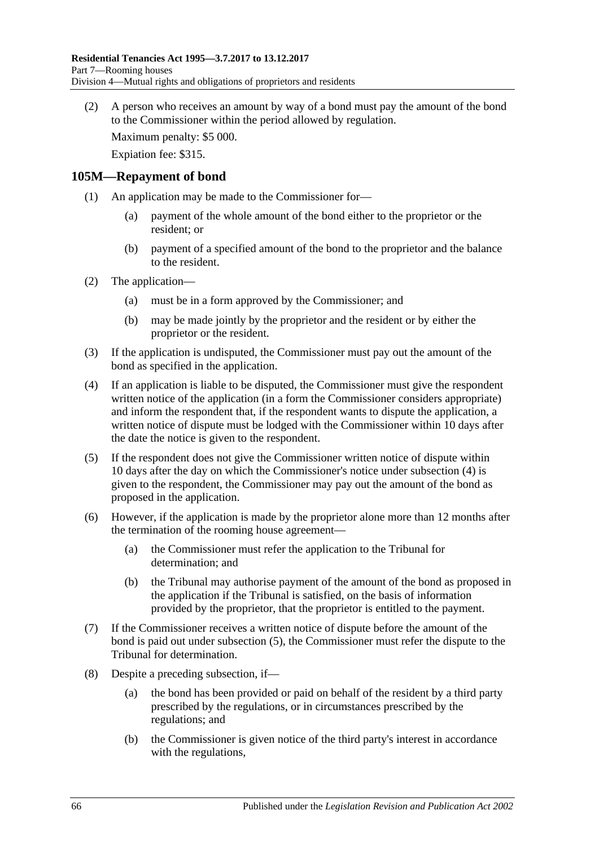(2) A person who receives an amount by way of a bond must pay the amount of the bond to the Commissioner within the period allowed by regulation.

Maximum penalty: \$5 000.

Expiation fee: \$315.

#### **105M—Repayment of bond**

- (1) An application may be made to the Commissioner for—
	- (a) payment of the whole amount of the bond either to the proprietor or the resident; or
	- (b) payment of a specified amount of the bond to the proprietor and the balance to the resident.
- (2) The application—
	- (a) must be in a form approved by the Commissioner; and
	- (b) may be made jointly by the proprietor and the resident or by either the proprietor or the resident.
- (3) If the application is undisputed, the Commissioner must pay out the amount of the bond as specified in the application.
- <span id="page-65-0"></span>(4) If an application is liable to be disputed, the Commissioner must give the respondent written notice of the application (in a form the Commissioner considers appropriate) and inform the respondent that, if the respondent wants to dispute the application, a written notice of dispute must be lodged with the Commissioner within 10 days after the date the notice is given to the respondent.
- <span id="page-65-1"></span>(5) If the respondent does not give the Commissioner written notice of dispute within 10 days after the day on which the Commissioner's notice under [subsection](#page-65-0) (4) is given to the respondent, the Commissioner may pay out the amount of the bond as proposed in the application.
- (6) However, if the application is made by the proprietor alone more than 12 months after the termination of the rooming house agreement—
	- (a) the Commissioner must refer the application to the Tribunal for determination; and
	- (b) the Tribunal may authorise payment of the amount of the bond as proposed in the application if the Tribunal is satisfied, on the basis of information provided by the proprietor, that the proprietor is entitled to the payment.
- (7) If the Commissioner receives a written notice of dispute before the amount of the bond is paid out under [subsection](#page-65-1) (5), the Commissioner must refer the dispute to the Tribunal for determination.
- <span id="page-65-2"></span>(8) Despite a preceding subsection, if—
	- (a) the bond has been provided or paid on behalf of the resident by a third party prescribed by the regulations, or in circumstances prescribed by the regulations; and
	- (b) the Commissioner is given notice of the third party's interest in accordance with the regulations,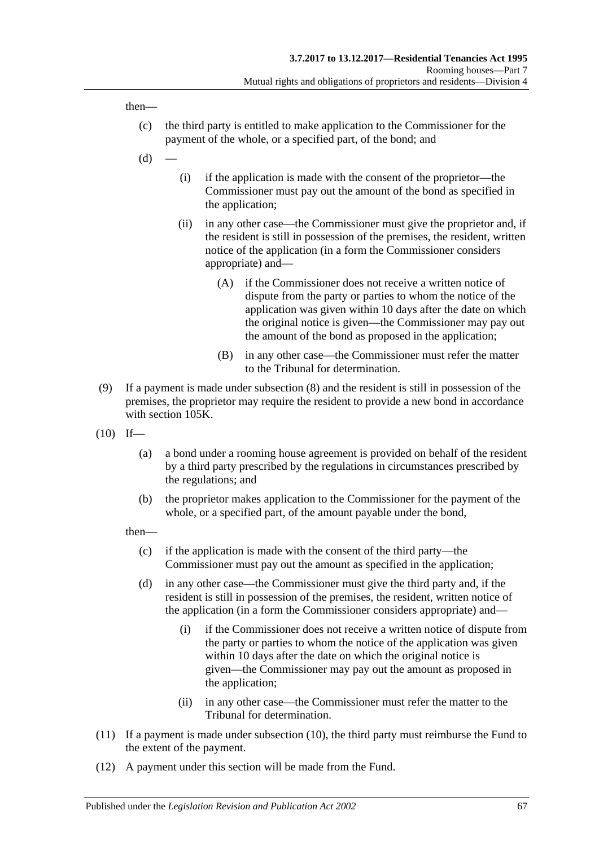then—

- (c) the third party is entitled to make application to the Commissioner for the payment of the whole, or a specified part, of the bond; and
- $(d)$
- (i) if the application is made with the consent of the proprietor—the Commissioner must pay out the amount of the bond as specified in the application;
- (ii) in any other case—the Commissioner must give the proprietor and, if the resident is still in possession of the premises, the resident, written notice of the application (in a form the Commissioner considers appropriate) and—
	- (A) if the Commissioner does not receive a written notice of dispute from the party or parties to whom the notice of the application was given within 10 days after the date on which the original notice is given—the Commissioner may pay out the amount of the bond as proposed in the application;
	- (B) in any other case—the Commissioner must refer the matter to the Tribunal for determination.
- (9) If a payment is made under [subsection](#page-65-2) (8) and the resident is still in possession of the premises, the proprietor may require the resident to provide a new bond in accordance with [section](#page-64-0) 105K.
- <span id="page-66-0"></span> $(10)$  If—
	- (a) a bond under a rooming house agreement is provided on behalf of the resident by a third party prescribed by the regulations in circumstances prescribed by the regulations; and
	- (b) the proprietor makes application to the Commissioner for the payment of the whole, or a specified part, of the amount payable under the bond,

then—

- (c) if the application is made with the consent of the third party—the Commissioner must pay out the amount as specified in the application;
- (d) in any other case—the Commissioner must give the third party and, if the resident is still in possession of the premises, the resident, written notice of the application (in a form the Commissioner considers appropriate) and—
	- (i) if the Commissioner does not receive a written notice of dispute from the party or parties to whom the notice of the application was given within 10 days after the date on which the original notice is given—the Commissioner may pay out the amount as proposed in the application;
	- (ii) in any other case—the Commissioner must refer the matter to the Tribunal for determination.
- (11) If a payment is made under [subsection](#page-66-0) (10), the third party must reimburse the Fund to the extent of the payment.
- (12) A payment under this section will be made from the Fund.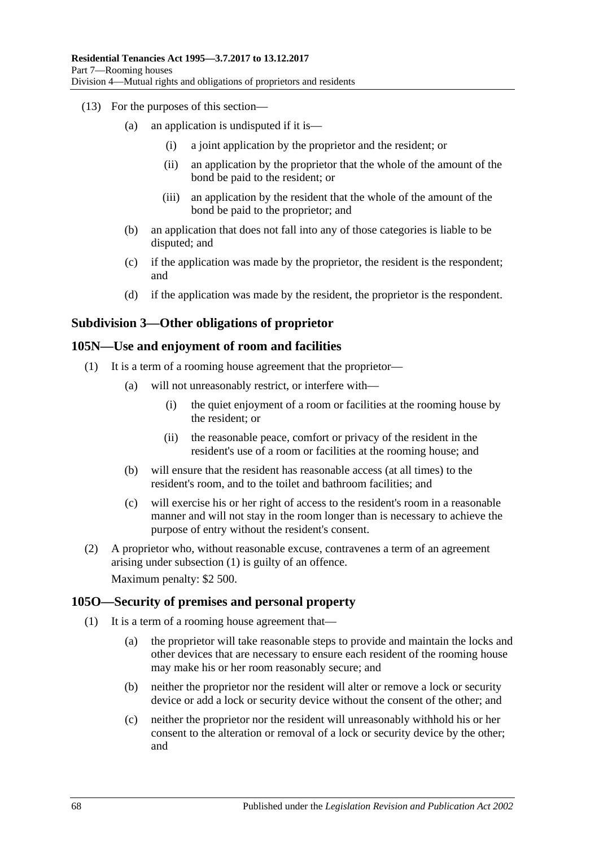- (13) For the purposes of this section—
	- (a) an application is undisputed if it is—
		- (i) a joint application by the proprietor and the resident; or
		- (ii) an application by the proprietor that the whole of the amount of the bond be paid to the resident; or
		- (iii) an application by the resident that the whole of the amount of the bond be paid to the proprietor; and
	- (b) an application that does not fall into any of those categories is liable to be disputed; and
	- (c) if the application was made by the proprietor, the resident is the respondent; and
	- (d) if the application was made by the resident, the proprietor is the respondent.

### **Subdivision 3—Other obligations of proprietor**

#### <span id="page-67-0"></span>**105N—Use and enjoyment of room and facilities**

- (1) It is a term of a rooming house agreement that the proprietor—
	- (a) will not unreasonably restrict, or interfere with—
		- (i) the quiet enjoyment of a room or facilities at the rooming house by the resident; or
		- (ii) the reasonable peace, comfort or privacy of the resident in the resident's use of a room or facilities at the rooming house; and
	- (b) will ensure that the resident has reasonable access (at all times) to the resident's room, and to the toilet and bathroom facilities; and
	- (c) will exercise his or her right of access to the resident's room in a reasonable manner and will not stay in the room longer than is necessary to achieve the purpose of entry without the resident's consent.
- (2) A proprietor who, without reasonable excuse, contravenes a term of an agreement arising under [subsection](#page-67-0) (1) is guilty of an offence. Maximum penalty: \$2 500.

### <span id="page-67-1"></span>**105O—Security of premises and personal property**

- (1) It is a term of a rooming house agreement that—
	- (a) the proprietor will take reasonable steps to provide and maintain the locks and other devices that are necessary to ensure each resident of the rooming house may make his or her room reasonably secure; and
	- (b) neither the proprietor nor the resident will alter or remove a lock or security device or add a lock or security device without the consent of the other; and
	- (c) neither the proprietor nor the resident will unreasonably withhold his or her consent to the alteration or removal of a lock or security device by the other; and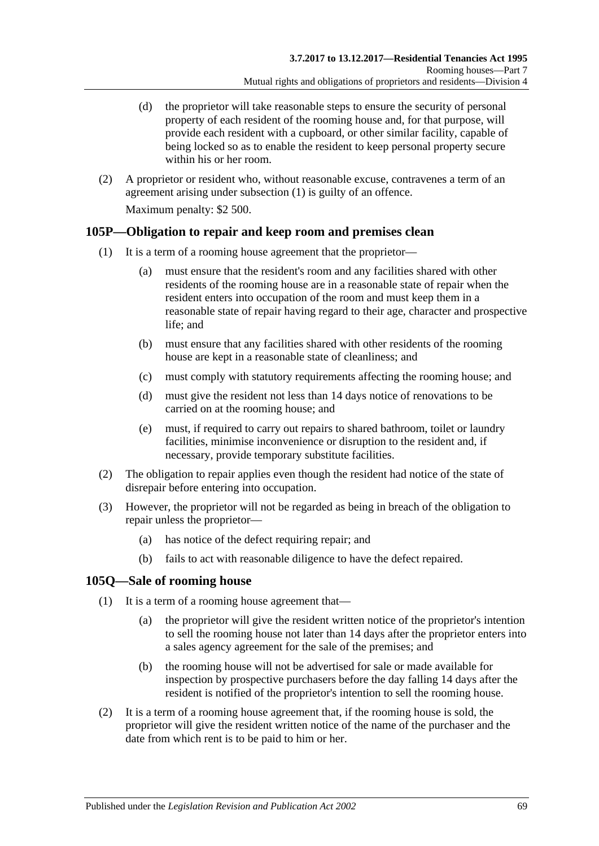- (d) the proprietor will take reasonable steps to ensure the security of personal property of each resident of the rooming house and, for that purpose, will provide each resident with a cupboard, or other similar facility, capable of being locked so as to enable the resident to keep personal property secure within his or her room.
- (2) A proprietor or resident who, without reasonable excuse, contravenes a term of an agreement arising under [subsection](#page-67-1) (1) is guilty of an offence.

Maximum penalty: \$2 500.

### **105P—Obligation to repair and keep room and premises clean**

- (1) It is a term of a rooming house agreement that the proprietor—
	- (a) must ensure that the resident's room and any facilities shared with other residents of the rooming house are in a reasonable state of repair when the resident enters into occupation of the room and must keep them in a reasonable state of repair having regard to their age, character and prospective life; and
	- (b) must ensure that any facilities shared with other residents of the rooming house are kept in a reasonable state of cleanliness; and
	- (c) must comply with statutory requirements affecting the rooming house; and
	- (d) must give the resident not less than 14 days notice of renovations to be carried on at the rooming house; and
	- (e) must, if required to carry out repairs to shared bathroom, toilet or laundry facilities, minimise inconvenience or disruption to the resident and, if necessary, provide temporary substitute facilities.
- (2) The obligation to repair applies even though the resident had notice of the state of disrepair before entering into occupation.
- (3) However, the proprietor will not be regarded as being in breach of the obligation to repair unless the proprietor—
	- (a) has notice of the defect requiring repair; and
	- (b) fails to act with reasonable diligence to have the defect repaired.

### **105Q—Sale of rooming house**

- (1) It is a term of a rooming house agreement that—
	- (a) the proprietor will give the resident written notice of the proprietor's intention to sell the rooming house not later than 14 days after the proprietor enters into a sales agency agreement for the sale of the premises; and
	- (b) the rooming house will not be advertised for sale or made available for inspection by prospective purchasers before the day falling 14 days after the resident is notified of the proprietor's intention to sell the rooming house.
- (2) It is a term of a rooming house agreement that, if the rooming house is sold, the proprietor will give the resident written notice of the name of the purchaser and the date from which rent is to be paid to him or her.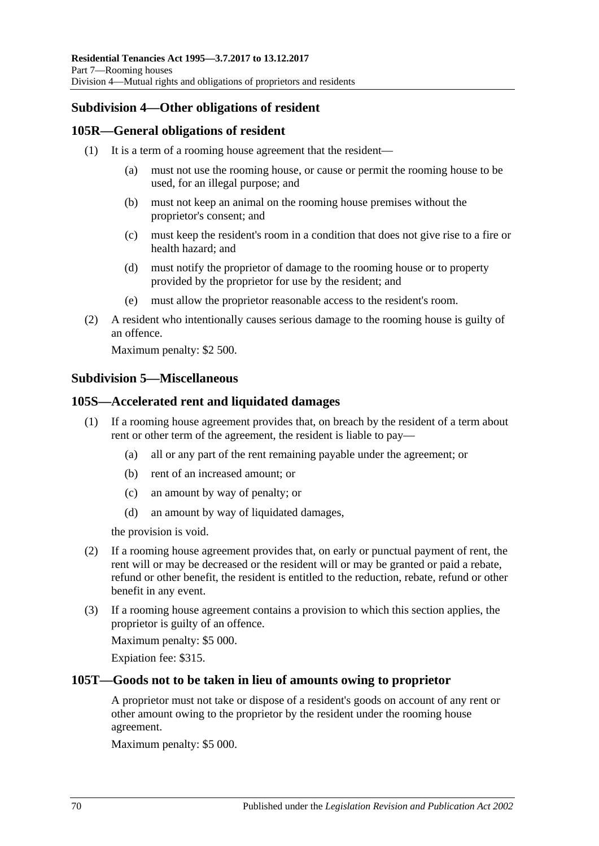# **Subdivision 4—Other obligations of resident**

## **105R—General obligations of resident**

- (1) It is a term of a rooming house agreement that the resident—
	- (a) must not use the rooming house, or cause or permit the rooming house to be used, for an illegal purpose; and
	- (b) must not keep an animal on the rooming house premises without the proprietor's consent; and
	- (c) must keep the resident's room in a condition that does not give rise to a fire or health hazard; and
	- (d) must notify the proprietor of damage to the rooming house or to property provided by the proprietor for use by the resident; and
	- (e) must allow the proprietor reasonable access to the resident's room.
- (2) A resident who intentionally causes serious damage to the rooming house is guilty of an offence.

Maximum penalty: \$2 500.

### **Subdivision 5—Miscellaneous**

### **105S—Accelerated rent and liquidated damages**

- (1) If a rooming house agreement provides that, on breach by the resident of a term about rent or other term of the agreement, the resident is liable to pay—
	- (a) all or any part of the rent remaining payable under the agreement; or
	- (b) rent of an increased amount; or
	- (c) an amount by way of penalty; or
	- (d) an amount by way of liquidated damages,

the provision is void.

- (2) If a rooming house agreement provides that, on early or punctual payment of rent, the rent will or may be decreased or the resident will or may be granted or paid a rebate, refund or other benefit, the resident is entitled to the reduction, rebate, refund or other benefit in any event.
- (3) If a rooming house agreement contains a provision to which this section applies, the proprietor is guilty of an offence.

Maximum penalty: \$5 000.

Expiation fee: \$315.

### **105T—Goods not to be taken in lieu of amounts owing to proprietor**

A proprietor must not take or dispose of a resident's goods on account of any rent or other amount owing to the proprietor by the resident under the rooming house agreement.

Maximum penalty: \$5 000.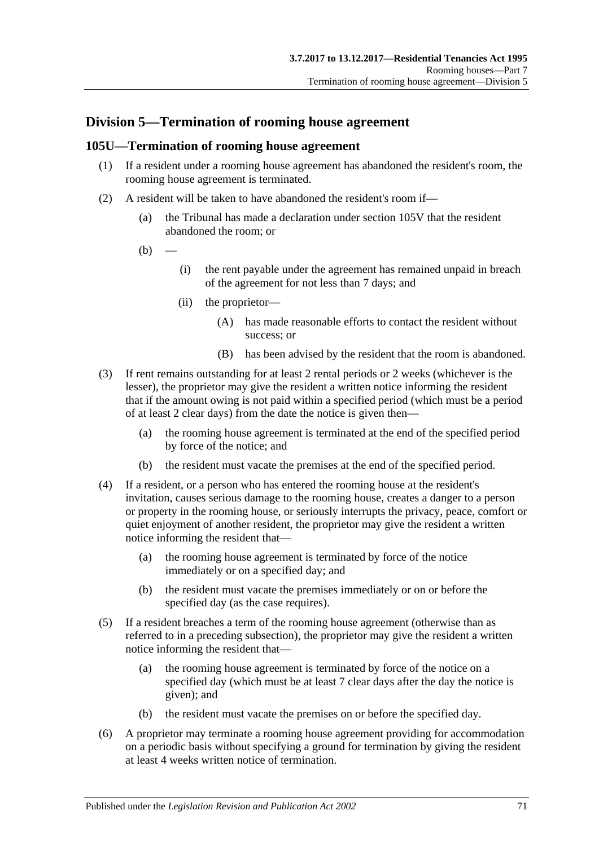# **Division 5—Termination of rooming house agreement**

#### **105U—Termination of rooming house agreement**

- (1) If a resident under a rooming house agreement has abandoned the resident's room, the rooming house agreement is terminated.
- (2) A resident will be taken to have abandoned the resident's room if—
	- (a) the Tribunal has made a declaration under [section](#page-73-0) 105V that the resident abandoned the room; or
	- $(b)$
- (i) the rent payable under the agreement has remained unpaid in breach of the agreement for not less than 7 days; and
- (ii) the proprietor—
	- (A) has made reasonable efforts to contact the resident without success; or
	- (B) has been advised by the resident that the room is abandoned.
- (3) If rent remains outstanding for at least 2 rental periods or 2 weeks (whichever is the lesser), the proprietor may give the resident a written notice informing the resident that if the amount owing is not paid within a specified period (which must be a period of at least 2 clear days) from the date the notice is given then—
	- (a) the rooming house agreement is terminated at the end of the specified period by force of the notice; and
	- (b) the resident must vacate the premises at the end of the specified period.
- (4) If a resident, or a person who has entered the rooming house at the resident's invitation, causes serious damage to the rooming house, creates a danger to a person or property in the rooming house, or seriously interrupts the privacy, peace, comfort or quiet enjoyment of another resident, the proprietor may give the resident a written notice informing the resident that—
	- (a) the rooming house agreement is terminated by force of the notice immediately or on a specified day; and
	- (b) the resident must vacate the premises immediately or on or before the specified day (as the case requires).
- (5) If a resident breaches a term of the rooming house agreement (otherwise than as referred to in a preceding subsection), the proprietor may give the resident a written notice informing the resident that—
	- (a) the rooming house agreement is terminated by force of the notice on a specified day (which must be at least 7 clear days after the day the notice is given); and
	- (b) the resident must vacate the premises on or before the specified day.
- <span id="page-70-0"></span>(6) A proprietor may terminate a rooming house agreement providing for accommodation on a periodic basis without specifying a ground for termination by giving the resident at least 4 weeks written notice of termination.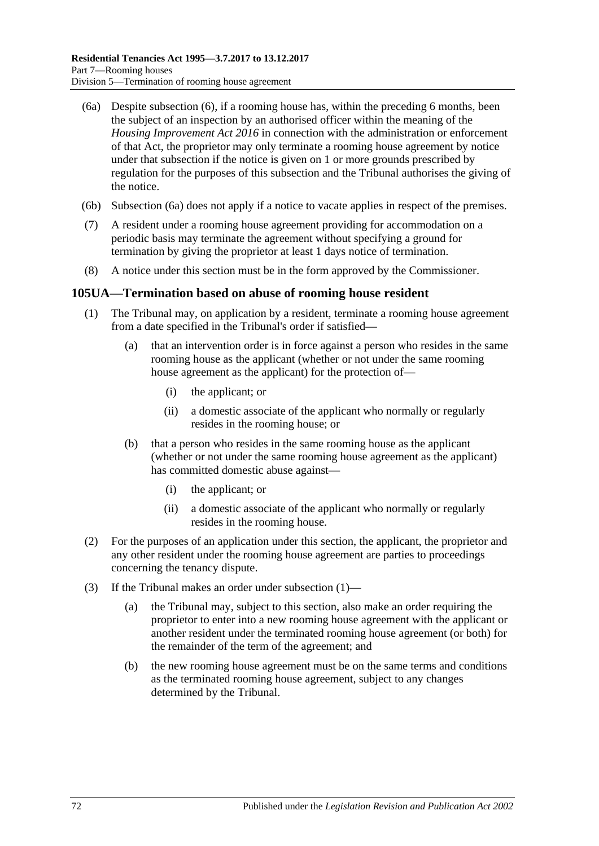- <span id="page-71-0"></span>(6a) Despite [subsection](#page-70-0) (6), if a rooming house has, within the preceding 6 months, been the subject of an inspection by an authorised officer within the meaning of the *[Housing Improvement Act](http://www.legislation.sa.gov.au/index.aspx?action=legref&type=act&legtitle=Housing%20Improvement%20Act%202016) 2016* in connection with the administration or enforcement of that Act, the proprietor may only terminate a rooming house agreement by notice under that subsection if the notice is given on 1 or more grounds prescribed by regulation for the purposes of this subsection and the Tribunal authorises the giving of the notice.
- (6b) [Subsection](#page-71-0) (6a) does not apply if a notice to vacate applies in respect of the premises.
- (7) A resident under a rooming house agreement providing for accommodation on a periodic basis may terminate the agreement without specifying a ground for termination by giving the proprietor at least 1 days notice of termination.
- (8) A notice under this section must be in the form approved by the Commissioner.

#### <span id="page-71-1"></span>**105UA—Termination based on abuse of rooming house resident**

- (1) The Tribunal may, on application by a resident, terminate a rooming house agreement from a date specified in the Tribunal's order if satisfied—
	- (a) that an intervention order is in force against a person who resides in the same rooming house as the applicant (whether or not under the same rooming house agreement as the applicant) for the protection of—
		- (i) the applicant; or
		- (ii) a domestic associate of the applicant who normally or regularly resides in the rooming house; or
	- (b) that a person who resides in the same rooming house as the applicant (whether or not under the same rooming house agreement as the applicant) has committed domestic abuse against—
		- (i) the applicant; or
		- (ii) a domestic associate of the applicant who normally or regularly resides in the rooming house.
- (2) For the purposes of an application under this section, the applicant, the proprietor and any other resident under the rooming house agreement are parties to proceedings concerning the tenancy dispute.
- (3) If the Tribunal makes an order under [subsection](#page-71-1) (1)—
	- (a) the Tribunal may, subject to this section, also make an order requiring the proprietor to enter into a new rooming house agreement with the applicant or another resident under the terminated rooming house agreement (or both) for the remainder of the term of the agreement; and
	- (b) the new rooming house agreement must be on the same terms and conditions as the terminated rooming house agreement, subject to any changes determined by the Tribunal.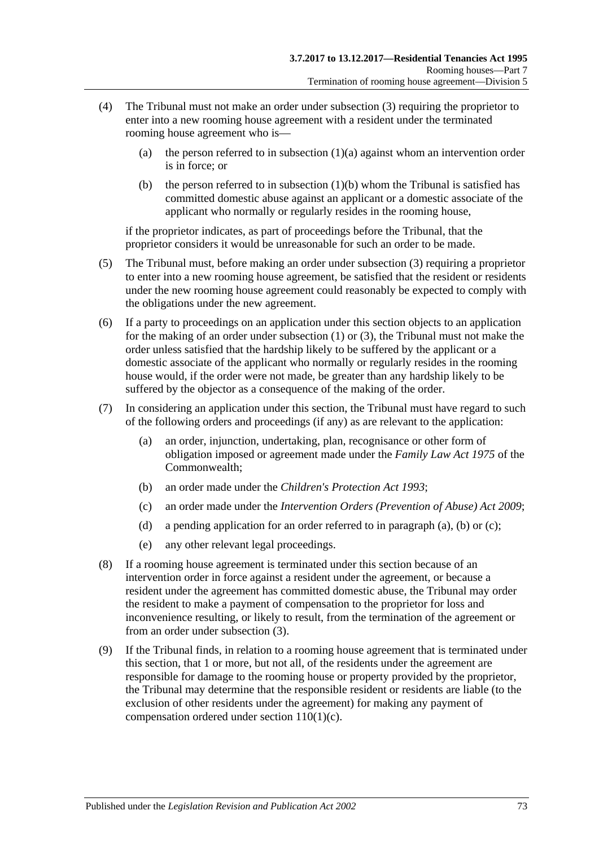- (4) The Tribunal must not make an order under [subsection](#page-71-0) (3) requiring the proprietor to enter into a new rooming house agreement with a resident under the terminated rooming house agreement who is
	- (a) the person referred to in [subsection](#page-71-1)  $(1)(a)$  against whom an intervention order is in force; or
	- (b) the person referred to in [subsection](#page-71-2)  $(1)(b)$  whom the Tribunal is satisfied has committed domestic abuse against an applicant or a domestic associate of the applicant who normally or regularly resides in the rooming house,

if the proprietor indicates, as part of proceedings before the Tribunal, that the proprietor considers it would be unreasonable for such an order to be made.

- (5) The Tribunal must, before making an order under [subsection](#page-71-0) (3) requiring a proprietor to enter into a new rooming house agreement, be satisfied that the resident or residents under the new rooming house agreement could reasonably be expected to comply with the obligations under the new agreement.
- (6) If a party to proceedings on an application under this section objects to an application for the making of an order under [subsection](#page-71-3) (1) or [\(3\),](#page-71-0) the Tribunal must not make the order unless satisfied that the hardship likely to be suffered by the applicant or a domestic associate of the applicant who normally or regularly resides in the rooming house would, if the order were not made, be greater than any hardship likely to be suffered by the objector as a consequence of the making of the order.
- <span id="page-72-1"></span><span id="page-72-0"></span>(7) In considering an application under this section, the Tribunal must have regard to such of the following orders and proceedings (if any) as are relevant to the application:
	- (a) an order, injunction, undertaking, plan, recognisance or other form of obligation imposed or agreement made under the *Family Law Act 1975* of the Commonwealth;
	- (b) an order made under the *[Children's Protection Act](http://www.legislation.sa.gov.au/index.aspx?action=legref&type=act&legtitle=Childrens%20Protection%20Act%201993) 1993*;
	- (c) an order made under the *[Intervention Orders \(Prevention of Abuse\) Act](http://www.legislation.sa.gov.au/index.aspx?action=legref&type=act&legtitle=Intervention%20Orders%20(Prevention%20of%20Abuse)%20Act%202009) 2009*;
	- (d) a pending application for an order referred to in [paragraph](#page-72-0) (a), [\(b\)](#page-72-1) or [\(c\);](#page-72-2)
	- (e) any other relevant legal proceedings.
- <span id="page-72-3"></span><span id="page-72-2"></span>(8) If a rooming house agreement is terminated under this section because of an intervention order in force against a resident under the agreement, or because a resident under the agreement has committed domestic abuse, the Tribunal may order the resident to make a payment of compensation to the proprietor for loss and inconvenience resulting, or likely to result, from the termination of the agreement or from an order under [subsection](#page-71-0) (3).
- <span id="page-72-4"></span>(9) If the Tribunal finds, in relation to a rooming house agreement that is terminated under this section, that 1 or more, but not all, of the residents under the agreement are responsible for damage to the rooming house or property provided by the proprietor, the Tribunal may determine that the responsible resident or residents are liable (to the exclusion of other residents under the agreement) for making any payment of compensation ordered under section [110\(1\)\(c\).](#page-76-0)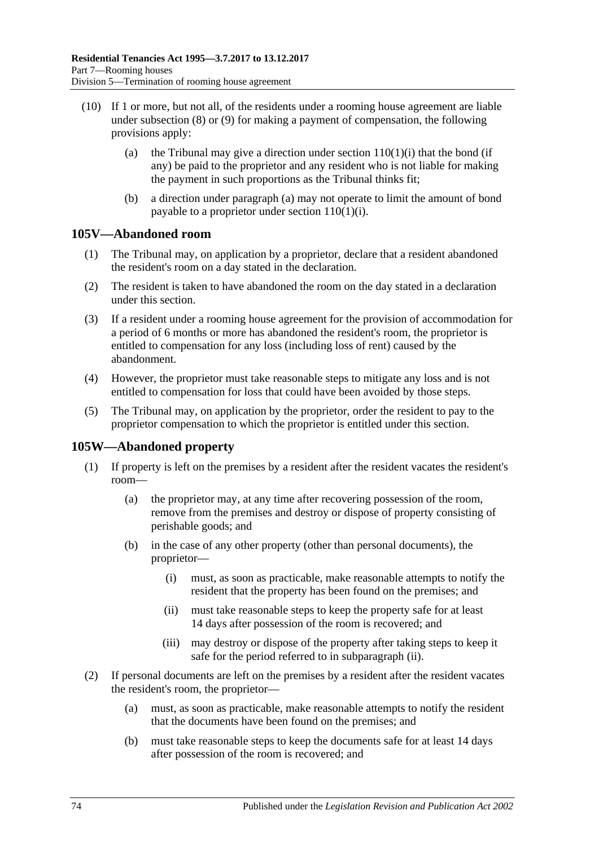- <span id="page-73-0"></span>(10) If 1 or more, but not all, of the residents under a rooming house agreement are liable under [subsection](#page-72-3) (8) or [\(9\)](#page-72-4) for making a payment of compensation, the following provisions apply:
	- (a) the Tribunal may give a direction under section  $110(1)(i)$  that the bond (if any) be paid to the proprietor and any resident who is not liable for making the payment in such proportions as the Tribunal thinks fit;
	- (b) a direction under [paragraph](#page-73-0) (a) may not operate to limit the amount of bond payable to a proprietor under section  $110(1)(i)$ .

## **105V—Abandoned room**

- (1) The Tribunal may, on application by a proprietor, declare that a resident abandoned the resident's room on a day stated in the declaration.
- (2) The resident is taken to have abandoned the room on the day stated in a declaration under this section.
- (3) If a resident under a rooming house agreement for the provision of accommodation for a period of 6 months or more has abandoned the resident's room, the proprietor is entitled to compensation for any loss (including loss of rent) caused by the abandonment.
- (4) However, the proprietor must take reasonable steps to mitigate any loss and is not entitled to compensation for loss that could have been avoided by those steps.
- (5) The Tribunal may, on application by the proprietor, order the resident to pay to the proprietor compensation to which the proprietor is entitled under this section.

# <span id="page-73-3"></span>**105W—Abandoned property**

- (1) If property is left on the premises by a resident after the resident vacates the resident's room—
	- (a) the proprietor may, at any time after recovering possession of the room, remove from the premises and destroy or dispose of property consisting of perishable goods; and
	- (b) in the case of any other property (other than personal documents), the proprietor—
		- (i) must, as soon as practicable, make reasonable attempts to notify the resident that the property has been found on the premises; and
		- (ii) must take reasonable steps to keep the property safe for at least 14 days after possession of the room is recovered; and
		- (iii) may destroy or dispose of the property after taking steps to keep it safe for the period referred to in [subparagraph](#page-73-1) (ii).
- <span id="page-73-2"></span><span id="page-73-1"></span>(2) If personal documents are left on the premises by a resident after the resident vacates the resident's room, the proprietor—
	- (a) must, as soon as practicable, make reasonable attempts to notify the resident that the documents have been found on the premises; and
	- (b) must take reasonable steps to keep the documents safe for at least 14 days after possession of the room is recovered; and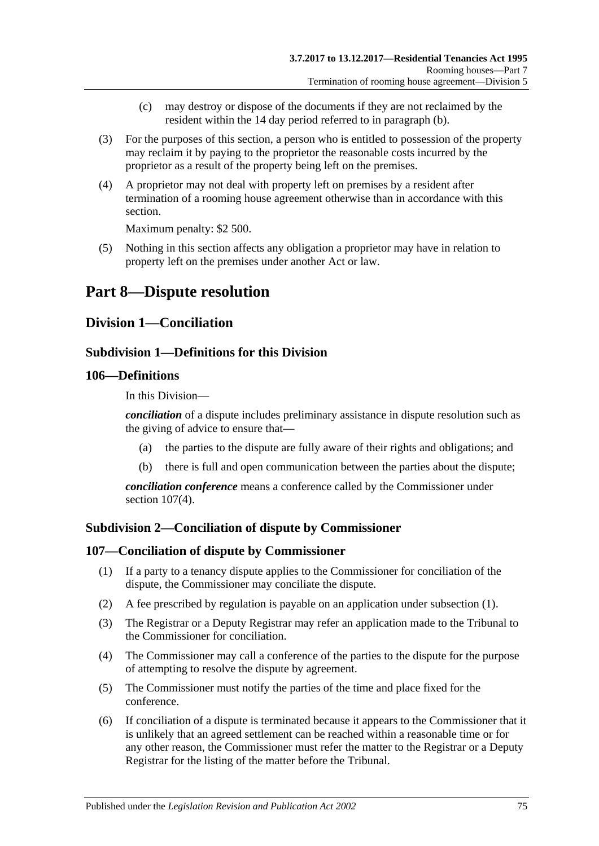- (c) may destroy or dispose of the documents if they are not reclaimed by the resident within the 14 day period referred to in [paragraph](#page-73-2) (b).
- (3) For the purposes of this section, a person who is entitled to possession of the property may reclaim it by paying to the proprietor the reasonable costs incurred by the proprietor as a result of the property being left on the premises.
- (4) A proprietor may not deal with property left on premises by a resident after termination of a rooming house agreement otherwise than in accordance with this section.

Maximum penalty: \$2 500.

(5) Nothing in this section affects any obligation a proprietor may have in relation to property left on the premises under another Act or law.

# **Part 8—Dispute resolution**

# **Division 1—Conciliation**

## **Subdivision 1—Definitions for this Division**

## **106—Definitions**

In this Division—

*conciliation* of a dispute includes preliminary assistance in dispute resolution such as the giving of advice to ensure that—

- (a) the parties to the dispute are fully aware of their rights and obligations; and
- (b) there is full and open communication between the parties about the dispute;

*conciliation conference* means a conference called by the Commissioner under section [107\(4\).](#page-74-0)

## **Subdivision 2—Conciliation of dispute by Commissioner**

## <span id="page-74-1"></span>**107—Conciliation of dispute by Commissioner**

- (1) If a party to a tenancy dispute applies to the Commissioner for conciliation of the dispute, the Commissioner may conciliate the dispute.
- (2) A fee prescribed by regulation is payable on an application under [subsection](#page-74-1) (1).
- (3) The Registrar or a Deputy Registrar may refer an application made to the Tribunal to the Commissioner for conciliation.
- <span id="page-74-0"></span>(4) The Commissioner may call a conference of the parties to the dispute for the purpose of attempting to resolve the dispute by agreement.
- (5) The Commissioner must notify the parties of the time and place fixed for the conference.
- (6) If conciliation of a dispute is terminated because it appears to the Commissioner that it is unlikely that an agreed settlement can be reached within a reasonable time or for any other reason, the Commissioner must refer the matter to the Registrar or a Deputy Registrar for the listing of the matter before the Tribunal.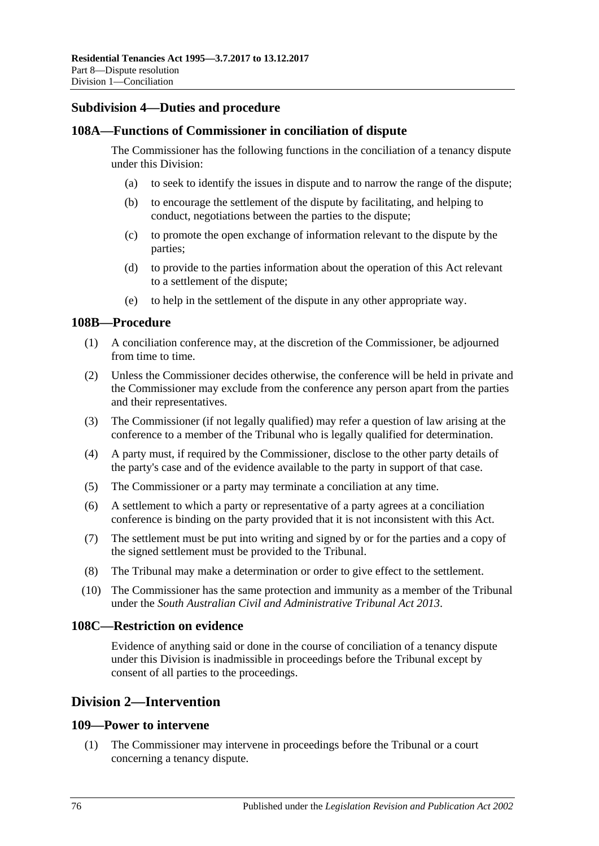## **Subdivision 4—Duties and procedure**

#### **108A—Functions of Commissioner in conciliation of dispute**

The Commissioner has the following functions in the conciliation of a tenancy dispute under this Division:

- (a) to seek to identify the issues in dispute and to narrow the range of the dispute;
- (b) to encourage the settlement of the dispute by facilitating, and helping to conduct, negotiations between the parties to the dispute;
- (c) to promote the open exchange of information relevant to the dispute by the parties;
- (d) to provide to the parties information about the operation of this Act relevant to a settlement of the dispute;
- (e) to help in the settlement of the dispute in any other appropriate way.

#### **108B—Procedure**

- (1) A conciliation conference may, at the discretion of the Commissioner, be adjourned from time to time.
- (2) Unless the Commissioner decides otherwise, the conference will be held in private and the Commissioner may exclude from the conference any person apart from the parties and their representatives.
- (3) The Commissioner (if not legally qualified) may refer a question of law arising at the conference to a member of the Tribunal who is legally qualified for determination.
- (4) A party must, if required by the Commissioner, disclose to the other party details of the party's case and of the evidence available to the party in support of that case.
- (5) The Commissioner or a party may terminate a conciliation at any time.
- (6) A settlement to which a party or representative of a party agrees at a conciliation conference is binding on the party provided that it is not inconsistent with this Act.
- (7) The settlement must be put into writing and signed by or for the parties and a copy of the signed settlement must be provided to the Tribunal.
- (8) The Tribunal may make a determination or order to give effect to the settlement.
- (10) The Commissioner has the same protection and immunity as a member of the Tribunal under the *[South Australian Civil and Administrative Tribunal Act](http://www.legislation.sa.gov.au/index.aspx?action=legref&type=act&legtitle=South%20Australian%20Civil%20and%20Administrative%20Tribunal%20Act%202013) 2013*.

## **108C—Restriction on evidence**

Evidence of anything said or done in the course of conciliation of a tenancy dispute under this Division is inadmissible in proceedings before the Tribunal except by consent of all parties to the proceedings.

# **Division 2—Intervention**

#### **109—Power to intervene**

(1) The Commissioner may intervene in proceedings before the Tribunal or a court concerning a tenancy dispute.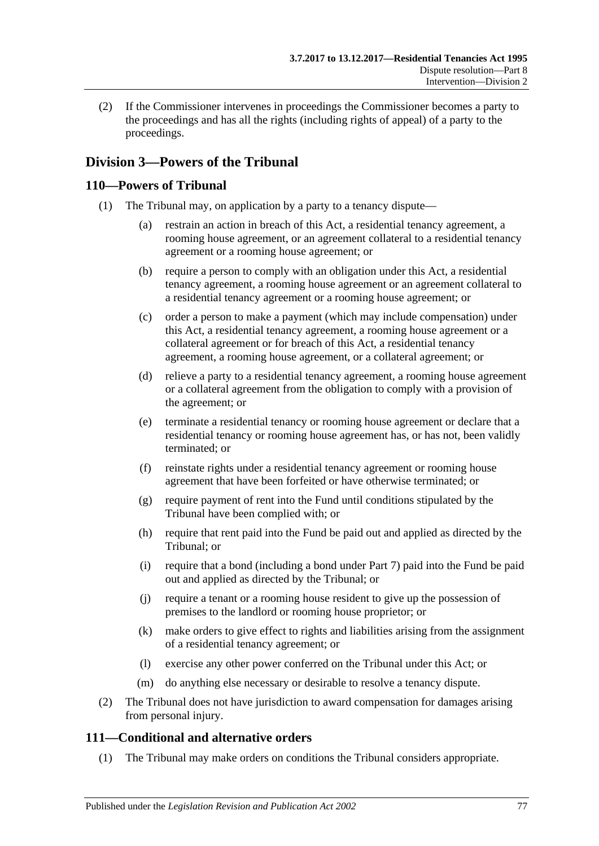(2) If the Commissioner intervenes in proceedings the Commissioner becomes a party to the proceedings and has all the rights (including rights of appeal) of a party to the proceedings.

# **Division 3—Powers of the Tribunal**

## **110—Powers of Tribunal**

- <span id="page-76-0"></span>(1) The Tribunal may, on application by a party to a tenancy dispute—
	- (a) restrain an action in breach of this Act, a residential tenancy agreement, a rooming house agreement, or an agreement collateral to a residential tenancy agreement or a rooming house agreement; or
	- (b) require a person to comply with an obligation under this Act, a residential tenancy agreement, a rooming house agreement or an agreement collateral to a residential tenancy agreement or a rooming house agreement; or
	- (c) order a person to make a payment (which may include compensation) under this Act, a residential tenancy agreement, a rooming house agreement or a collateral agreement or for breach of this Act, a residential tenancy agreement, a rooming house agreement, or a collateral agreement; or
	- (d) relieve a party to a residential tenancy agreement, a rooming house agreement or a collateral agreement from the obligation to comply with a provision of the agreement; or
	- (e) terminate a residential tenancy or rooming house agreement or declare that a residential tenancy or rooming house agreement has, or has not, been validly terminated; or
	- (f) reinstate rights under a residential tenancy agreement or rooming house agreement that have been forfeited or have otherwise terminated; or
	- (g) require payment of rent into the Fund until conditions stipulated by the Tribunal have been complied with; or
	- (h) require that rent paid into the Fund be paid out and applied as directed by the Tribunal; or
	- (i) require that a bond (including a bond under [Part 7\)](#page-59-0) paid into the Fund be paid out and applied as directed by the Tribunal; or
	- (j) require a tenant or a rooming house resident to give up the possession of premises to the landlord or rooming house proprietor; or
	- (k) make orders to give effect to rights and liabilities arising from the assignment of a residential tenancy agreement; or
	- (l) exercise any other power conferred on the Tribunal under this Act; or
	- (m) do anything else necessary or desirable to resolve a tenancy dispute.
- <span id="page-76-1"></span>(2) The Tribunal does not have jurisdiction to award compensation for damages arising from personal injury.

# **111—Conditional and alternative orders**

(1) The Tribunal may make orders on conditions the Tribunal considers appropriate.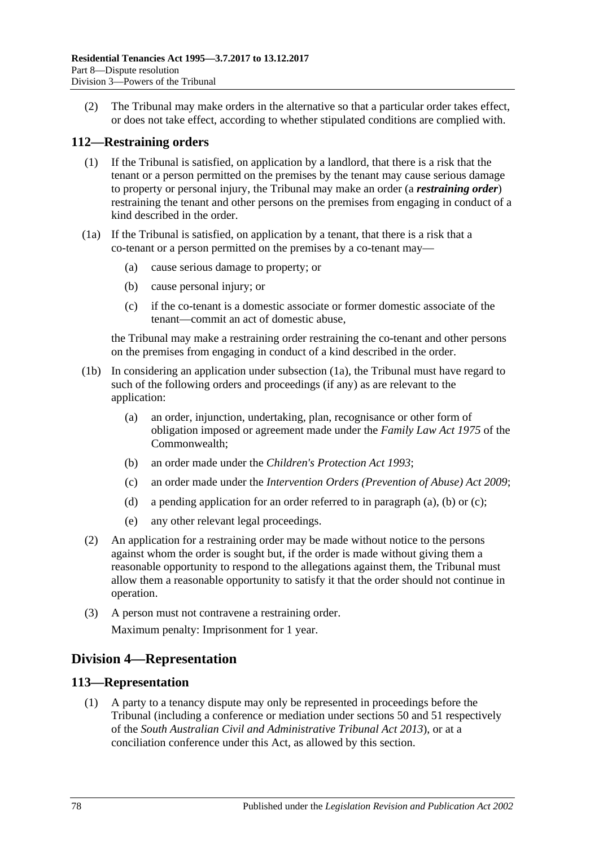(2) The Tribunal may make orders in the alternative so that a particular order takes effect, or does not take effect, according to whether stipulated conditions are complied with.

# **112—Restraining orders**

- (1) If the Tribunal is satisfied, on application by a landlord, that there is a risk that the tenant or a person permitted on the premises by the tenant may cause serious damage to property or personal injury, the Tribunal may make an order (a *restraining order*) restraining the tenant and other persons on the premises from engaging in conduct of a kind described in the order.
- (1a) If the Tribunal is satisfied, on application by a tenant, that there is a risk that a co-tenant or a person permitted on the premises by a co-tenant may—
	- (a) cause serious damage to property; or
	- (b) cause personal injury; or
	- (c) if the co-tenant is a domestic associate or former domestic associate of the tenant—commit an act of domestic abuse,

the Tribunal may make a restraining order restraining the co-tenant and other persons on the premises from engaging in conduct of a kind described in the order.

- <span id="page-77-1"></span><span id="page-77-0"></span>(1b) In considering an application under subsection (1a), the Tribunal must have regard to such of the following orders and proceedings (if any) as are relevant to the application:
	- (a) an order, injunction, undertaking, plan, recognisance or other form of obligation imposed or agreement made under the *Family Law Act 1975* of the Commonwealth;
	- (b) an order made under the *[Children's Protection Act](http://www.legislation.sa.gov.au/index.aspx?action=legref&type=act&legtitle=Childrens%20Protection%20Act%201993) 1993*;
	- (c) an order made under the *[Intervention Orders \(Prevention of Abuse\) Act](http://www.legislation.sa.gov.au/index.aspx?action=legref&type=act&legtitle=Intervention%20Orders%20(Prevention%20of%20Abuse)%20Act%202009) 2009*;
	- (d) a pending application for an order referred to in [paragraph](#page-77-0) (a), [\(b\)](#page-77-1) or [\(c\);](#page-77-2)
	- (e) any other relevant legal proceedings.
- <span id="page-77-2"></span>(2) An application for a restraining order may be made without notice to the persons against whom the order is sought but, if the order is made without giving them a reasonable opportunity to respond to the allegations against them, the Tribunal must allow them a reasonable opportunity to satisfy it that the order should not continue in operation.
- (3) A person must not contravene a restraining order. Maximum penalty: Imprisonment for 1 year.

# **Division 4—Representation**

#### **113—Representation**

(1) A party to a tenancy dispute may only be represented in proceedings before the Tribunal (including a conference or mediation under sections 50 and 51 respectively of the *[South Australian Civil and Administrative Tribunal Act](http://www.legislation.sa.gov.au/index.aspx?action=legref&type=act&legtitle=South%20Australian%20Civil%20and%20Administrative%20Tribunal%20Act%202013) 2013*), or at a conciliation conference under this Act, as allowed by this section.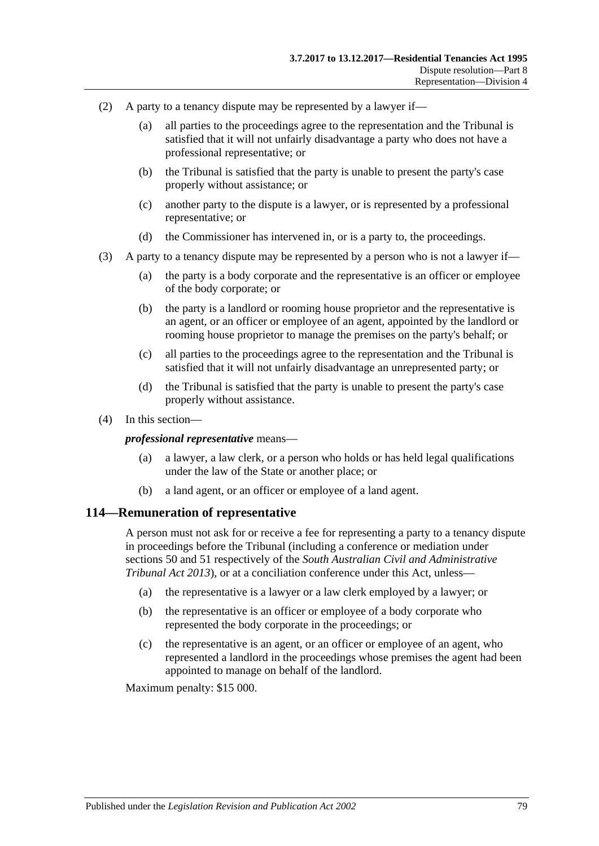- (2) A party to a tenancy dispute may be represented by a lawyer if—
	- (a) all parties to the proceedings agree to the representation and the Tribunal is satisfied that it will not unfairly disadvantage a party who does not have a professional representative; or
	- (b) the Tribunal is satisfied that the party is unable to present the party's case properly without assistance; or
	- (c) another party to the dispute is a lawyer, or is represented by a professional representative; or
	- (d) the Commissioner has intervened in, or is a party to, the proceedings.
- (3) A party to a tenancy dispute may be represented by a person who is not a lawyer if—
	- (a) the party is a body corporate and the representative is an officer or employee of the body corporate; or
	- (b) the party is a landlord or rooming house proprietor and the representative is an agent, or an officer or employee of an agent, appointed by the landlord or rooming house proprietor to manage the premises on the party's behalf; or
	- (c) all parties to the proceedings agree to the representation and the Tribunal is satisfied that it will not unfairly disadvantage an unrepresented party; or
	- (d) the Tribunal is satisfied that the party is unable to present the party's case properly without assistance.
- (4) In this section—

#### *professional representative* means—

- (a) a lawyer, a law clerk, or a person who holds or has held legal qualifications under the law of the State or another place; or
- (b) a land agent, or an officer or employee of a land agent.

#### **114—Remuneration of representative**

A person must not ask for or receive a fee for representing a party to a tenancy dispute in proceedings before the Tribunal (including a conference or mediation under sections 50 and 51 respectively of the *[South Australian Civil and Administrative](http://www.legislation.sa.gov.au/index.aspx?action=legref&type=act&legtitle=South%20Australian%20Civil%20and%20Administrative%20Tribunal%20Act%202013)  [Tribunal Act](http://www.legislation.sa.gov.au/index.aspx?action=legref&type=act&legtitle=South%20Australian%20Civil%20and%20Administrative%20Tribunal%20Act%202013) 2013*), or at a conciliation conference under this Act, unless—

- (a) the representative is a lawyer or a law clerk employed by a lawyer; or
- (b) the representative is an officer or employee of a body corporate who represented the body corporate in the proceedings; or
- (c) the representative is an agent, or an officer or employee of an agent, who represented a landlord in the proceedings whose premises the agent had been appointed to manage on behalf of the landlord.

Maximum penalty: \$15 000.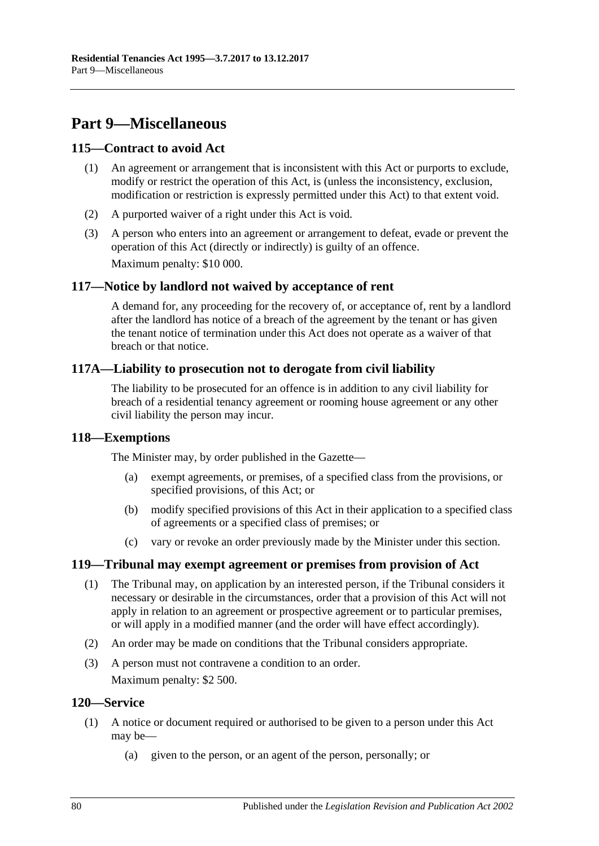# **Part 9—Miscellaneous**

## **115—Contract to avoid Act**

- (1) An agreement or arrangement that is inconsistent with this Act or purports to exclude, modify or restrict the operation of this Act, is (unless the inconsistency, exclusion, modification or restriction is expressly permitted under this Act) to that extent void.
- (2) A purported waiver of a right under this Act is void.
- (3) A person who enters into an agreement or arrangement to defeat, evade or prevent the operation of this Act (directly or indirectly) is guilty of an offence. Maximum penalty: \$10 000.

## **117—Notice by landlord not waived by acceptance of rent**

A demand for, any proceeding for the recovery of, or acceptance of, rent by a landlord after the landlord has notice of a breach of the agreement by the tenant or has given the tenant notice of termination under this Act does not operate as a waiver of that breach or that notice.

#### **117A—Liability to prosecution not to derogate from civil liability**

The liability to be prosecuted for an offence is in addition to any civil liability for breach of a residential tenancy agreement or rooming house agreement or any other civil liability the person may incur.

#### **118—Exemptions**

The Minister may, by order published in the Gazette—

- (a) exempt agreements, or premises, of a specified class from the provisions, or specified provisions, of this Act; or
- (b) modify specified provisions of this Act in their application to a specified class of agreements or a specified class of premises; or
- (c) vary or revoke an order previously made by the Minister under this section.

#### **119—Tribunal may exempt agreement or premises from provision of Act**

- (1) The Tribunal may, on application by an interested person, if the Tribunal considers it necessary or desirable in the circumstances, order that a provision of this Act will not apply in relation to an agreement or prospective agreement or to particular premises, or will apply in a modified manner (and the order will have effect accordingly).
- (2) An order may be made on conditions that the Tribunal considers appropriate.
- (3) A person must not contravene a condition to an order. Maximum penalty: \$2 500.

#### **120—Service**

- (1) A notice or document required or authorised to be given to a person under this Act may be—
	- (a) given to the person, or an agent of the person, personally; or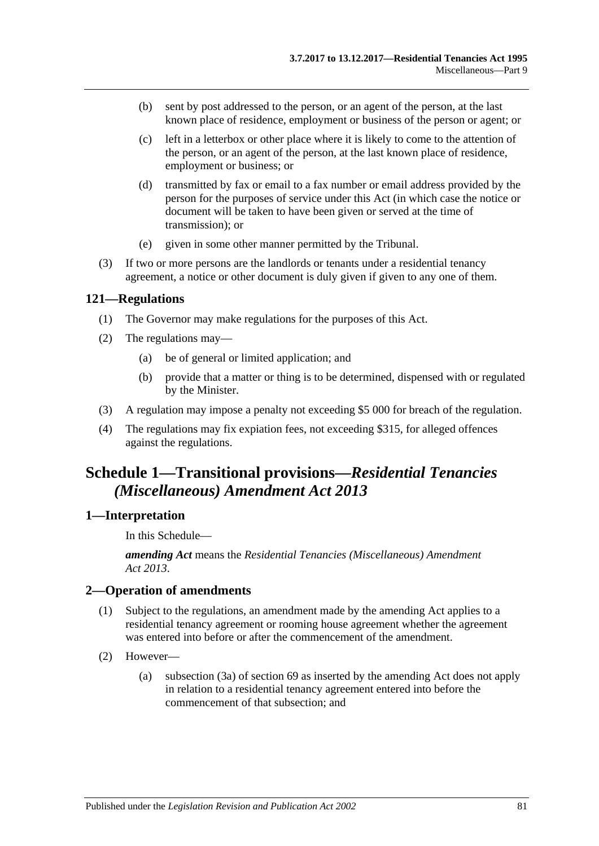- (b) sent by post addressed to the person, or an agent of the person, at the last known place of residence, employment or business of the person or agent; or
- (c) left in a letterbox or other place where it is likely to come to the attention of the person, or an agent of the person, at the last known place of residence, employment or business; or
- (d) transmitted by fax or email to a fax number or email address provided by the person for the purposes of service under this Act (in which case the notice or document will be taken to have been given or served at the time of transmission); or
- (e) given in some other manner permitted by the Tribunal.
- (3) If two or more persons are the landlords or tenants under a residential tenancy agreement, a notice or other document is duly given if given to any one of them.

#### **121—Regulations**

- (1) The Governor may make regulations for the purposes of this Act.
- (2) The regulations may—
	- (a) be of general or limited application; and
	- (b) provide that a matter or thing is to be determined, dispensed with or regulated by the Minister.
- (3) A regulation may impose a penalty not exceeding \$5 000 for breach of the regulation.
- (4) The regulations may fix expiation fees, not exceeding \$315, for alleged offences against the regulations.

# **Schedule 1—Transitional provisions—***Residential Tenancies (Miscellaneous) Amendment Act 2013*

## **1—Interpretation**

In this Schedule—

*amending Act* means the *[Residential Tenancies \(Miscellaneous\) Amendment](http://www.legislation.sa.gov.au/index.aspx?action=legref&type=act&legtitle=Residential%20Tenancies%20(Miscellaneous)%20Amendment%20Act%202013)  Act [2013](http://www.legislation.sa.gov.au/index.aspx?action=legref&type=act&legtitle=Residential%20Tenancies%20(Miscellaneous)%20Amendment%20Act%202013)*.

#### **2—Operation of amendments**

- (1) Subject to the regulations, an amendment made by the amending Act applies to a residential tenancy agreement or rooming house agreement whether the agreement was entered into before or after the commencement of the amendment.
- (2) However—
	- (a) [subsection](#page-28-0) (3a) of [section](#page-28-1) 69 as inserted by the amending Act does not apply in relation to a residential tenancy agreement entered into before the commencement of that subsection; and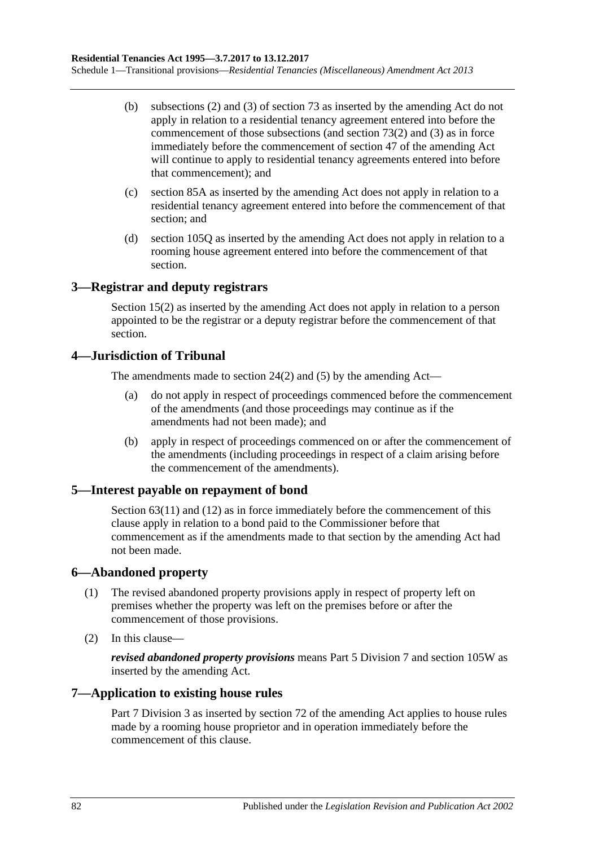- (b) [subsections](#page-32-0) (2) and [\(3\)](#page-32-1) of [section](#page-32-2) 73 as inserted by the amending Act do not apply in relation to a residential tenancy agreement entered into before the commencement of those subsections (and [section](#page-32-0) 73(2) and [\(3\)](#page-32-1) as in force immediately before the commencement of section 47 of the amending Act will continue to apply to residential tenancy agreements entered into before that commencement); and
- (c) [section](#page-40-0) 85A as inserted by the amending Act does not apply in relation to a residential tenancy agreement entered into before the commencement of that section; and
- (d) [section](#page-68-0) 105Q as inserted by the amending Act does not apply in relation to a rooming house agreement entered into before the commencement of that section.

# **3—Registrar and deputy registrars**

Section 15(2) as inserted by the amending Act does not apply in relation to a person appointed to be the registrar or a deputy registrar before the commencement of that section.

## **4—Jurisdiction of Tribunal**

The amendments made to [section](#page-12-0) 24(2) and [\(5\)](#page-13-0) by the amending Act—

- (a) do not apply in respect of proceedings commenced before the commencement of the amendments (and those proceedings may continue as if the amendments had not been made); and
- (b) apply in respect of proceedings commenced on or after the commencement of the amendments (including proceedings in respect of a claim arising before the commencement of the amendments).

## **5—Interest payable on repayment of bond**

[Section](#page-25-0) 63(11) and (12) as in force immediately before the commencement of this clause apply in relation to a bond paid to the Commissioner before that commencement as if the amendments made to that section by the amending Act had not been made.

## **6—Abandoned property**

- (1) The revised abandoned property provisions apply in respect of property left on premises whether the property was left on the premises before or after the commencement of those provisions.
- (2) In this clause—

*revised abandoned property provisions* means [Part 5 Division 7](#page-49-0) and [section](#page-73-3) 105W as inserted by the amending Act.

## **7—Application to existing house rules**

[Part 7 Division](#page-60-0) 3 as inserted by section 72 of the amending Act applies to house rules made by a rooming house proprietor and in operation immediately before the commencement of this clause.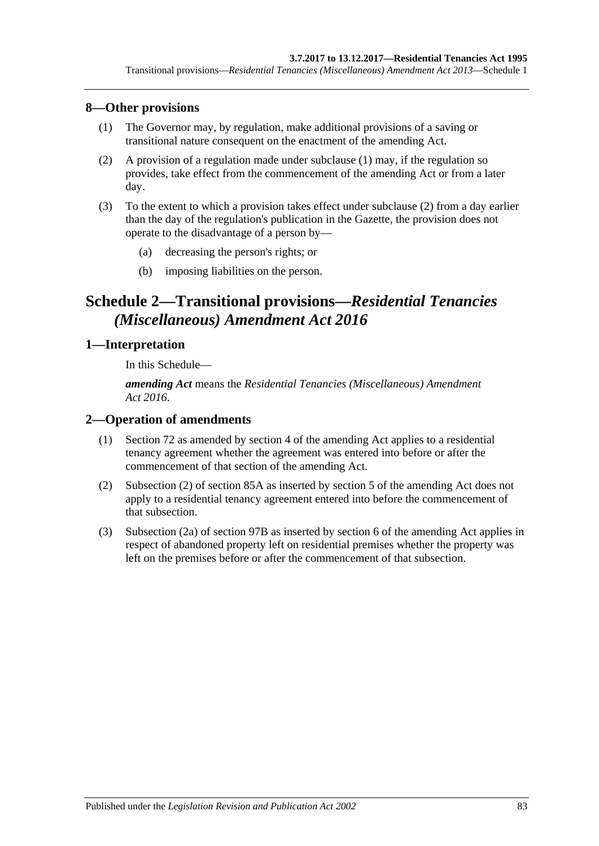## <span id="page-82-0"></span>**8—Other provisions**

- (1) The Governor may, by regulation, make additional provisions of a saving or transitional nature consequent on the enactment of the amending Act.
- <span id="page-82-1"></span>(2) A provision of a regulation made under [subclause](#page-82-0) (1) may, if the regulation so provides, take effect from the commencement of the amending Act or from a later day.
- (3) To the extent to which a provision takes effect under [subclause](#page-82-1) (2) from a day earlier than the day of the regulation's publication in the Gazette, the provision does not operate to the disadvantage of a person by—
	- (a) decreasing the person's rights; or
	- (b) imposing liabilities on the person.

# **Schedule 2—Transitional provisions—***Residential Tenancies (Miscellaneous) Amendment Act 2016*

## **1—Interpretation**

In this Schedule—

*amending Act* means the *[Residential Tenancies \(Miscellaneous\) Amendment](http://www.legislation.sa.gov.au/index.aspx?action=legref&type=act&legtitle=Residential%20Tenancies%20(Miscellaneous)%20Amendment%20Act%202016)  Act [2016](http://www.legislation.sa.gov.au/index.aspx?action=legref&type=act&legtitle=Residential%20Tenancies%20(Miscellaneous)%20Amendment%20Act%202016)*.

## **2—Operation of amendments**

- (1) [Section](#page-30-0) 72 as amended by section 4 of the amending Act applies to a residential tenancy agreement whether the agreement was entered into before or after the commencement of that section of the amending Act.
- (2) [Subsection](#page-41-0) (2) of [section](#page-40-0) 85A as inserted by section 5 of the amending Act does not apply to a residential tenancy agreement entered into before the commencement of that subsection.
- (3) [Subsection](#page-50-0) (2a) of [section](#page-49-1) 97B as inserted by section 6 of the amending Act applies in respect of abandoned property left on residential premises whether the property was left on the premises before or after the commencement of that subsection.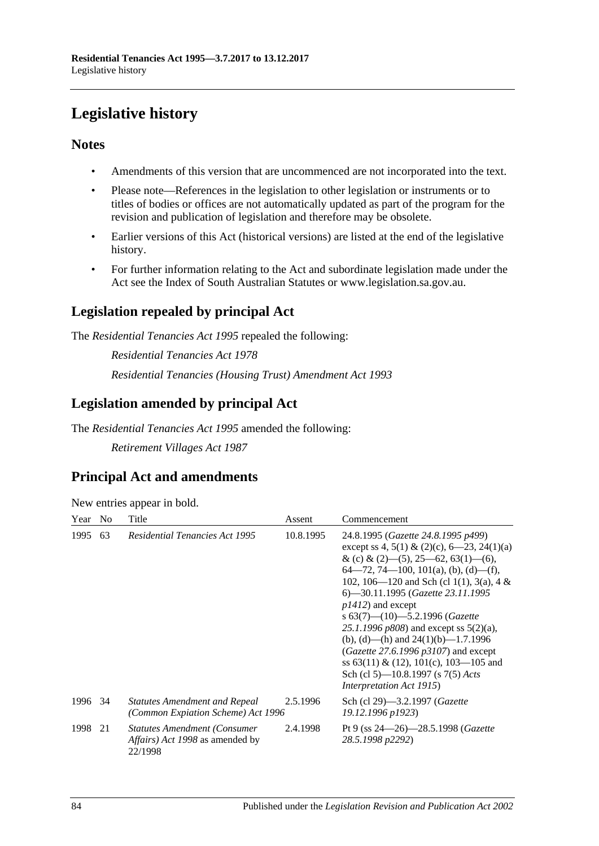# **Legislative history**

# **Notes**

- Amendments of this version that are uncommenced are not incorporated into the text.
- Please note—References in the legislation to other legislation or instruments or to titles of bodies or offices are not automatically updated as part of the program for the revision and publication of legislation and therefore may be obsolete.
- Earlier versions of this Act (historical versions) are listed at the end of the legislative history.
- For further information relating to the Act and subordinate legislation made under the Act see the Index of South Australian Statutes or www.legislation.sa.gov.au.

# **Legislation repealed by principal Act**

The *Residential Tenancies Act 1995* repealed the following:

*Residential Tenancies Act 1978 Residential Tenancies (Housing Trust) Amendment Act 1993*

# **Legislation amended by principal Act**

The *Residential Tenancies Act 1995* amended the following:

*Retirement Villages Act 1987*

# **Principal Act and amendments**

| New entries appear in bold. |  |  |
|-----------------------------|--|--|
|                             |  |  |

| Year    | N <sub>0</sub> | Title                                                                                            | Assent    | Commencement                                                                                                                                                                                                                                                                                                                                                                                                                                                                                                                                                                              |
|---------|----------------|--------------------------------------------------------------------------------------------------|-----------|-------------------------------------------------------------------------------------------------------------------------------------------------------------------------------------------------------------------------------------------------------------------------------------------------------------------------------------------------------------------------------------------------------------------------------------------------------------------------------------------------------------------------------------------------------------------------------------------|
| 1995    | 63             | <b>Residential Tenancies Act 1995</b>                                                            | 10.8.1995 | 24.8.1995 (Gazette 24.8.1995 p499)<br>except ss 4, 5(1) & (2)(c), $6-23$ , 24(1)(a)<br>& (c) & (2)–(5), 25–62, 63(1)–(6),<br>$64 - 72$ , 74 - 100, 101(a), (b), (d) - (f),<br>102, 106—120 and Sch (cl 1(1), 3(a), 4 &<br>6—30.11.1995 (Gazette 23.11.1995<br>$p1412$ ) and except<br>s $63(7)$ — $(10)$ —5.2.1996 (Gazette<br>25.1.1996 $p808$ ) and except ss $5(2)(a)$ ,<br>(b), (d)—(h) and $24(1)(b)$ —1.7.1996<br>( <i>Gazette</i> 27.6.1996 $p3107$ ) and except<br>ss 63(11) & (12), 101(c), 103—105 and<br>Sch (cl 5)—10.8.1997 (s 7(5) Acts<br><i>Interpretation Act 1915</i> ) |
| 1996 34 |                | <b>Statutes Amendment and Repeal</b><br>(Common Expiation Scheme) Act 1996                       | 2.5.1996  | Sch (cl 29)—3.2.1997 ( <i>Gazette</i><br>19.12.1996 p1923)                                                                                                                                                                                                                                                                                                                                                                                                                                                                                                                                |
| 1998    | 21             | <b>Statutes Amendment (Consumer</b><br><i>Affairs</i> ) <i>Act 1998</i> as amended by<br>22/1998 | 2.4.1998  | Pt 9 (ss $24 - 26$ ) - 28.5.1998 ( <i>Gazette</i><br>28.5.1998 p2292)                                                                                                                                                                                                                                                                                                                                                                                                                                                                                                                     |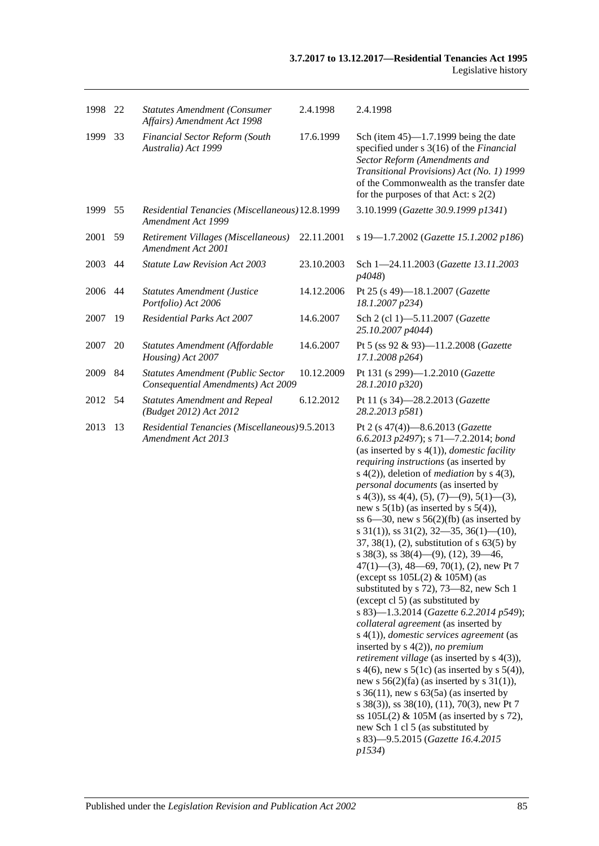| 1998 | 22 | <b>Statutes Amendment (Consumer</b><br>Affairs) Amendment Act 1998             | 2.4.1998   | 2.4.1998                                                                                                                                                                                                                                                                                                                                                                                                                                                                                                                                                                                                                                                                                                                                                                                                                                                                                                                                                                                                                                                                                                                                                                                                                                                                                                       |
|------|----|--------------------------------------------------------------------------------|------------|----------------------------------------------------------------------------------------------------------------------------------------------------------------------------------------------------------------------------------------------------------------------------------------------------------------------------------------------------------------------------------------------------------------------------------------------------------------------------------------------------------------------------------------------------------------------------------------------------------------------------------------------------------------------------------------------------------------------------------------------------------------------------------------------------------------------------------------------------------------------------------------------------------------------------------------------------------------------------------------------------------------------------------------------------------------------------------------------------------------------------------------------------------------------------------------------------------------------------------------------------------------------------------------------------------------|
| 1999 | 33 | Financial Sector Reform (South<br>Australia) Act 1999                          | 17.6.1999  | Sch (item $45$ )—1.7.1999 being the date<br>specified under s 3(16) of the <i>Financial</i><br>Sector Reform (Amendments and<br>Transitional Provisions) Act (No. 1) 1999<br>of the Commonwealth as the transfer date<br>for the purposes of that Act: $s$ 2(2)                                                                                                                                                                                                                                                                                                                                                                                                                                                                                                                                                                                                                                                                                                                                                                                                                                                                                                                                                                                                                                                |
| 1999 | 55 | Residential Tenancies (Miscellaneous) 12.8.1999<br>Amendment Act 1999          |            | 3.10.1999 (Gazette 30.9.1999 p1341)                                                                                                                                                                                                                                                                                                                                                                                                                                                                                                                                                                                                                                                                                                                                                                                                                                                                                                                                                                                                                                                                                                                                                                                                                                                                            |
| 2001 | 59 | Retirement Villages (Miscellaneous)<br>Amendment Act 2001                      | 22.11.2001 | s 19-1.7.2002 (Gazette 15.1.2002 p186)                                                                                                                                                                                                                                                                                                                                                                                                                                                                                                                                                                                                                                                                                                                                                                                                                                                                                                                                                                                                                                                                                                                                                                                                                                                                         |
| 2003 | 44 | Statute Law Revision Act 2003                                                  | 23.10.2003 | Sch 1-24.11.2003 (Gazette 13.11.2003<br>p4048)                                                                                                                                                                                                                                                                                                                                                                                                                                                                                                                                                                                                                                                                                                                                                                                                                                                                                                                                                                                                                                                                                                                                                                                                                                                                 |
| 2006 | 44 | <b>Statutes Amendment (Justice</b><br>Portfolio) Act 2006                      | 14.12.2006 | Pt 25 (s 49)-18.1.2007 (Gazette<br>18.1.2007 p234)                                                                                                                                                                                                                                                                                                                                                                                                                                                                                                                                                                                                                                                                                                                                                                                                                                                                                                                                                                                                                                                                                                                                                                                                                                                             |
| 2007 | 19 | <b>Residential Parks Act 2007</b>                                              | 14.6.2007  | Sch 2 (cl 1)-5.11.2007 (Gazette<br>25.10.2007 p4044)                                                                                                                                                                                                                                                                                                                                                                                                                                                                                                                                                                                                                                                                                                                                                                                                                                                                                                                                                                                                                                                                                                                                                                                                                                                           |
| 2007 | 20 | Statutes Amendment (Affordable<br>Housing) Act 2007                            | 14.6.2007  | Pt 5 (ss 92 & 93)-11.2.2008 (Gazette<br>17.1.2008 p264)                                                                                                                                                                                                                                                                                                                                                                                                                                                                                                                                                                                                                                                                                                                                                                                                                                                                                                                                                                                                                                                                                                                                                                                                                                                        |
| 2009 | 84 | <b>Statutes Amendment (Public Sector</b><br>Consequential Amendments) Act 2009 | 10.12.2009 | Pt 131 (s 299)-1.2.2010 (Gazette<br>28.1.2010 p320)                                                                                                                                                                                                                                                                                                                                                                                                                                                                                                                                                                                                                                                                                                                                                                                                                                                                                                                                                                                                                                                                                                                                                                                                                                                            |
| 2012 | 54 | <b>Statutes Amendment and Repeal</b><br>(Budget 2012) Act 2012                 | 6.12.2012  | Pt 11 (s 34)-28.2.2013 (Gazette<br>28.2.2013 p581)                                                                                                                                                                                                                                                                                                                                                                                                                                                                                                                                                                                                                                                                                                                                                                                                                                                                                                                                                                                                                                                                                                                                                                                                                                                             |
| 2013 | 13 | Residential Tenancies (Miscellaneous) 9.5.2013<br>Amendment Act 2013           |            | Pt 2 (s 47(4))-8.6.2013 (Gazette<br>6.6.2013 p2497); s 71-7.2.2014; bond<br>(as inserted by $s(4(1))$ , <i>domestic facility</i><br>requiring instructions (as inserted by<br>s $4(2)$ ), deletion of <i>mediation</i> by s $4(3)$ ,<br>personal documents (as inserted by<br>s 4(3)), ss 4(4), (5), (7)—(9), 5(1)—(3),<br>new s $5(1b)$ (as inserted by s $5(4)$ ),<br>ss $6-30$ , new s $56(2)(fb)$ (as inserted by<br>s $31(1)$ , ss $31(2)$ , $32-35$ , $36(1)$ - $(10)$ ,<br>37, 38(1), (2), substitution of $s$ 63(5) by<br>s 38(3), ss 38(4)—(9), (12), 39—46,<br>$47(1)$ — $(3)$ , 48—69, 70(1), (2), new Pt 7<br>(except ss $105L(2)$ & $105M$ ) (as<br>substituted by s 72), 73–82, new Sch 1<br>(except cl 5) (as substituted by<br>s 83)-1.3.2014 (Gazette 6.2.2014 p549);<br>collateral agreement (as inserted by<br>$s(4(1))$ , domestic services agreement (as<br>inserted by $s(4(2))$ , no premium<br><i>retirement village</i> (as inserted by s 4(3)),<br>s 4(6), new s $5(1c)$ (as inserted by s $5(4)$ ),<br>new s $56(2)(fa)$ (as inserted by s 31(1)),<br>s $36(11)$ , new s $63(5a)$ (as inserted by<br>s 38(3)), ss 38(10), (11), 70(3), new Pt 7<br>ss $105L(2)$ & $105M$ (as inserted by s 72),<br>new Sch 1 cl 5 (as substituted by<br>s 83)-9.5.2015 (Gazette 16.4.2015<br>p1534) |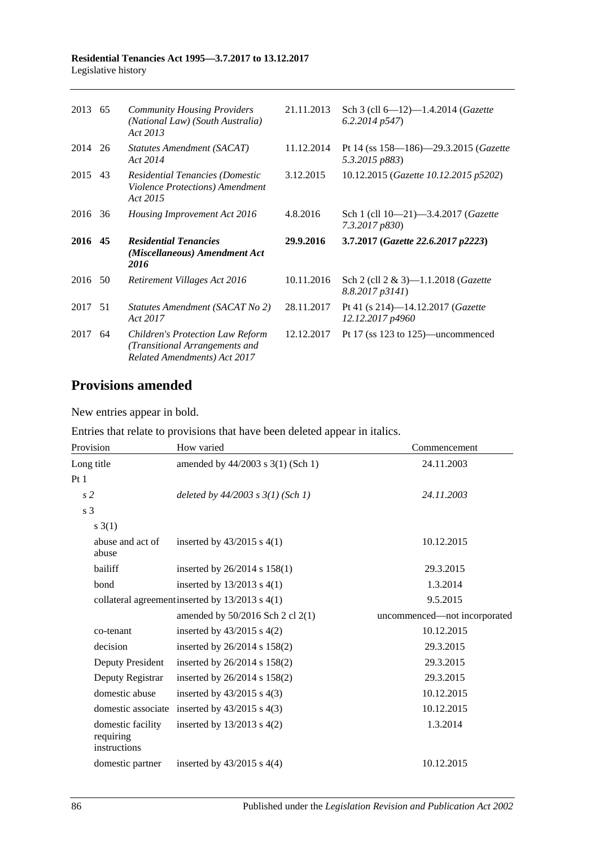| 2013 65 | <b>Community Housing Providers</b><br>(National Law) (South Australia)<br>Act 2013 | 21.11.2013 | Sch 3 (cll $6-12$ )-1.4.2014 ( <i>Gazette</i><br>6.2.2014p547 |
|---------|------------------------------------------------------------------------------------|------------|---------------------------------------------------------------|
| 2014 26 | Statutes Amendment (SACAT)<br>Act 2014                                             | 11.12.2014 | Pt 14 (ss 158—186)—29.3.2015 (Gazette<br>5.3.2015 p883)       |
| 2015 43 | Residential Tenancies (Domestic<br>Violence Protections) Amendment<br>Act 2015     | 3.12.2015  | 10.12.2015 (Gazette 10.12.2015 p5202)                         |
| 2016 36 | Housing Improvement Act 2016                                                       | 4.8.2016   | Sch 1 (cll 10-21)-3.4.2017 (Gazette<br>7.3.2017 p830)         |
|         |                                                                                    |            |                                                               |
| 2016 45 | <b>Residential Tenancies</b><br>(Miscellaneous) Amendment Act<br>2016              | 29.9.2016  | 3.7.2017 (Gazette 22.6.2017 p2223)                            |
| 2016 50 | Retirement Villages Act 2016                                                       | 10.11.2016 | Sch 2 (cll 2 & 3)-1.1.2018 (Gazette<br>8.8.2017p3141          |
| 2017 51 | Statutes Amendment (SACAT No 2)<br>Act 2017                                        | 28.11.2017 | Pt 41 (s 214)-14.12.2017 ( <i>Gazette</i><br>12.12.2017 p4960 |

# **Provisions amended**

New entries appear in bold.

Entries that relate to provisions that have been deleted appear in italics.

| Provision                                      | How varied                                      | Commencement                 |
|------------------------------------------------|-------------------------------------------------|------------------------------|
| Long title                                     | amended by 44/2003 s 3(1) (Sch 1)               | 24.11.2003                   |
| Pt1                                            |                                                 |                              |
| s <sub>2</sub>                                 | deleted by $44/2003$ s $3(1)$ (Sch 1)           | 24.11.2003                   |
| s <sub>3</sub>                                 |                                                 |                              |
| $s \; 3(1)$                                    |                                                 |                              |
| abuse and act of<br>abuse                      | inserted by $43/2015$ s $4(1)$                  | 10.12.2015                   |
| bailiff                                        | inserted by $26/2014$ s $158(1)$                | 29.3.2015                    |
| bond                                           | inserted by $13/2013$ s $4(1)$                  | 1.3.2014                     |
|                                                | collateral agreement inserted by 13/2013 s 4(1) | 9.5.2015                     |
|                                                | amended by $50/2016$ Sch 2 cl $2(1)$            | uncommenced-not incorporated |
| co-tenant                                      | inserted by $43/2015$ s $4(2)$                  | 10.12.2015                   |
| decision                                       | inserted by $26/2014$ s $158(2)$                | 29.3.2015                    |
| Deputy President                               | inserted by 26/2014 s 158(2)                    | 29.3.2015                    |
| Deputy Registrar                               | inserted by 26/2014 s 158(2)                    | 29.3.2015                    |
| domestic abuse                                 | inserted by $43/2015$ s $4(3)$                  | 10.12.2015                   |
| domestic associate                             | inserted by $43/2015$ s $4(3)$                  | 10.12.2015                   |
| domestic facility<br>requiring<br>instructions | inserted by $13/2013$ s $4(2)$                  | 1.3.2014                     |
| domestic partner                               | inserted by $43/2015$ s $4(4)$                  | 10.12.2015                   |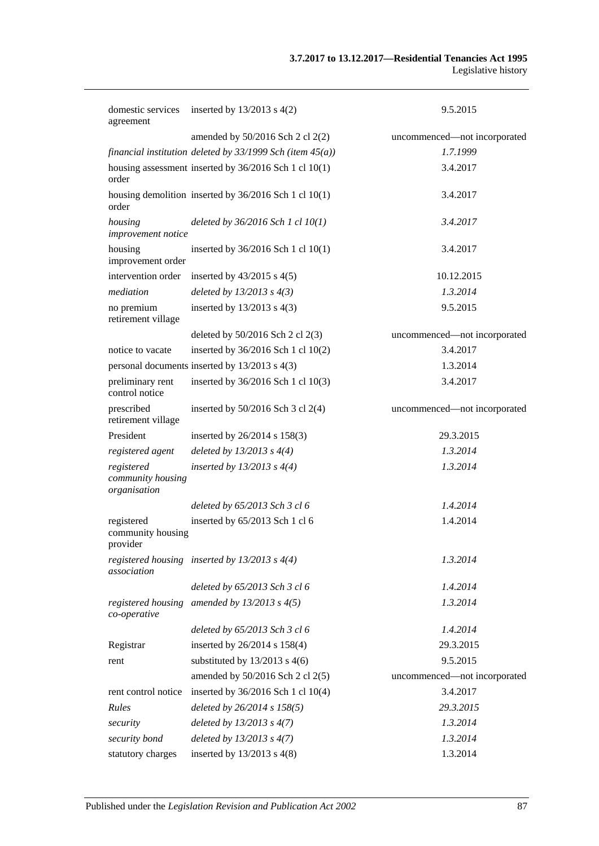| domestic services<br>agreement                  | inserted by $13/2013$ s $4(2)$                                 | 9.5.2015                     |
|-------------------------------------------------|----------------------------------------------------------------|------------------------------|
|                                                 | amended by 50/2016 Sch 2 cl 2(2)                               | uncommenced-not incorporated |
|                                                 | financial institution deleted by $33/1999$ Sch (item $45(a)$ ) | 1.7.1999                     |
| order                                           | housing assessment inserted by 36/2016 Sch 1 cl 10(1)          | 3.4.2017                     |
| order                                           | housing demolition inserted by $36/2016$ Sch 1 cl 10(1)        | 3.4.2017                     |
| housing<br>improvement notice                   | deleted by $36/2016$ Sch 1 cl $10(1)$                          | 3.4.2017                     |
| housing<br>improvement order                    | inserted by 36/2016 Sch 1 cl 10(1)                             | 3.4.2017                     |
| intervention order                              | inserted by $43/2015$ s $4(5)$                                 | 10.12.2015                   |
| mediation                                       | deleted by $13/2013$ s $4(3)$                                  | 1.3.2014                     |
| no premium<br>retirement village                | inserted by $13/2013$ s 4(3)                                   | 9.5.2015                     |
|                                                 | deleted by 50/2016 Sch 2 cl 2(3)                               | uncommenced-not incorporated |
| notice to vacate                                | inserted by 36/2016 Sch 1 cl 10(2)                             | 3.4.2017                     |
|                                                 | personal documents inserted by 13/2013 s 4(3)                  | 1.3.2014                     |
| preliminary rent<br>control notice              | inserted by 36/2016 Sch 1 cl 10(3)                             | 3.4.2017                     |
| prescribed<br>retirement village                | inserted by $50/2016$ Sch 3 cl 2(4)                            | uncommenced-not incorporated |
| President                                       | inserted by 26/2014 s 158(3)                                   | 29.3.2015                    |
| registered agent                                | deleted by $13/2013$ s $4(4)$                                  | 1.3.2014                     |
| registered<br>community housing<br>organisation | inserted by $13/2013$ s $4(4)$                                 | 1.3.2014                     |
|                                                 | deleted by 65/2013 Sch 3 cl 6                                  | 1.4.2014                     |
| registered<br>community housing<br>provider     | inserted by 65/2013 Sch 1 cl 6                                 | 1.4.2014                     |
| association                                     | registered housing inserted by $13/2013$ s $4(4)$              | 1.3.2014                     |
|                                                 | deleted by 65/2013 Sch 3 cl 6                                  | 1.4.2014                     |
| registered housing<br>co-operative              | amended by $13/2013$ s $4(5)$                                  | 1.3.2014                     |
|                                                 | deleted by 65/2013 Sch 3 cl 6                                  | 1.4.2014                     |
| Registrar                                       | inserted by 26/2014 s 158(4)                                   | 29.3.2015                    |
| rent                                            | substituted by $13/2013$ s 4(6)                                | 9.5.2015                     |
|                                                 | amended by $50/2016$ Sch 2 cl 2(5)                             | uncommenced-not incorporated |
| rent control notice                             | inserted by 36/2016 Sch 1 cl 10(4)                             | 3.4.2017                     |
| Rules                                           | deleted by 26/2014 s 158(5)                                    | 29.3.2015                    |
| security                                        | deleted by $13/2013$ s $4(7)$                                  | 1.3.2014                     |
| security bond                                   | deleted by $13/2013$ s $4(7)$                                  | 1.3.2014                     |
| statutory charges                               | inserted by $13/2013$ s 4(8)                                   | 1.3.2014                     |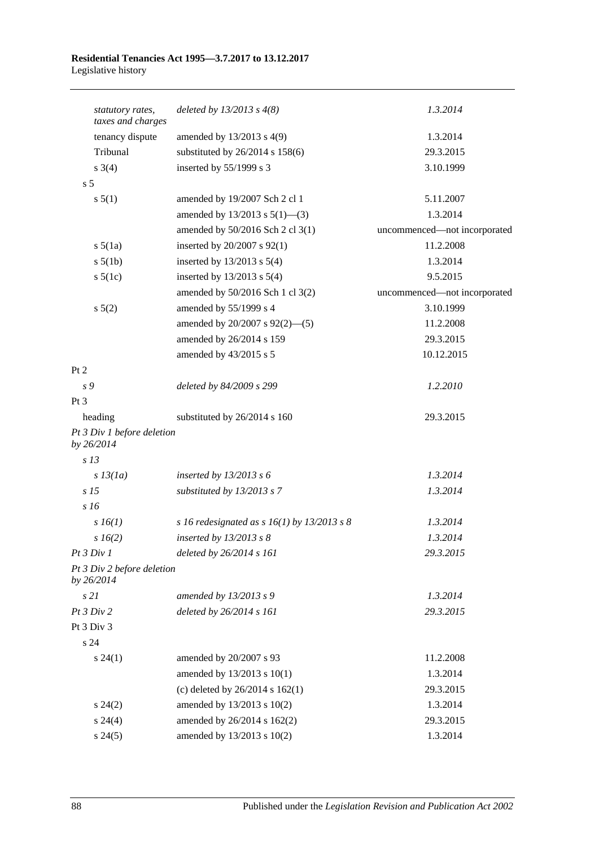| statutory rates,<br>taxes and charges    | deleted by $13/2013$ s $4(8)$                 | 1.3.2014                     |
|------------------------------------------|-----------------------------------------------|------------------------------|
| tenancy dispute                          | amended by $13/2013$ s $4(9)$                 | 1.3.2014                     |
| Tribunal                                 | substituted by $26/2014$ s $158(6)$           | 29.3.2015                    |
| $s \; 3(4)$                              | inserted by 55/1999 s 3                       | 3.10.1999                    |
| s <sub>5</sub>                           |                                               |                              |
| s 5(1)                                   | amended by 19/2007 Sch 2 cl 1                 | 5.11.2007                    |
|                                          | amended by $13/2013$ s $5(1)$ —(3)            | 1.3.2014                     |
|                                          | amended by 50/2016 Sch 2 cl 3(1)              | uncommenced-not incorporated |
| $s\,5(1a)$                               | inserted by 20/2007 s 92(1)                   | 11.2.2008                    |
| $s\ 5(1b)$                               | inserted by $13/2013$ s $5(4)$                | 1.3.2014                     |
| $s\ 5(1c)$                               | inserted by $13/2013$ s $5(4)$                | 9.5.2015                     |
|                                          | amended by 50/2016 Sch 1 cl 3(2)              | uncommenced-not incorporated |
| $s\ 5(2)$                                | amended by 55/1999 s 4                        | 3.10.1999                    |
|                                          | amended by 20/2007 s 92(2)-(5)                | 11.2.2008                    |
|                                          | amended by 26/2014 s 159                      | 29.3.2015                    |
|                                          | amended by 43/2015 s 5                        | 10.12.2015                   |
| Pt 2                                     |                                               |                              |
| s 9                                      | deleted by 84/2009 s 299                      | 1.2.2010                     |
| Pt <sub>3</sub>                          |                                               |                              |
| heading                                  | substituted by 26/2014 s 160                  | 29.3.2015                    |
| Pt 3 Div 1 before deletion<br>by 26/2014 |                                               |                              |
| s <sub>13</sub>                          |                                               |                              |
| $s$ 13(1a)                               | inserted by $13/2013$ s 6                     | 1.3.2014                     |
| s <sub>15</sub>                          | substituted by 13/2013 s 7                    | 1.3.2014                     |
| s16                                      |                                               |                              |
| $s\,16(1)$                               | s 16 redesignated as s $16(1)$ by 13/2013 s 8 | 1.3.2014                     |
| $s\,16(2)$                               | inserted by $13/2013$ s 8                     | 1.3.2014                     |
| Pt3 Div1                                 | deleted by 26/2014 s 161                      | 29.3.2015                    |
| Pt 3 Div 2 before deletion<br>by 26/2014 |                                               |                              |
| s21                                      | amended by 13/2013 s 9                        | 1.3.2014                     |
| Pt 3 Div 2                               | deleted by 26/2014 s 161                      | 29.3.2015                    |
| Pt 3 Div 3                               |                                               |                              |
| s 24                                     |                                               |                              |
| $s\,24(1)$                               | amended by 20/2007 s 93                       | 11.2.2008                    |
|                                          | amended by 13/2013 s 10(1)                    | 1.3.2014                     |
|                                          | (c) deleted by $26/2014$ s $162(1)$           | 29.3.2015                    |
| $s\,24(2)$                               | amended by 13/2013 s 10(2)                    | 1.3.2014                     |
| $s\,24(4)$                               | amended by 26/2014 s 162(2)                   | 29.3.2015                    |
| s 24(5)                                  | amended by 13/2013 s 10(2)                    | 1.3.2014                     |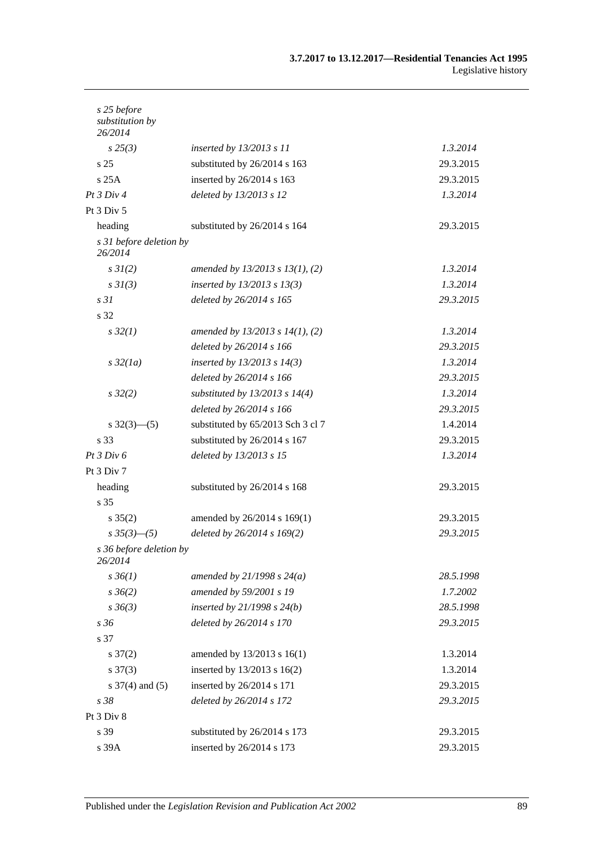| s 25 before<br>substitution by<br>26/2014 |                                      |           |
|-------------------------------------------|--------------------------------------|-----------|
| $s\,25(3)$                                | inserted by $13/2013$ s 11           | 1.3.2014  |
| s <sub>25</sub>                           | substituted by 26/2014 s 163         | 29.3.2015 |
| s25A                                      | inserted by 26/2014 s 163            | 29.3.2015 |
| Pt 3 Div 4                                | deleted by 13/2013 s 12              | 1.3.2014  |
| Pt 3 Div 5                                |                                      |           |
| heading                                   | substituted by 26/2014 s 164         | 29.3.2015 |
| s 31 before deletion by<br>26/2014        |                                      |           |
| $s \, 3I(2)$                              | amended by $13/2013$ s $13(1)$ , (2) | 1.3.2014  |
| s3I(3)                                    | inserted by $13/2013$ s $13(3)$      | 1.3.2014  |
| s <sub>31</sub>                           | deleted by 26/2014 s 165             | 29.3.2015 |
| s 32                                      |                                      |           |
| $s\,32(1)$                                | amended by $13/2013$ s $14(1)$ , (2) | 1.3.2014  |
|                                           | deleted by 26/2014 s 166             | 29.3.2015 |
| $s\,32(1a)$                               | inserted by $13/2013$ s $14(3)$      | 1.3.2014  |
|                                           | deleted by 26/2014 s 166             | 29.3.2015 |
| $s\,32(2)$                                | substituted by $13/2013$ s $14(4)$   | 1.3.2014  |
|                                           | deleted by 26/2014 s 166             | 29.3.2015 |
| $s \frac{32(3)-(5)}{2}$                   | substituted by 65/2013 Sch 3 cl 7    | 1.4.2014  |
| s 33                                      | substituted by 26/2014 s 167         | 29.3.2015 |
| Pt 3 Div 6                                | deleted by 13/2013 s 15              | 1.3.2014  |
| Pt 3 Div 7                                |                                      |           |
| heading                                   | substituted by 26/2014 s 168         | 29.3.2015 |
| s 35                                      |                                      |           |
| $s \, 35(2)$                              | amended by 26/2014 s 169(1)          | 29.3.2015 |
| $s \frac{35(3)-(5)}{s}$                   | deleted by 26/2014 s 169(2)          | 29.3.2015 |
| s 36 before deletion by<br>26/2014        |                                      |           |
| $s \, 36(1)$                              | amended by $21/1998 s 24(a)$         | 28.5.1998 |
| $s \, 36(2)$                              | amended by 59/2001 s 19              | 1.7.2002  |
| $s \, 36(3)$                              | inserted by $21/1998$ s $24(b)$      | 28.5.1998 |
| s 36                                      | deleted by 26/2014 s 170             | 29.3.2015 |
| s 37                                      |                                      |           |
| $s \frac{37(2)}{2}$                       | amended by 13/2013 s 16(1)           | 1.3.2014  |
| $s \frac{37(3)}{2}$                       | inserted by 13/2013 s 16(2)          | 1.3.2014  |
| $s \frac{37}{4}$ and (5)                  | inserted by 26/2014 s 171            | 29.3.2015 |
| s 38                                      | deleted by 26/2014 s 172             | 29.3.2015 |
| Pt 3 Div 8                                |                                      |           |
| s 39                                      | substituted by 26/2014 s 173         | 29.3.2015 |
| s 39A                                     | inserted by 26/2014 s 173            | 29.3.2015 |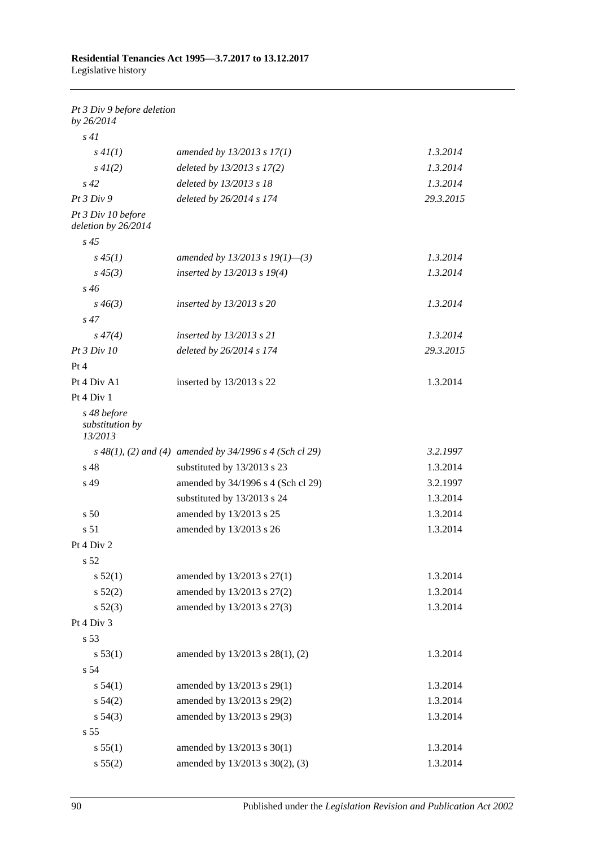| Pt 3 Div 9 before deletion<br>by 26/2014  |                                                             |           |
|-------------------------------------------|-------------------------------------------------------------|-----------|
| s41                                       |                                                             |           |
| s 4I(1)                                   | amended by $13/2013$ s $17(1)$                              | 1.3.2014  |
| $s\,4I(2)$                                | deleted by $13/2013$ s $17(2)$                              | 1.3.2014  |
| $s\,42$                                   | deleted by 13/2013 s 18                                     | 1.3.2014  |
| Pt 3 Div 9                                | deleted by 26/2014 s 174                                    | 29.3.2015 |
| Pt 3 Div 10 before<br>deletion by 26/2014 |                                                             |           |
| $s\,45$                                   |                                                             |           |
| $s\,45(1)$                                | amended by 13/2013 s 19(1)–(3)                              | 1.3.2014  |
| $s\,45(3)$                                | inserted by 13/2013 s 19(4)                                 | 1.3.2014  |
| s 46                                      |                                                             |           |
| $s\,46(3)$                                | inserted by $13/2013$ s 20                                  | 1.3.2014  |
| $s\,47$                                   |                                                             |           |
| $s\,47(4)$                                | inserted by $13/2013$ s 21                                  | 1.3.2014  |
| Pt 3 Div 10                               | deleted by 26/2014 s 174                                    | 29.3.2015 |
| Pt 4                                      |                                                             |           |
| Pt 4 Div A1                               | inserted by $13/2013$ s 22                                  | 1.3.2014  |
| Pt 4 Div 1                                |                                                             |           |
| s 48 before<br>substitution by<br>13/2013 |                                                             |           |
|                                           | $s$ 48(1), (2) and (4) amended by 34/1996 $s$ 4 (Sch cl 29) | 3.2.1997  |
| s 48                                      | substituted by 13/2013 s 23                                 | 1.3.2014  |
| s 49                                      | amended by 34/1996 s 4 (Sch cl 29)                          | 3.2.1997  |
|                                           | substituted by 13/2013 s 24                                 | 1.3.2014  |
| s <sub>50</sub>                           | amended by 13/2013 s 25                                     | 1.3.2014  |
| s <sub>51</sub>                           | amended by 13/2013 s 26                                     | 1.3.2014  |
| Pt 4 Div 2                                |                                                             |           |
| s 52                                      |                                                             |           |
| s 52(1)                                   | amended by 13/2013 s 27(1)                                  | 1.3.2014  |
| $s\,52(2)$                                | amended by 13/2013 s 27(2)                                  | 1.3.2014  |
| $s\,52(3)$                                | amended by 13/2013 s 27(3)                                  | 1.3.2014  |
| Pt 4 Div 3                                |                                                             |           |
| s 53                                      |                                                             |           |
| s 53(1)                                   | amended by 13/2013 s 28(1), (2)                             | 1.3.2014  |
| s 54                                      |                                                             |           |
| s 54(1)                                   | amended by 13/2013 s 29(1)                                  | 1.3.2014  |
| $s\,54(2)$                                | amended by 13/2013 s 29(2)                                  | 1.3.2014  |
| $s\,54(3)$                                | amended by 13/2013 s 29(3)                                  | 1.3.2014  |
| s 55                                      |                                                             |           |
| s 55(1)                                   | amended by 13/2013 s 30(1)                                  | 1.3.2014  |
| s 55(2)                                   | amended by 13/2013 s 30(2), (3)                             | 1.3.2014  |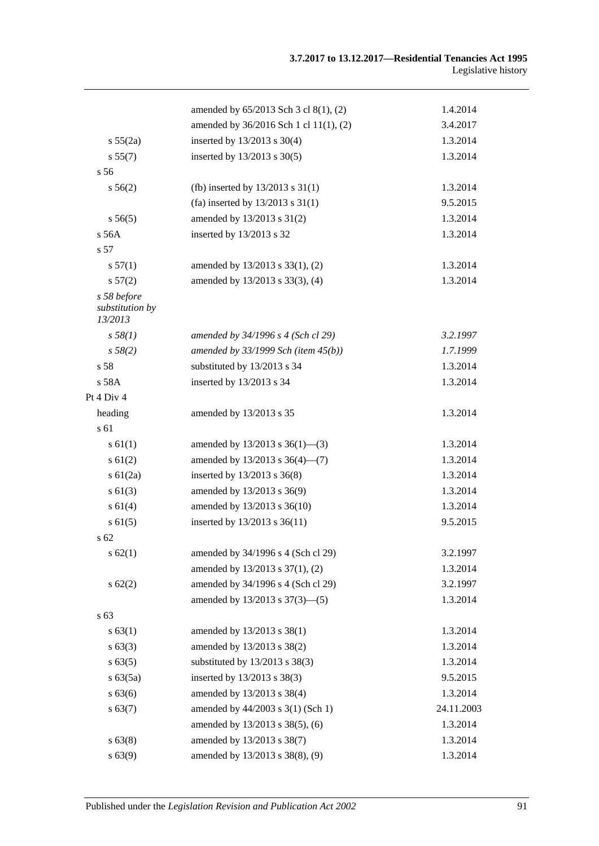|                                           | amended by 65/2013 Sch 3 cl 8(1), (2)    | 1.4.2014   |
|-------------------------------------------|------------------------------------------|------------|
|                                           | amended by 36/2016 Sch 1 cl 11(1), (2)   | 3.4.2017   |
| s 55(2a)                                  | inserted by 13/2013 s 30(4)              | 1.3.2014   |
| s 55(7)                                   | inserted by 13/2013 s 30(5)              | 1.3.2014   |
| s <sub>56</sub>                           |                                          |            |
| $s\,56(2)$                                | (fb) inserted by $13/2013$ s $31(1)$     | 1.3.2014   |
|                                           | (fa) inserted by $13/2013$ s $31(1)$     | 9.5.2015   |
| s 56(5)                                   | amended by 13/2013 s 31(2)               | 1.3.2014   |
| s 56A                                     | inserted by 13/2013 s 32                 | 1.3.2014   |
| s 57                                      |                                          |            |
| s 57(1)                                   | amended by 13/2013 s 33(1), (2)          | 1.3.2014   |
| s 57(2)                                   | amended by 13/2013 s 33(3), (4)          | 1.3.2014   |
| s 58 before<br>substitution by<br>13/2013 |                                          |            |
| s 58(1)                                   | amended by 34/1996 s 4 (Sch cl 29)       | 3.2.1997   |
| s 58(2)                                   | amended by $33/1999$ Sch (item $45(b)$ ) | 1.7.1999   |
| s <sub>58</sub>                           | substituted by 13/2013 s 34              | 1.3.2014   |
| s 58A                                     | inserted by 13/2013 s 34                 | 1.3.2014   |
| Pt 4 Div 4                                |                                          |            |
| heading                                   | amended by 13/2013 s 35                  | 1.3.2014   |
| s 61                                      |                                          |            |
| s 61(1)                                   | amended by $13/2013$ s $36(1)$ —(3)      | 1.3.2014   |
| $s \, 61(2)$                              | amended by $13/2013$ s $36(4)$ — $(7)$   | 1.3.2014   |
| s $61(2a)$                                | inserted by 13/2013 s 36(8)              | 1.3.2014   |
| $s \ 61(3)$                               | amended by 13/2013 s 36(9)               | 1.3.2014   |
| s 61(4)                                   | amended by 13/2013 s 36(10)              | 1.3.2014   |
| s 61(5)                                   | inserted by 13/2013 s 36(11)             | 9.5.2015   |
| s <sub>62</sub>                           |                                          |            |
| s 62(1)                                   | amended by 34/1996 s 4 (Sch cl 29)       | 3.2.1997   |
|                                           | amended by 13/2013 s 37(1), (2)          | 1.3.2014   |
| s62(2)                                    | amended by 34/1996 s 4 (Sch cl 29)       | 3.2.1997   |
|                                           | amended by 13/2013 s 37(3)-(5)           | 1.3.2014   |
| s 63                                      |                                          |            |
| s 63(1)                                   | amended by 13/2013 s 38(1)               | 1.3.2014   |
| $s\,63(3)$                                | amended by 13/2013 s 38(2)               | 1.3.2014   |
| $s\,63(5)$                                | substituted by 13/2013 s 38(3)           | 1.3.2014   |
| s 63(5a)                                  | inserted by 13/2013 s 38(3)              | 9.5.2015   |
| s 63(6)                                   | amended by 13/2013 s 38(4)               | 1.3.2014   |
| s 63(7)                                   | amended by 44/2003 s 3(1) (Sch 1)        | 24.11.2003 |
|                                           | amended by 13/2013 s 38(5), (6)          | 1.3.2014   |
| s 63(8)                                   | amended by 13/2013 s 38(7)               | 1.3.2014   |
| s 63(9)                                   | amended by 13/2013 s 38(8), (9)          | 1.3.2014   |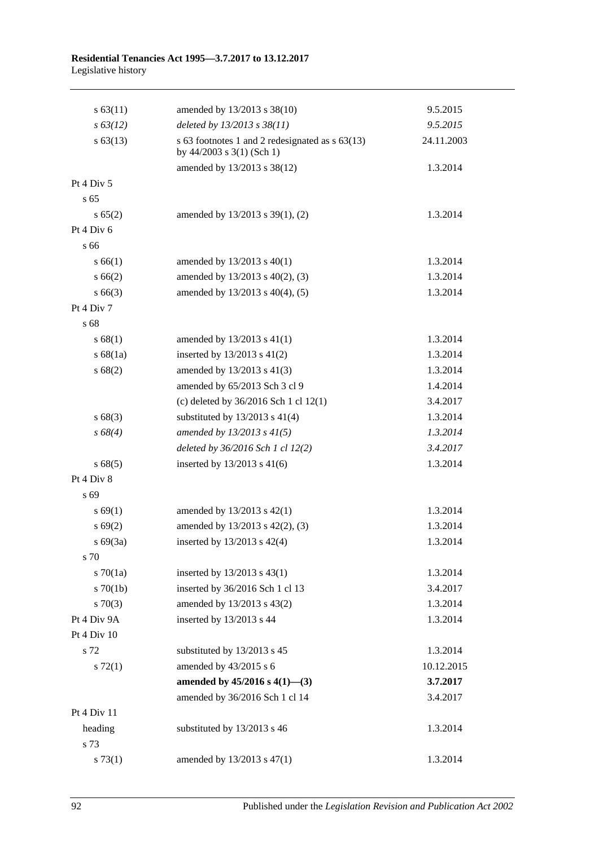| $s\,63(11)$     | amended by 13/2013 s 38(10)                                                  | 9.5.2015   |
|-----------------|------------------------------------------------------------------------------|------------|
| $s\,63(12)$     | deleted by 13/2013 s 38(11)                                                  | 9.5.2015   |
| $s\,63(13)$     | s 63 footnotes 1 and 2 redesignated as s 63(13)<br>by 44/2003 s 3(1) (Sch 1) | 24.11.2003 |
|                 | amended by 13/2013 s 38(12)                                                  | 1.3.2014   |
| Pt 4 Div 5      |                                                                              |            |
| s <sub>65</sub> |                                                                              |            |
| s 65(2)         | amended by 13/2013 s 39(1), (2)                                              | 1.3.2014   |
| Pt 4 Div 6      |                                                                              |            |
| s 66            |                                                                              |            |
| s 66(1)         | amended by $13/2013$ s $40(1)$                                               | 1.3.2014   |
| s 66(2)         | amended by 13/2013 s 40(2), (3)                                              | 1.3.2014   |
| $s\,66(3)$      | amended by 13/2013 s 40(4), (5)                                              | 1.3.2014   |
| Pt 4 Div 7      |                                                                              |            |
| s 68            |                                                                              |            |
| s 68(1)         | amended by $13/2013$ s $41(1)$                                               | 1.3.2014   |
| s 68(1a)        | inserted by $13/2013$ s $41(2)$                                              | 1.3.2014   |
| s 68(2)         | amended by 13/2013 s 41(3)                                                   | 1.3.2014   |
|                 | amended by 65/2013 Sch 3 cl 9                                                | 1.4.2014   |
|                 | (c) deleted by $36/2016$ Sch 1 cl $12(1)$                                    | 3.4.2017   |
| s 68(3)         | substituted by $13/2013$ s $41(4)$                                           | 1.3.2014   |
| $s\,68(4)$      | amended by $13/2013$ s $41(5)$                                               | 1.3.2014   |
|                 | deleted by 36/2016 Sch 1 cl 12(2)                                            | 3.4.2017   |
| s 68(5)         | inserted by $13/2013$ s 41(6)                                                | 1.3.2014   |
| Pt 4 Div 8      |                                                                              |            |
| s 69            |                                                                              |            |
| s 69(1)         | amended by 13/2013 s 42(1)                                                   | 1.3.2014   |
| s 69(2)         | amended by 13/2013 s 42(2), (3)                                              | 1.3.2014   |
| $s\ 69(3a)$     | inserted by 13/2013 s 42(4)                                                  | 1.3.2014   |
| s 70            |                                                                              |            |
| $s \, 70(1a)$   | inserted by 13/2013 s 43(1)                                                  | 1.3.2014   |
| $s \, 70(1b)$   | inserted by 36/2016 Sch 1 cl 13                                              | 3.4.2017   |
| $s \, 70(3)$    | amended by 13/2013 s 43(2)                                                   | 1.3.2014   |
| Pt 4 Div 9A     | inserted by 13/2013 s 44                                                     | 1.3.2014   |
| Pt 4 Div 10     |                                                                              |            |
| s 72            | substituted by 13/2013 s 45                                                  | 1.3.2014   |
| $s \, 72(1)$    | amended by 43/2015 s 6                                                       | 10.12.2015 |
|                 | amended by $45/2016$ s $4(1)$ —(3)                                           | 3.7.2017   |
|                 | amended by 36/2016 Sch 1 cl 14                                               | 3.4.2017   |
| Pt 4 Div 11     |                                                                              |            |
| heading         | substituted by 13/2013 s 46                                                  | 1.3.2014   |
| s 73            |                                                                              |            |
| s 73(1)         | amended by 13/2013 s 47(1)                                                   | 1.3.2014   |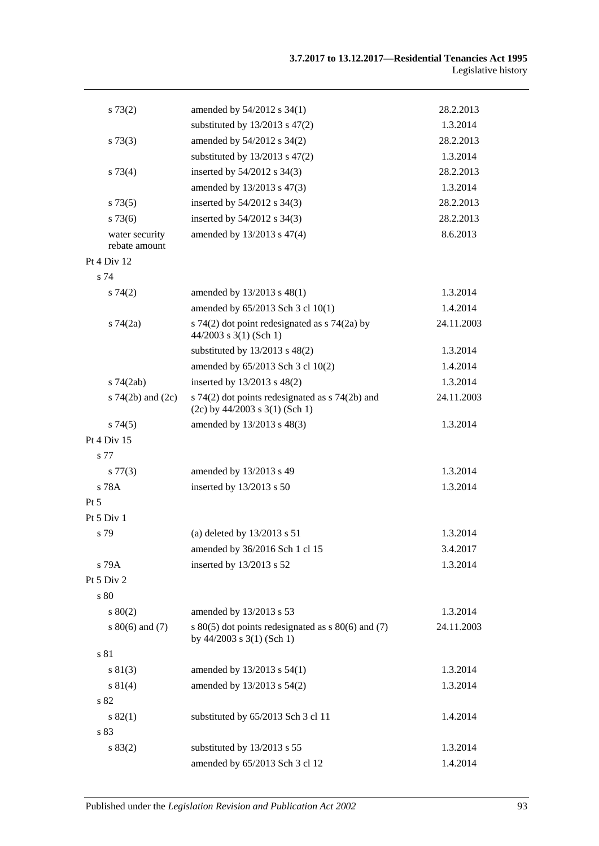| s 73(2)                         | amended by 54/2012 s 34(1)                                                              | 28.2.2013  |
|---------------------------------|-----------------------------------------------------------------------------------------|------------|
|                                 | substituted by $13/2013$ s $47(2)$                                                      | 1.3.2014   |
| $s \, 73(3)$                    | amended by 54/2012 s 34(2)                                                              | 28.2.2013  |
|                                 | substituted by $13/2013$ s $47(2)$                                                      | 1.3.2014   |
| s 73(4)                         | inserted by 54/2012 s 34(3)                                                             | 28.2.2013  |
|                                 | amended by 13/2013 s 47(3)                                                              | 1.3.2014   |
| s 73(5)                         | inserted by 54/2012 s 34(3)                                                             | 28.2.2013  |
| $s\,73(6)$                      | inserted by 54/2012 s 34(3)                                                             | 28.2.2013  |
| water security<br>rebate amount | amended by 13/2013 s 47(4)                                                              | 8.6.2013   |
| Pt 4 Div 12                     |                                                                                         |            |
| s 74                            |                                                                                         |            |
| s74(2)                          | amended by 13/2013 s 48(1)                                                              | 1.3.2014   |
|                                 | amended by 65/2013 Sch 3 cl 10(1)                                                       | 1.4.2014   |
| $s \, 74(2a)$                   | s 74(2) dot point redesignated as s 74(2a) by<br>$44/2003$ s 3(1) (Sch 1)               | 24.11.2003 |
|                                 | substituted by $13/2013$ s $48(2)$                                                      | 1.3.2014   |
|                                 | amended by 65/2013 Sch 3 cl 10(2)                                                       | 1.4.2014   |
| $s$ 74 $(2ab)$                  | inserted by 13/2013 s 48(2)                                                             | 1.3.2014   |
| s $74(2b)$ and $(2c)$           | s 74(2) dot points redesignated as s 74(2b) and<br>$(2c)$ by 44/2003 s 3(1) (Sch 1)     | 24.11.2003 |
| s74(5)                          | amended by 13/2013 s 48(3)                                                              | 1.3.2014   |
| Pt 4 Div 15                     |                                                                                         |            |
| s 77                            |                                                                                         |            |
| s 77(3)                         | amended by 13/2013 s 49                                                                 | 1.3.2014   |
| s 78A                           | inserted by 13/2013 s 50                                                                | 1.3.2014   |
| $Pt\,5$                         |                                                                                         |            |
| Pt 5 Div 1                      |                                                                                         |            |
| s 79                            | (a) deleted by $13/2013$ s 51                                                           | 1.3.2014   |
|                                 | amended by 36/2016 Sch 1 cl 15                                                          | 3.4.2017   |
| s 79A                           | inserted by 13/2013 s 52                                                                | 1.3.2014   |
| Pt 5 Div 2                      |                                                                                         |            |
| s 80                            |                                                                                         |            |
| $s\ 80(2)$                      | amended by 13/2013 s 53                                                                 | 1.3.2014   |
| $s\ 80(6)$ and (7)              | s $80(5)$ dot points redesignated as s $80(6)$ and (7)<br>by $44/2003$ s $3(1)$ (Sch 1) | 24.11.2003 |
| s 81                            |                                                                                         |            |
| s 81(3)                         | amended by 13/2013 s 54(1)                                                              | 1.3.2014   |
| s 81(4)                         | amended by 13/2013 s 54(2)                                                              | 1.3.2014   |
| s 82                            |                                                                                         |            |
| s 82(1)                         | substituted by 65/2013 Sch 3 cl 11                                                      | 1.4.2014   |
| s 83                            |                                                                                         |            |
| s 83(2)                         | substituted by 13/2013 s 55                                                             | 1.3.2014   |
|                                 | amended by 65/2013 Sch 3 cl 12                                                          | 1.4.2014   |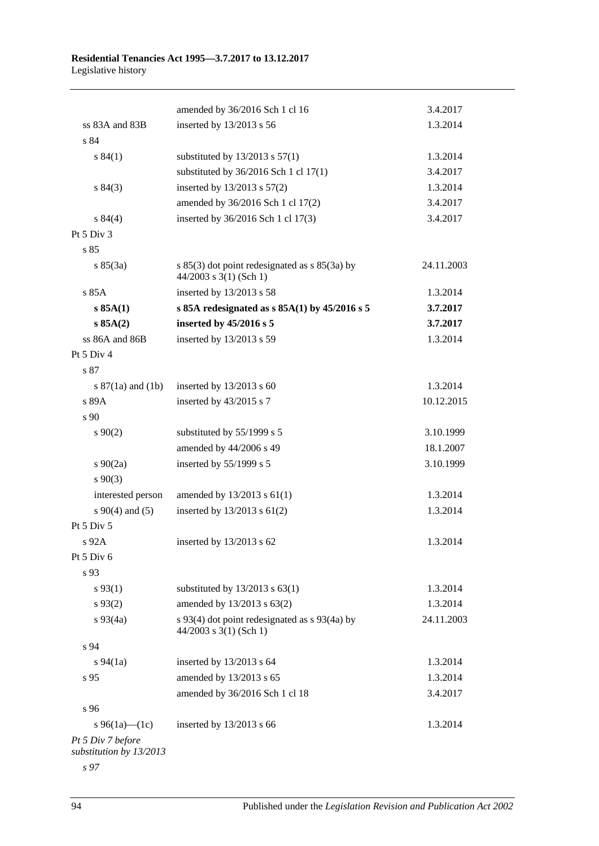|                                              | amended by 36/2016 Sch 1 cl 16                                                | 3.4.2017   |
|----------------------------------------------|-------------------------------------------------------------------------------|------------|
| ss 83A and 83B                               | inserted by 13/2013 s 56                                                      | 1.3.2014   |
| s 84                                         |                                                                               |            |
| s 84(1)                                      | substituted by $13/2013$ s $57(1)$                                            | 1.3.2014   |
|                                              | substituted by $36/2016$ Sch 1 cl $17(1)$                                     | 3.4.2017   |
| s 84(3)                                      | inserted by 13/2013 s 57(2)                                                   | 1.3.2014   |
|                                              | amended by 36/2016 Sch 1 cl 17(2)                                             | 3.4.2017   |
| s 84(4)                                      | inserted by 36/2016 Sch 1 cl 17(3)                                            | 3.4.2017   |
| Pt $5$ Div $3$                               |                                                                               |            |
| s85                                          |                                                                               |            |
| s 85(3a)                                     | s $85(3)$ dot point redesignated as s $85(3a)$ by<br>$44/2003$ s 3(1) (Sch 1) | 24.11.2003 |
| s 85A                                        | inserted by 13/2013 s 58                                                      | 1.3.2014   |
| $s$ 85A(1)                                   | s 85A redesignated as $s$ 85A(1) by 45/2016 s 5                               | 3.7.2017   |
| s 85A(2)                                     | inserted by 45/2016 s 5                                                       | 3.7.2017   |
| ss 86A and 86B                               | inserted by 13/2013 s 59                                                      | 1.3.2014   |
| Pt 5 Div 4                                   |                                                                               |            |
| s 87                                         |                                                                               |            |
| s $87(1a)$ and $(1b)$                        | inserted by $13/2013$ s 60                                                    | 1.3.2014   |
| s 89A                                        | inserted by 43/2015 s 7                                                       | 10.12.2015 |
| s 90                                         |                                                                               |            |
| $s\,90(2)$                                   | substituted by 55/1999 s 5                                                    | 3.10.1999  |
|                                              | amended by 44/2006 s 49                                                       | 18.1.2007  |
| $s \ 90(2a)$                                 | inserted by 55/1999 s 5                                                       | 3.10.1999  |
| $s\,90(3)$                                   |                                                                               |            |
| interested person                            | amended by $13/2013$ s $61(1)$                                                | 1.3.2014   |
| s $90(4)$ and $(5)$                          | inserted by 13/2013 s 61(2)                                                   | 1.3.2014   |
| Pt 5 Div 5                                   |                                                                               |            |
| s 92A                                        | inserted by 13/2013 s 62                                                      | 1.3.2014   |
| Pt 5 Div 6                                   |                                                                               |            |
| s 93                                         |                                                                               |            |
| $s\,93(1)$                                   | substituted by $13/2013$ s $63(1)$                                            | 1.3.2014   |
| $s\,93(2)$                                   | amended by 13/2013 s 63(2)                                                    | 1.3.2014   |
| $s\,93(4a)$                                  | s 93(4) dot point redesignated as s 93(4a) by<br>44/2003 s 3(1) (Sch 1)       | 24.11.2003 |
| s 94                                         |                                                                               |            |
| $s\,94(1a)$                                  | inserted by 13/2013 s 64                                                      | 1.3.2014   |
| s 95                                         | amended by 13/2013 s 65                                                       | 1.3.2014   |
|                                              | amended by 36/2016 Sch 1 cl 18                                                | 3.4.2017   |
| s 96                                         |                                                                               |            |
| s 96(1a)—(1c)                                | inserted by $13/2013$ s 66                                                    | 1.3.2014   |
| Pt 5 Div 7 before<br>substitution by 13/2013 |                                                                               |            |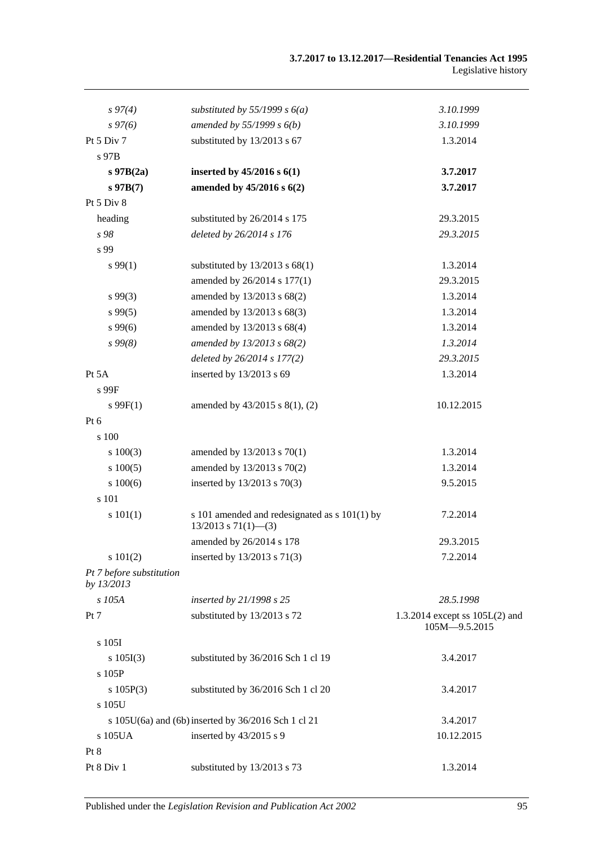| $s\,97(4)$                             | substituted by 55/1999 s $6(a)$                                           | 3.10.1999                                         |
|----------------------------------------|---------------------------------------------------------------------------|---------------------------------------------------|
| $s\,97(6)$                             | amended by $55/1999 s 6(b)$                                               | 3.10.1999                                         |
| Pt 5 Div 7                             | substituted by 13/2013 s 67                                               | 1.3.2014                                          |
| s 97B                                  |                                                                           |                                                   |
| $s$ 97B $(2a)$                         | inserted by $45/2016$ s $6(1)$                                            | 3.7.2017                                          |
| $s\,97B(7)$                            | amended by 45/2016 s 6(2)                                                 | 3.7.2017                                          |
| Pt 5 Div 8                             |                                                                           |                                                   |
| heading                                | substituted by 26/2014 s 175                                              | 29.3.2015                                         |
| s 98                                   | deleted by 26/2014 s 176                                                  | 29.3.2015                                         |
| s 99                                   |                                                                           |                                                   |
| s 99(1)                                | substituted by $13/2013$ s $68(1)$                                        | 1.3.2014                                          |
|                                        | amended by 26/2014 s 177(1)                                               | 29.3.2015                                         |
| $s\,99(3)$                             | amended by 13/2013 s 68(2)                                                | 1.3.2014                                          |
| s 99(5)                                | amended by 13/2013 s 68(3)                                                | 1.3.2014                                          |
| s99(6)                                 | amended by 13/2013 s 68(4)                                                | 1.3.2014                                          |
| $s\,99(8)$                             | amended by 13/2013 s 68(2)                                                | 1.3.2014                                          |
|                                        | deleted by 26/2014 s 177(2)                                               | 29.3.2015                                         |
| Pt 5A                                  | inserted by 13/2013 s 69                                                  | 1.3.2014                                          |
| s 99F                                  |                                                                           |                                                   |
| $s \, 99F(1)$                          | amended by $43/2015$ s $8(1)$ , (2)                                       | 10.12.2015                                        |
| $Pt\ 6$                                |                                                                           |                                                   |
| s 100                                  |                                                                           |                                                   |
| $s\ 100(3)$                            | amended by 13/2013 s 70(1)                                                | 1.3.2014                                          |
| 100(5)                                 | amended by 13/2013 s 70(2)                                                | 1.3.2014                                          |
| 100(6)                                 | inserted by 13/2013 s 70(3)                                               | 9.5.2015                                          |
| s 101                                  |                                                                           |                                                   |
| s 101(1)                               | s 101 amended and redesignated as s 101(1) by<br>$13/2013$ s $71(1)$ —(3) | 7.2.2014                                          |
|                                        | amended by 26/2014 s 178                                                  | 29.3.2015                                         |
| s 101(2)                               | inserted by 13/2013 s 71(3)                                               | 7.2.2014                                          |
| Pt 7 before substitution<br>by 13/2013 |                                                                           |                                                   |
| s 105A                                 | inserted by 21/1998 s 25                                                  | 28.5.1998                                         |
| Pt 7                                   | substituted by 13/2013 s 72                                               | 1.3.2014 except ss $105L(2)$ and<br>105M-9.5.2015 |
| s 105I                                 |                                                                           |                                                   |
| s 105I(3)                              | substituted by 36/2016 Sch 1 cl 19                                        | 3.4.2017                                          |
| s 105P                                 |                                                                           |                                                   |
| s 105P(3)                              | substituted by 36/2016 Sch 1 cl 20                                        | 3.4.2017                                          |
| s 105U                                 |                                                                           |                                                   |
|                                        | s 105U(6a) and (6b) inserted by 36/2016 Sch 1 cl 21                       | 3.4.2017                                          |
| s 105UA                                | inserted by 43/2015 s 9                                                   | 10.12.2015                                        |
| Pt 8                                   |                                                                           |                                                   |
| Pt 8 Div 1                             | substituted by 13/2013 s 73                                               | 1.3.2014                                          |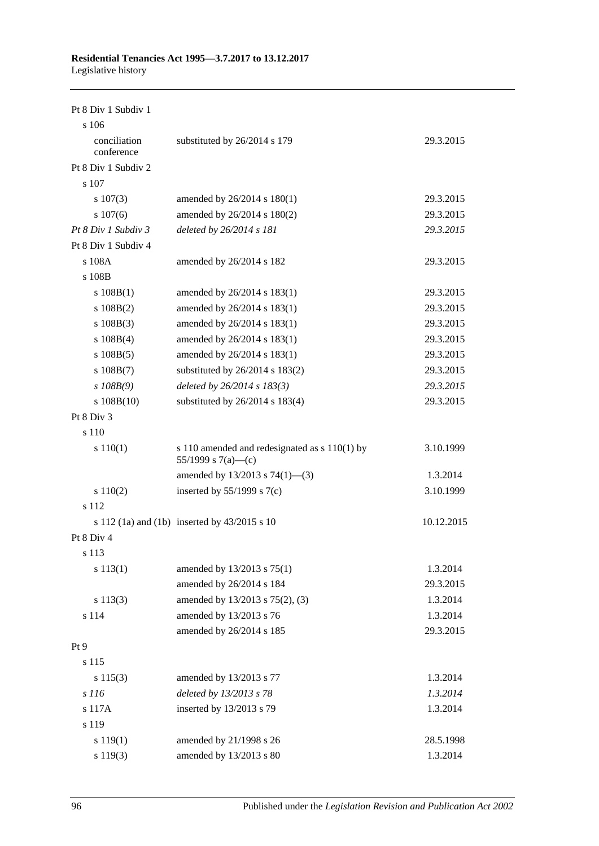Pt 8 Div 1 Subdiv 1

| s 106                      |                                                                     |            |
|----------------------------|---------------------------------------------------------------------|------------|
| conciliation<br>conference | substituted by 26/2014 s 179                                        | 29.3.2015  |
| Pt 8 Div 1 Subdiv 2        |                                                                     |            |
| s 107                      |                                                                     |            |
| $s\ 107(3)$                | amended by 26/2014 s 180(1)                                         | 29.3.2015  |
| $s\ 107(6)$                | amended by 26/2014 s 180(2)                                         | 29.3.2015  |
| Pt 8 Div 1 Subdiv 3        | deleted by 26/2014 s 181                                            | 29.3.2015  |
| Pt 8 Div 1 Subdiv 4        |                                                                     |            |
| s 108A                     | amended by 26/2014 s 182                                            | 29.3.2015  |
| s 108B                     |                                                                     |            |
| s $108B(1)$                | amended by 26/2014 s 183(1)                                         | 29.3.2015  |
| $s\ 108B(2)$               | amended by 26/2014 s 183(1)                                         | 29.3.2015  |
| $s\ 108B(3)$               | amended by 26/2014 s 183(1)                                         | 29.3.2015  |
| $s\ 108B(4)$               | amended by 26/2014 s 183(1)                                         | 29.3.2015  |
| $s\ 108B(5)$               | amended by 26/2014 s 183(1)                                         | 29.3.2015  |
| $s\ 108B(7)$               | substituted by $26/2014$ s $183(2)$                                 | 29.3.2015  |
| $s$ 108B(9)                | deleted by $26/2014 s 183(3)$                                       | 29.3.2015  |
| $s\ 108B(10)$              | substituted by 26/2014 s 183(4)                                     | 29.3.2015  |
| Pt 8 Div 3                 |                                                                     |            |
| s 110                      |                                                                     |            |
| s 110(1)                   | s 110 amended and redesignated as s 110(1) by<br>55/1999 s 7(a)—(c) | 3.10.1999  |
|                            | amended by 13/2013 s 74(1)-(3)                                      | 1.3.2014   |
| s 110(2)                   | inserted by $55/1999$ s $7(c)$                                      | 3.10.1999  |
| s 112                      |                                                                     |            |
|                            | s 112 (1a) and (1b) inserted by $43/2015$ s 10                      | 10.12.2015 |
| Pt 8 Div 4                 |                                                                     |            |
| s 113                      |                                                                     |            |
| $s\ 113(1)$                | amended by $13/2013$ s $75(1)$                                      | 1.3.2014   |
|                            | amended by 26/2014 s 184                                            | 29.3.2015  |
| s 113(3)                   | amended by 13/2013 s 75(2), (3)                                     | 1.3.2014   |
| s 114                      | amended by 13/2013 s 76                                             | 1.3.2014   |
|                            | amended by 26/2014 s 185                                            | 29.3.2015  |
| Pt 9                       |                                                                     |            |
| s 115                      |                                                                     |            |
| s 115(3)                   | amended by 13/2013 s 77                                             | 1.3.2014   |
| s 116                      | deleted by 13/2013 s 78                                             | 1.3.2014   |
| s 117A                     | inserted by 13/2013 s 79                                            | 1.3.2014   |
| s 119                      |                                                                     |            |
| s 119(1)                   | amended by 21/1998 s 26                                             | 28.5.1998  |
| s 119(3)                   | amended by 13/2013 s 80                                             | 1.3.2014   |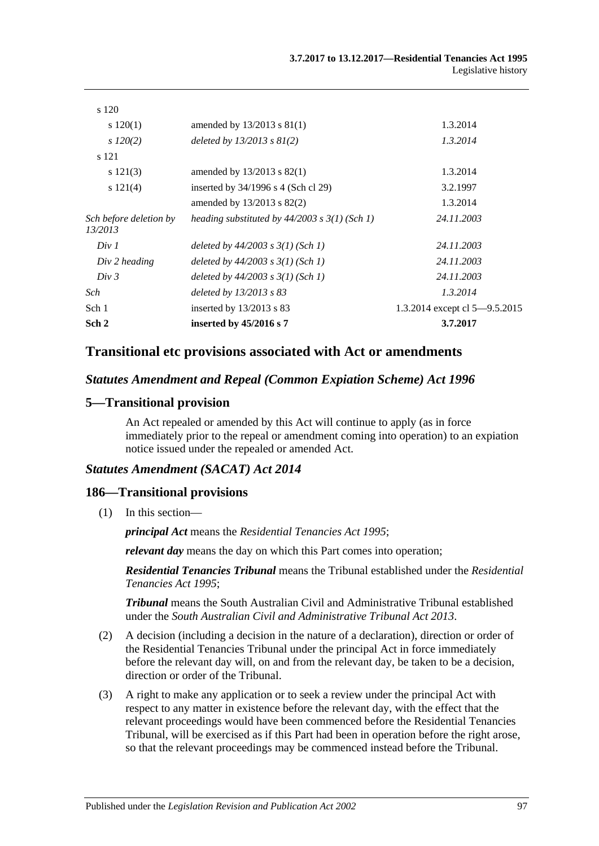| Sch 2                             | inserted by $45/2016$ s 7                         | 3.7.2017                      |
|-----------------------------------|---------------------------------------------------|-------------------------------|
| Sch 1                             | inserted by $13/2013$ s 83                        | 1.3.2014 except cl 5-9.5.2015 |
| Sch                               | deleted by $13/2013$ s $83$                       | 1.3.2014                      |
| Div 3                             | deleted by $44/2003$ s $3(1)$ (Sch 1)             | 24.11.2003                    |
| Div 2 heading                     | deleted by $44/2003$ s $3(1)$ (Sch 1)             | 24.11.2003                    |
| Div 1                             | deleted by $44/2003$ s $3(1)$ (Sch 1)             | 24.11.2003                    |
| Sch before deletion by<br>13/2013 | heading substituted by $44/2003$ s $3(1)$ (Sch 1) | 24.11.2003                    |
|                                   | amended by $13/2013$ s $82(2)$                    | 1.3.2014                      |
| s 121(4)                          | inserted by $34/1996$ s 4 (Sch cl 29)             | 3.2.1997                      |
| s 121(3)                          | amended by $13/2013$ s 82(1)                      | 1.3.2014                      |
| s 121                             |                                                   |                               |
| $s\,120(2)$                       | deleted by $13/2013$ s $81(2)$                    | 1.3.2014                      |
| $s\ 120(1)$                       | amended by $13/2013$ s $81(1)$                    | 1.3.2014                      |
| s 120                             |                                                   |                               |

## **Transitional etc provisions associated with Act or amendments**

#### *Statutes Amendment and Repeal (Common Expiation Scheme) Act 1996*

#### **5—Transitional provision**

An Act repealed or amended by this Act will continue to apply (as in force immediately prior to the repeal or amendment coming into operation) to an expiation notice issued under the repealed or amended Act.

#### *Statutes Amendment (SACAT) Act 2014*

#### **186—Transitional provisions**

(1) In this section—

*principal Act* means the *[Residential Tenancies Act](http://www.legislation.sa.gov.au/index.aspx?action=legref&type=act&legtitle=Residential%20Tenancies%20Act%201995) 1995*;

*relevant day* means the day on which this Part comes into operation;

*Residential Tenancies Tribunal* means the Tribunal established under the *[Residential](http://www.legislation.sa.gov.au/index.aspx?action=legref&type=act&legtitle=Residential%20Tenancies%20Act%201995)  [Tenancies Act](http://www.legislation.sa.gov.au/index.aspx?action=legref&type=act&legtitle=Residential%20Tenancies%20Act%201995) 1995*;

*Tribunal* means the South Australian Civil and Administrative Tribunal established under the *[South Australian Civil and Administrative Tribunal Act](http://www.legislation.sa.gov.au/index.aspx?action=legref&type=act&legtitle=South%20Australian%20Civil%20and%20Administrative%20Tribunal%20Act%202013) 2013*.

- (2) A decision (including a decision in the nature of a declaration), direction or order of the Residential Tenancies Tribunal under the principal Act in force immediately before the relevant day will, on and from the relevant day, be taken to be a decision, direction or order of the Tribunal.
- (3) A right to make any application or to seek a review under the principal Act with respect to any matter in existence before the relevant day, with the effect that the relevant proceedings would have been commenced before the Residential Tenancies Tribunal, will be exercised as if this Part had been in operation before the right arose, so that the relevant proceedings may be commenced instead before the Tribunal.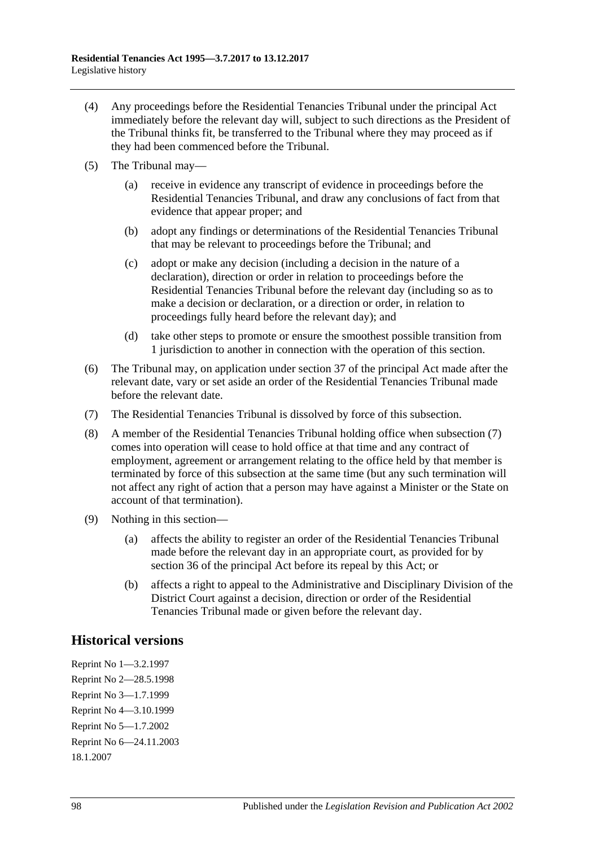- (4) Any proceedings before the Residential Tenancies Tribunal under the principal Act immediately before the relevant day will, subject to such directions as the President of the Tribunal thinks fit, be transferred to the Tribunal where they may proceed as if they had been commenced before the Tribunal.
- (5) The Tribunal may—
	- (a) receive in evidence any transcript of evidence in proceedings before the Residential Tenancies Tribunal, and draw any conclusions of fact from that evidence that appear proper; and
	- (b) adopt any findings or determinations of the Residential Tenancies Tribunal that may be relevant to proceedings before the Tribunal; and
	- (c) adopt or make any decision (including a decision in the nature of a declaration), direction or order in relation to proceedings before the Residential Tenancies Tribunal before the relevant day (including so as to make a decision or declaration, or a direction or order, in relation to proceedings fully heard before the relevant day); and
	- (d) take other steps to promote or ensure the smoothest possible transition from 1 jurisdiction to another in connection with the operation of this section.
- (6) The Tribunal may, on application under section 37 of the principal Act made after the relevant date, vary or set aside an order of the Residential Tenancies Tribunal made before the relevant date.
- <span id="page-97-0"></span>(7) The Residential Tenancies Tribunal is dissolved by force of this subsection.
- (8) A member of the Residential Tenancies Tribunal holding office when [subsection](#page-97-0) (7) comes into operation will cease to hold office at that time and any contract of employment, agreement or arrangement relating to the office held by that member is terminated by force of this subsection at the same time (but any such termination will not affect any right of action that a person may have against a Minister or the State on account of that termination).
- (9) Nothing in this section—
	- (a) affects the ability to register an order of the Residential Tenancies Tribunal made before the relevant day in an appropriate court, as provided for by section 36 of the principal Act before its repeal by this Act; or
	- (b) affects a right to appeal to the Administrative and Disciplinary Division of the District Court against a decision, direction or order of the Residential Tenancies Tribunal made or given before the relevant day.

# **Historical versions**

Reprint No 1—3.2.1997 Reprint No 2—28.5.1998 Reprint No 3—1.7.1999 Reprint No 4—3.10.1999 Reprint No 5—1.7.2002 Reprint No 6—24.11.2003 18.1.2007